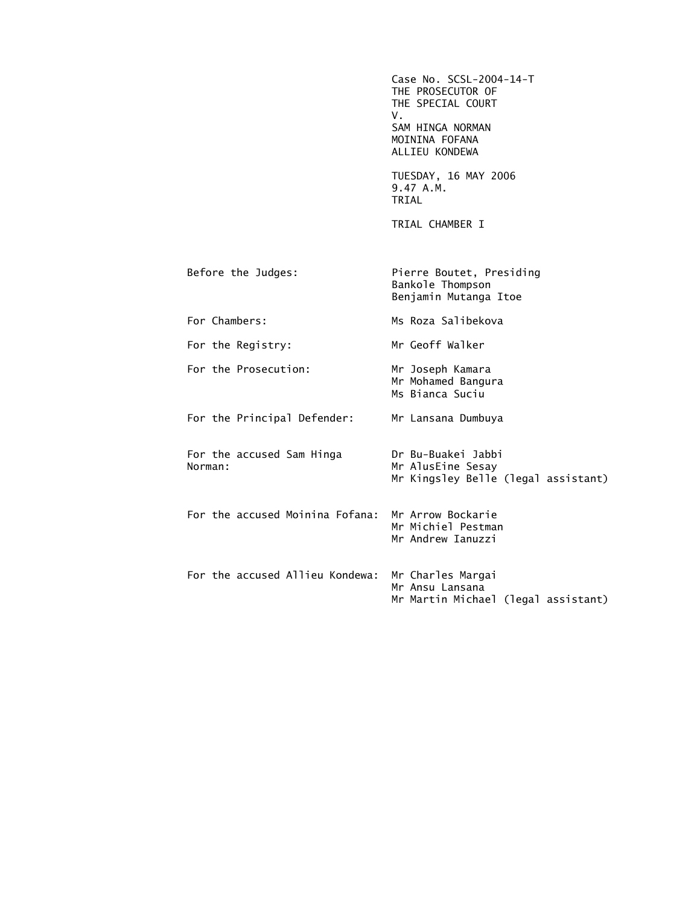Case No. SCSL-2004-14-T THE PROSECUTOR OF THE SPECIAL COURT V. SAM HINGA NORMAN MOININA FOFANA ALLIEU KONDEWA TUESDAY, 16 MAY 2006 9.47 A.M. TRIAL TRIAL CHAMBER I Before the Judges: Pierre Boutet, Presiding Bankole Thompson Benjamin Mutanga Itoe For Chambers: Ms Roza Salibekova For the Registry: Mr Geoff Walker For the Prosecution: Mr Joseph Kamara Mr Mohamed Bangura Ms Bianca Suciu For the Principal Defender: Mr Lansana Dumbuya For the accused Sam Hinga Dr Bu-Buakei Jabbi Norman: Mr AlusEine Sesay Mr Kingsley Belle (legal assistant) For the accused Moinina Fofana: Mr Arrow Bockarie Mr Michiel Pestman Mr Andrew Ianuzzi For the accused Allieu Kondewa: Mr Charles Margai Mr Ansu Lansana Mr Martin Michael (legal assistant)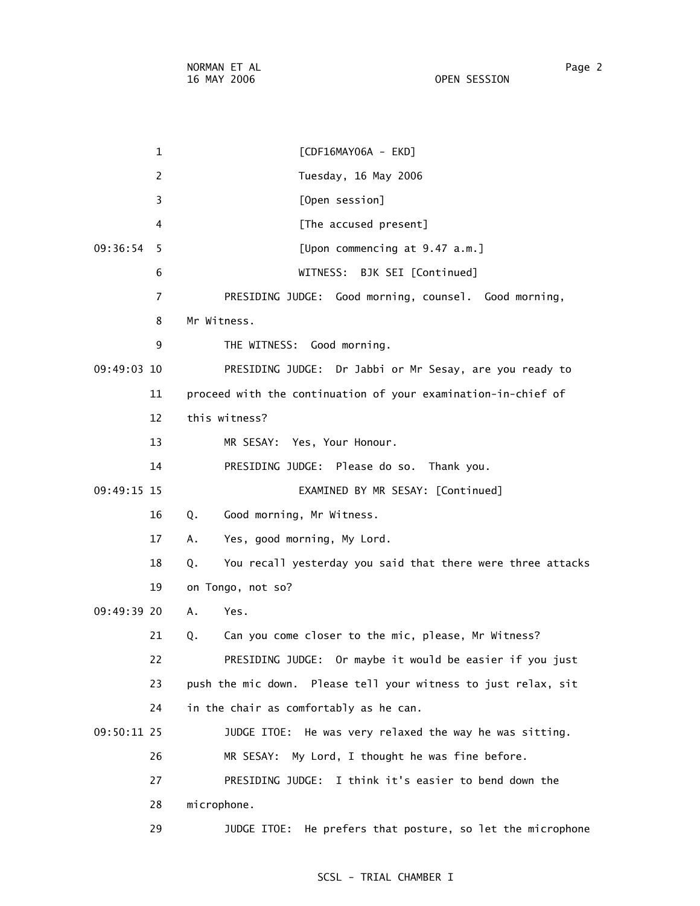1 [CDF16MAY06A - EKD] 2 Tuesday, 16 May 2006 3 [Open session] 4 **A [The accused present]**  09:36:54 5 [Upon commencing at 9.47 a.m.] 6 WITNESS: BJK SEI [Continued] 7 PRESIDING JUDGE: Good morning, counsel. Good morning, 8 Mr Witness. 9 THE WITNESS: Good morning. 09:49:03 10 PRESIDING JUDGE: Dr Jabbi or Mr Sesay, are you ready to 11 proceed with the continuation of your examination-in-chief of 12 this witness? 13 MR SESAY: Yes, Your Honour. 14 PRESIDING JUDGE: Please do so. Thank you. 09:49:15 15 EXAMINED BY MR SESAY: [Continued] 16 Q. Good morning, Mr Witness. 17 A. Yes, good morning, My Lord. 18 Q. You recall yesterday you said that there were three attacks 19 on Tongo, not so? 09:49:39 20 A. Yes. 21 Q. Can you come closer to the mic, please, Mr Witness? 22 PRESIDING JUDGE: Or maybe it would be easier if you just 23 push the mic down. Please tell your witness to just relax, sit 24 in the chair as comfortably as he can. 09:50:11 25 JUDGE ITOE: He was very relaxed the way he was sitting. 26 MR SESAY: My Lord, I thought he was fine before. 27 PRESIDING JUDGE: I think it's easier to bend down the 28 microphone.

### SCSL - TRIAL CHAMBER I

29 JUDGE ITOE: He prefers that posture, so let the microphone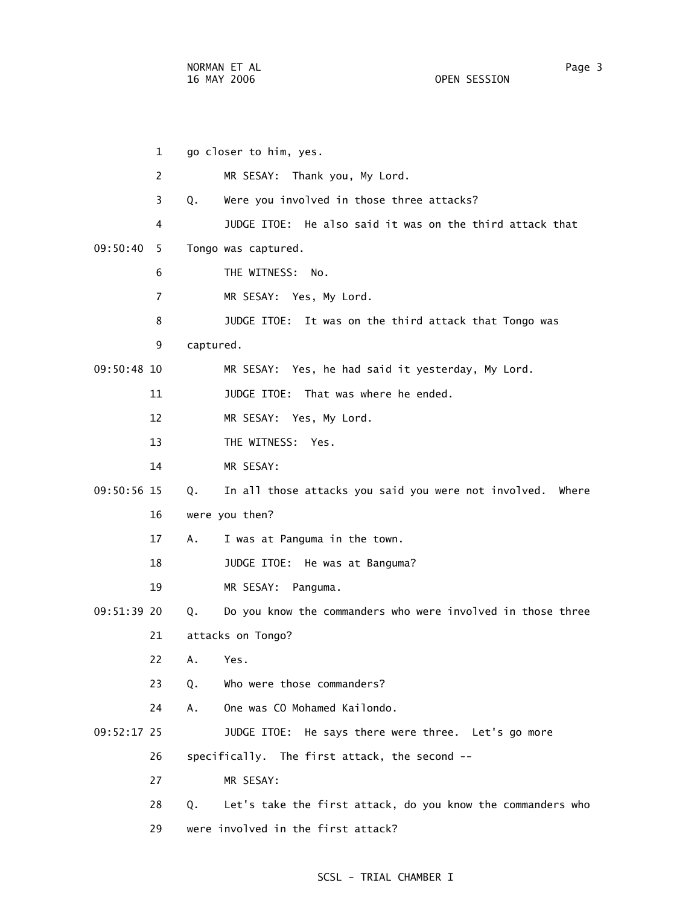1 go closer to him, yes. 2 MR SESAY: Thank you, My Lord. 3 Q. Were you involved in those three attacks? 4 JUDGE ITOE: He also said it was on the third attack that 09:50:40 5 Tongo was captured. 6 THE WITNESS: No. 7 MR SESAY: Yes, My Lord. 8 JUDGE ITOE: It was on the third attack that Tongo was 9 captured. 09:50:48 10 MR SESAY: Yes, he had said it yesterday, My Lord. 11 JUDGE ITOE: That was where he ended. 12 MR SESAY: Yes, My Lord. 13 THE WITNESS: Yes. 14 MR SESAY: 09:50:56 15 Q. In all those attacks you said you were not involved. Where 16 were you then? 17 A. I was at Panguma in the town. 18 JUDGE ITOE: He was at Banguma? 19 MR SESAY: Panguma. 09:51:39 20 Q. Do you know the commanders who were involved in those three 21 attacks on Tongo? 22 A. Yes. 23 Q. Who were those commanders? 24 A. One was CO Mohamed Kailondo. 09:52:17 25 JUDGE ITOE: He says there were three. Let's go more 26 specifically. The first attack, the second -- 27 MR SESAY: 28 Q. Let's take the first attack, do you know the commanders who 29 were involved in the first attack?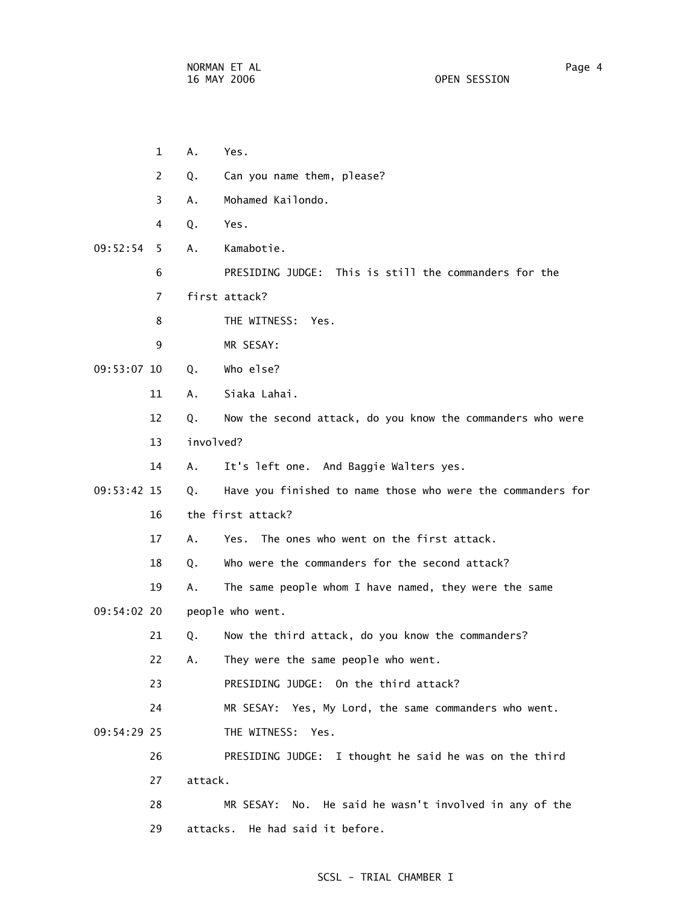1 A. Yes. 2 Q. Can you name them, please? 3 A. Mohamed Kailondo. 4 Q. Yes. 09:52:54 5 A. Kamabotie. 6 PRESIDING JUDGE: This is still the commanders for the 7 first attack? 8 THE WITNESS: Yes. 9 MR SESAY: 09:53:07 10 0. Who else? 11 A. Siaka Lahai. 12 Q. Now the second attack, do you know the commanders who were 13 involved? 14 A. It's left one. And Baggie Walters yes. 09:53:42 15 Q. Have you finished to name those who were the commanders for 16 the first attack? 17 A. Yes. The ones who went on the first attack. 18 Q. Who were the commanders for the second attack? 19 A. The same people whom I have named, they were the same 09:54:02 20 people who went. 21 Q. Now the third attack, do you know the commanders? 22 A. They were the same people who went. 23 PRESIDING JUDGE: On the third attack? 24 MR SESAY: Yes, My Lord, the same commanders who went. 09:54:29 25 THE WITNESS: Yes. 26 PRESIDING JUDGE: I thought he said he was on the third 27 attack. 28 MR SESAY: No. He said he wasn't involved in any of the 29 attacks. He had said it before.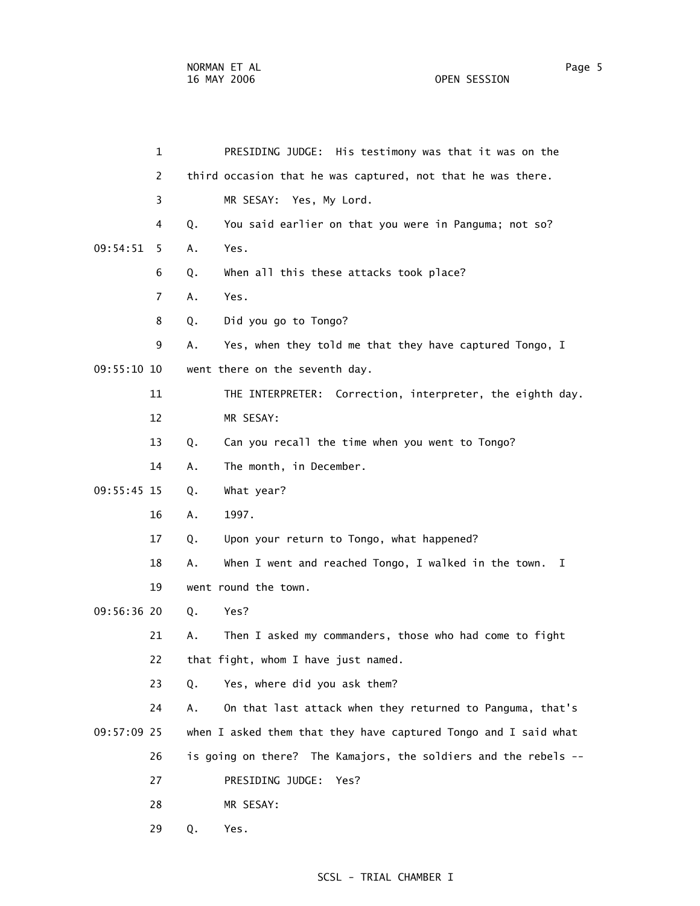1 PRESIDING JUDGE: His testimony was that it was on the 2 third occasion that he was captured, not that he was there. 3 MR SESAY: Yes, My Lord. 4 Q. You said earlier on that you were in Panguma; not so? 09:54:51 5 A. Yes. 6 Q. When all this these attacks took place? 7 A. Yes. 8 Q. Did you go to Tongo? 9 A. Yes, when they told me that they have captured Tongo, I 09:55:10 10 went there on the seventh day. 11 THE INTERPRETER: Correction, interpreter, the eighth day. 12 MR SESAY: 13 Q. Can you recall the time when you went to Tongo? 14 A. The month, in December. 09:55:45 15 Q. What year? 16 A. 1997. 17 Q. Upon your return to Tongo, what happened? 18 A. When I went and reached Tongo, I walked in the town. I 19 went round the town. 09:56:36 20 Q. Yes? 21 A. Then I asked my commanders, those who had come to fight 22 that fight, whom I have just named. 23 Q. Yes, where did you ask them? 24 A. On that last attack when they returned to Panguma, that's 09:57:09 25 when I asked them that they have captured Tongo and I said what 26 is going on there? The Kamajors, the soldiers and the rebels -- 27 PRESIDING JUDGE: Yes? 28 MR SESAY: 29 Q. Yes.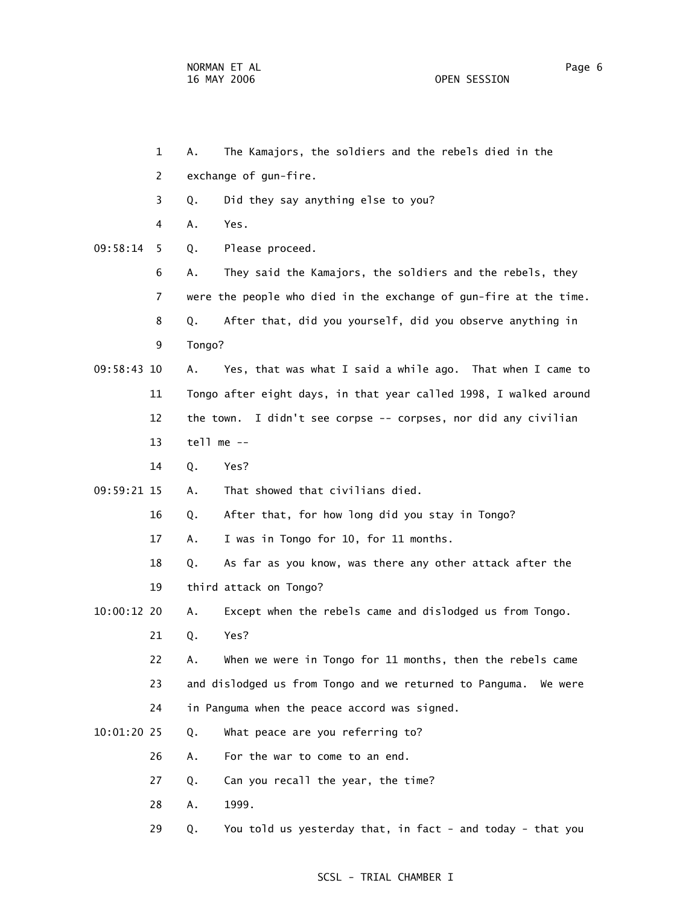- 1 A. The Kamajors, the soldiers and the rebels died in the 2 exchange of gun-fire. 3 Q. Did they say anything else to you? 4 A. Yes. 09:58:14 5 Q. Please proceed. 6 A. They said the Kamajors, the soldiers and the rebels, they 7 were the people who died in the exchange of gun-fire at the time. 8 Q. After that, did you yourself, did you observe anything in 9 Tongo? 09:58:43 10 A. Yes, that was what I said a while ago. That when I came to 11 Tongo after eight days, in that year called 1998, I walked around 12 the town. I didn't see corpse -- corpses, nor did any civilian 13 tell me -- 14 Q. Yes? 09:59:21 15 A. That showed that civilians died. 16 Q. After that, for how long did you stay in Tongo? 17 A. I was in Tongo for 10, for 11 months. 18 Q. As far as you know, was there any other attack after the 19 third attack on Tongo? 10:00:12 20 A. Except when the rebels came and dislodged us from Tongo. 21 Q. Yes? 22 A. When we were in Tongo for 11 months, then the rebels came 23 and dislodged us from Tongo and we returned to Panguma. We were 24 in Panguma when the peace accord was signed. 10:01:20 25 Q. What peace are you referring to? 26 A. For the war to come to an end. 27 Q. Can you recall the year, the time?
	- 28 A. 1999.
	- 29 Q. You told us yesterday that, in fact and today that you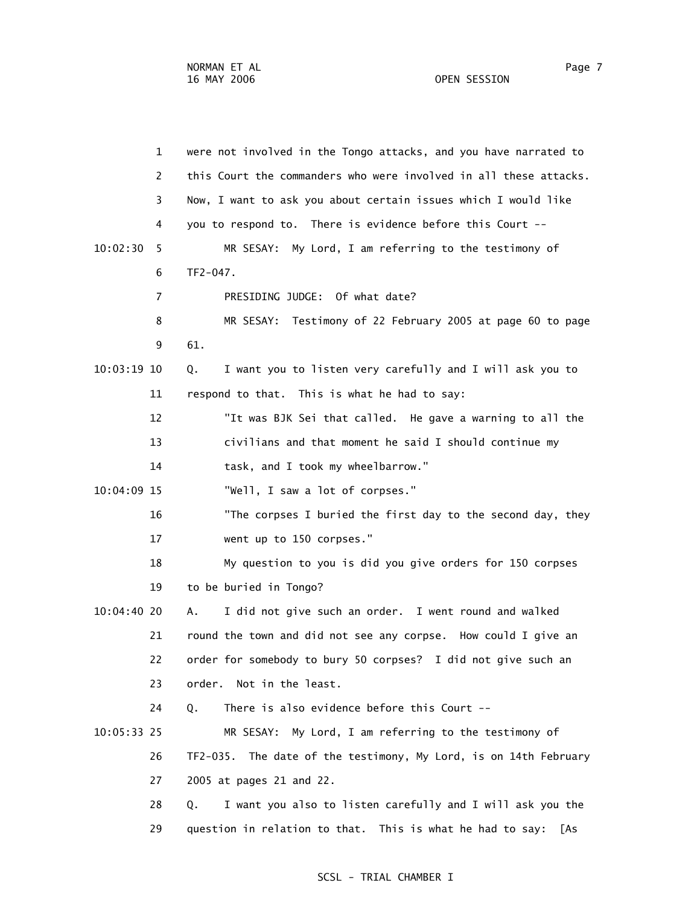1 were not involved in the Tongo attacks, and you have narrated to 2 this Court the commanders who were involved in all these attacks. 3 Now, I want to ask you about certain issues which I would like 4 you to respond to. There is evidence before this Court -- 10:02:30 5 MR SESAY: My Lord, I am referring to the testimony of 6 TF2-047. 7 PRESIDING JUDGE: Of what date? 8 MR SESAY: Testimony of 22 February 2005 at page 60 to page 9 61. 10:03:19 10 Q. I want you to listen very carefully and I will ask you to 11 respond to that. This is what he had to say: 12 "It was BJK Sei that called. He gave a warning to all the 13 civilians and that moment he said I should continue my 14 task, and I took my wheelbarrow." 10:04:09 15 "Well, I saw a lot of corpses." 16 "The corpses I buried the first day to the second day, they 17 went up to 150 corpses." 18 My question to you is did you give orders for 150 corpses 19 to be buried in Tongo? 10:04:40 20 A. I did not give such an order. I went round and walked 21 round the town and did not see any corpse. How could I give an 22 order for somebody to bury 50 corpses? I did not give such an 23 order. Not in the least. 24 Q. There is also evidence before this Court -- 10:05:33 25 MR SESAY: My Lord, I am referring to the testimony of 26 TF2-035. The date of the testimony, My Lord, is on 14th February 27 2005 at pages 21 and 22. 28 Q. I want you also to listen carefully and I will ask you the 29 question in relation to that. This is what he had to say: [As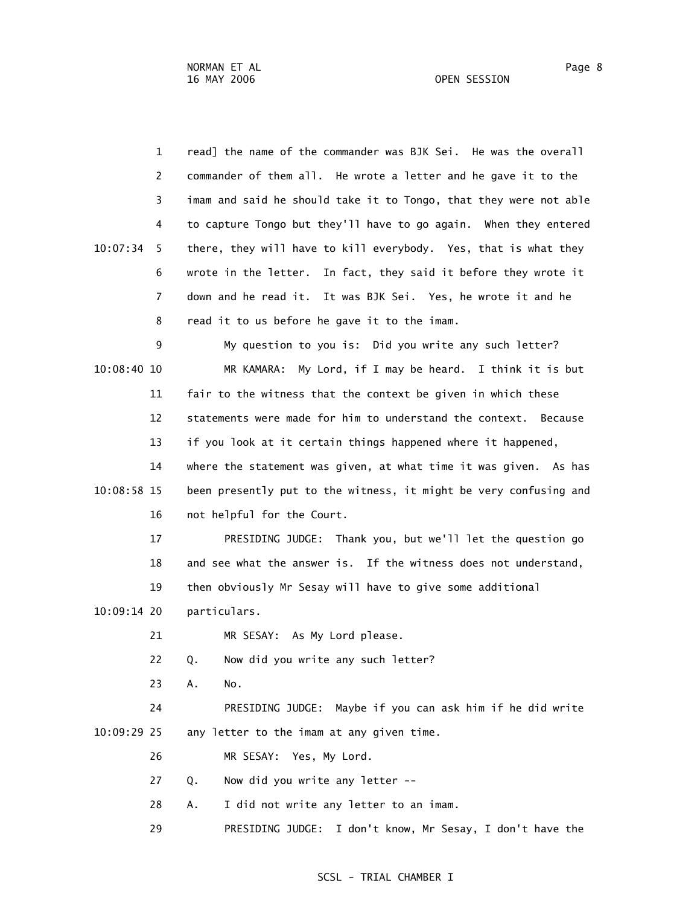| OPEN SESSION |  |
|--------------|--|
|--------------|--|

| 1              | read] the name of the commander was BJK Sei. He was the overall    |
|----------------|--------------------------------------------------------------------|
| 2              | commander of them all. He wrote a letter and he gave it to the     |
| 3              | imam and said he should take it to Tongo, that they were not able  |
| 4              | to capture Tongo but they'll have to go again. When they entered   |
| 10:07:34<br>5. | there, they will have to kill everybody. Yes, that is what they    |
| 6              | wrote in the letter.<br>In fact, they said it before they wrote it |
| 7              | down and he read it. It was BJK Sei. Yes, he wrote it and he       |
| 8              | read it to us before he gave it to the imam.                       |
| 9              | My question to you is: Did you write any such letter?              |
| 10:08:40 10    | My Lord, if I may be heard. I think it is but<br>MR KAMARA:        |
| 11             | fair to the witness that the context be given in which these       |
| 12             | statements were made for him to understand the context. Because    |
| 13             | if you look at it certain things happened where it happened,       |
| 14             | where the statement was given, at what time it was given. As has   |
| 10:08:58 15    | been presently put to the witness, it might be very confusing and  |
| 16             | not helpful for the Court.                                         |
| 17             | PRESIDING JUDGE: Thank you, but we'll let the question go          |
| 18             | and see what the answer is. If the witness does not understand,    |
| 19             | then obviously Mr Sesay will have to give some additional          |
| $10:09:14$ 20  | particulars.                                                       |
| 21             | As My Lord please.<br>MR SESAY:                                    |
| 22             | Now did you write any such letter?<br>Q.                           |
| 23             | No.<br>Α.                                                          |
| 24             | PRESIDING JUDGE: Maybe if you can ask him if he did write          |
| 10:09:29 25    | any letter to the imam at any given time.                          |
| 26             | MR SESAY: Yes, My Lord.                                            |
| 27             | Now did you write any letter --<br>Q.                              |
| 28             | I did not write any letter to an imam.<br>А.                       |
| 29             | PRESIDING JUDGE: I don't know, Mr Sesay, I don't have the          |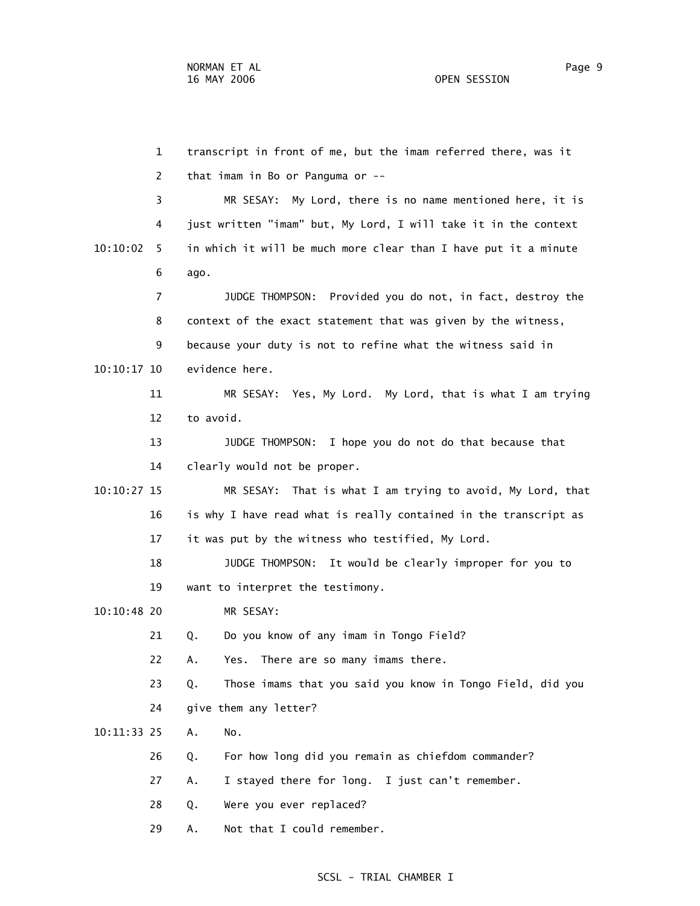1 transcript in front of me, but the imam referred there, was it 2 that imam in Bo or Panguma or -- 3 MR SESAY: My Lord, there is no name mentioned here, it is 4 just written "imam" but, My Lord, I will take it in the context 10:10:02 5 in which it will be much more clear than I have put it a minute 6 ago. 7 JUDGE THOMPSON: Provided you do not, in fact, destroy the 8 context of the exact statement that was given by the witness, 9 because your duty is not to refine what the witness said in 10:10:17 10 evidence here. 11 MR SESAY: Yes, My Lord. My Lord, that is what I am trying 12 to avoid. 13 JUDGE THOMPSON: I hope you do not do that because that 14 clearly would not be proper. 10:10:27 15 MR SESAY: That is what I am trying to avoid, My Lord, that 16 is why I have read what is really contained in the transcript as 17 it was put by the witness who testified, My Lord. 18 JUDGE THOMPSON: It would be clearly improper for you to 19 want to interpret the testimony. 10:10:48 20 MR SESAY: 21 Q. Do you know of any imam in Tongo Field? 22 A. Yes. There are so many imams there. 23 Q. Those imams that you said you know in Tongo Field, did you 24 give them any letter? 10:11:33 25 A. No. 26 Q. For how long did you remain as chiefdom commander? 27 A. I stayed there for long. I just can't remember. 28 Q. Were you ever replaced? 29 A. Not that I could remember.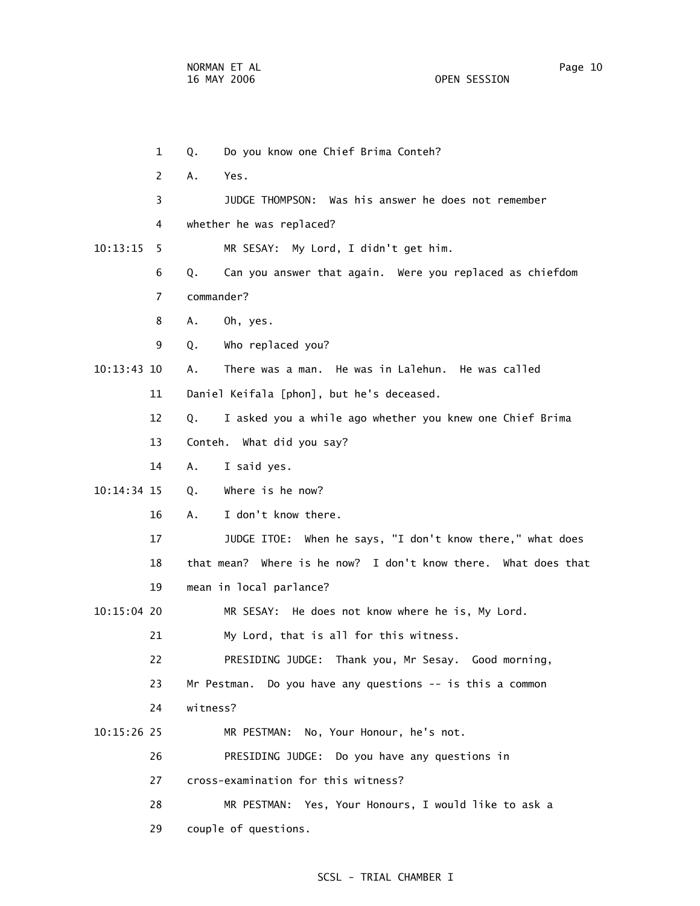1 Q. Do you know one Chief Brima Conteh? 2 A. Yes. 3 JUDGE THOMPSON: Was his answer he does not remember 4 whether he was replaced? 10:13:15 5 MR SESAY: My Lord, I didn't get him. 6 Q. Can you answer that again. Were you replaced as chiefdom 7 commander? 8 A. Oh, yes. 9 Q. Who replaced you? 10:13:43 10 A. There was a man. He was in Lalehun. He was called 11 Daniel Keifala [phon], but he's deceased. 12 Q. I asked you a while ago whether you knew one Chief Brima 13 Conteh. What did you say? 14 A. I said yes. 10:14:34 15 Q. Where is he now? 16 A. I don't know there. 17 JUDGE ITOE: When he says, "I don't know there," what does 18 that mean? Where is he now? I don't know there. What does that 19 mean in local parlance? 10:15:04 20 MR SESAY: He does not know where he is, My Lord. 21 My Lord, that is all for this witness. 22 PRESIDING JUDGE: Thank you, Mr Sesay. Good morning, 23 Mr Pestman. Do you have any questions -- is this a common 24 witness? 10:15:26 25 MR PESTMAN: No, Your Honour, he's not. 26 PRESIDING JUDGE: Do you have any questions in 27 cross-examination for this witness? 28 MR PESTMAN: Yes, Your Honours, I would like to ask a 29 couple of questions.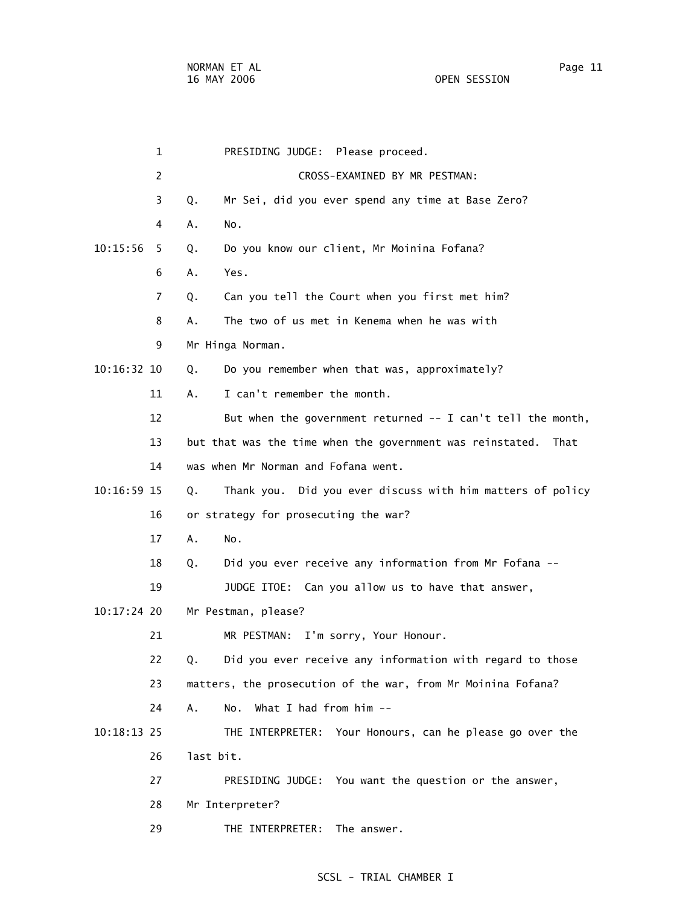1 PRESIDING JUDGE: Please proceed. 2 CROSS-EXAMINED BY MR PESTMAN: 3 Q. Mr Sei, did you ever spend any time at Base Zero? 4 A. No. 10:15:56 5 Q. Do you know our client, Mr Moinina Fofana? 6 A. Yes. 7 Q. Can you tell the Court when you first met him? 8 A. The two of us met in Kenema when he was with 9 Mr Hinga Norman. 10:16:32 10 Q. Do you remember when that was, approximately? 11 A. I can't remember the month. 12 But when the government returned -- I can't tell the month, 13 but that was the time when the government was reinstated. That 14 was when Mr Norman and Fofana went. 10:16:59 15 Q. Thank you. Did you ever discuss with him matters of policy 16 or strategy for prosecuting the war? 17 A. No. 18 Q. Did you ever receive any information from Mr Fofana -- 19 JUDGE ITOE: Can you allow us to have that answer, 10:17:24 20 Mr Pestman, please? 21 MR PESTMAN: I'm sorry, Your Honour. 22 Q. Did you ever receive any information with regard to those 23 matters, the prosecution of the war, from Mr Moinina Fofana? 24 A. No. What I had from him -- 10:18:13 25 THE INTERPRETER: Your Honours, can he please go over the 26 last bit. 27 PRESIDING JUDGE: You want the question or the answer, 28 Mr Interpreter? 29 THE INTERPRETER: The answer.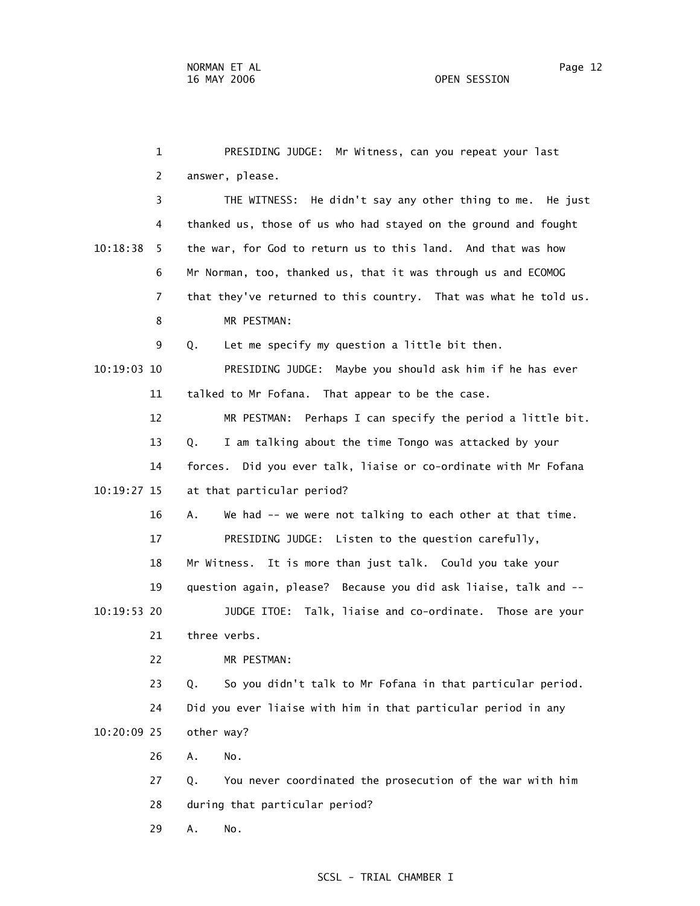1 PRESIDING JUDGE: Mr Witness, can you repeat your last 2 answer, please. 3 THE WITNESS: He didn't say any other thing to me. He just 4 thanked us, those of us who had stayed on the ground and fought 10:18:38 5 the war, for God to return us to this land. And that was how 6 Mr Norman, too, thanked us, that it was through us and ECOMOG 7 that they've returned to this country. That was what he told us. 8 MR PESTMAN: 9 Q. Let me specify my question a little bit then. 10:19:03 10 PRESIDING JUDGE: Maybe you should ask him if he has ever 11 talked to Mr Fofana. That appear to be the case. 12 MR PESTMAN: Perhaps I can specify the period a little bit. 13 Q. I am talking about the time Tongo was attacked by your 14 forces. Did you ever talk, liaise or co-ordinate with Mr Fofana 10:19:27 15 at that particular period? 16 A. We had -- we were not talking to each other at that time. 17 PRESIDING JUDGE: Listen to the question carefully, 18 Mr Witness. It is more than just talk. Could you take your 19 question again, please? Because you did ask liaise, talk and -- 10:19:53 20 JUDGE ITOE: Talk, liaise and co-ordinate. Those are your 21 three verbs. 22 MR PESTMAN: 23 Q. So you didn't talk to Mr Fofana in that particular period. 24 Did you ever liaise with him in that particular period in any 10:20:09 25 other way? 26 A. No. 27 Q. You never coordinated the prosecution of the war with him 28 during that particular period? 29 A. No.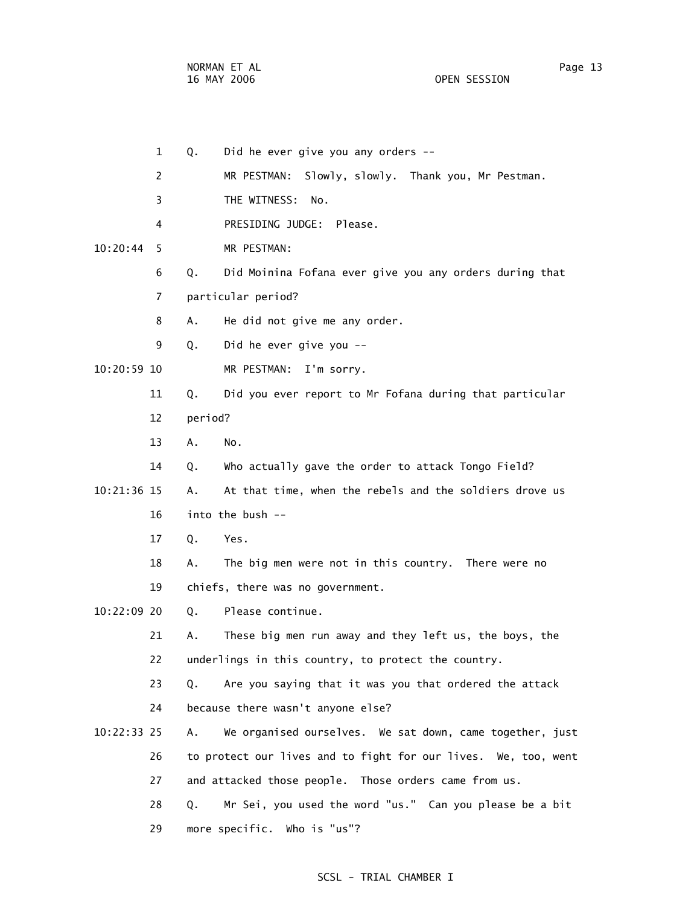| 1             | Q.      | Did he ever give you any orders --                             |
|---------------|---------|----------------------------------------------------------------|
| 2             |         | Slowly, slowly. Thank you, Mr Pestman.<br>MR PESTMAN:          |
| 3             |         | THE WITNESS:<br>No.                                            |
| 4             |         | PRESIDING JUDGE: Please.                                       |
| 10:20:44<br>5 |         | MR PESTMAN:                                                    |
| 6             | Q.      | Did Moinina Fofana ever give you any orders during that        |
| 7             |         | particular period?                                             |
| 8             | Α.      | He did not give me any order.                                  |
| 9             | Q.      | Did he ever give you --                                        |
| 10:20:59 10   |         | MR PESTMAN:<br>I'm sorry.                                      |
| 11            | Q.      | Did you ever report to Mr Fofana during that particular        |
| 12            | period? |                                                                |
| 13            | А.      | No.                                                            |
| 14            | Q.      | Who actually gave the order to attack Tongo Field?             |
| 10:21:36 15   | Α.      | At that time, when the rebels and the soldiers drove us        |
| 16            |         | into the bush --                                               |
| 17            | Q.      | Yes.                                                           |
| 18            | Α.      | The big men were not in this country. There were no            |
| 19            |         | chiefs, there was no government.                               |
| 10:22:09 20   | Q.      | Please continue.                                               |
| 21            | А.      | These big men run away and they left us, the boys, the         |
| 22            |         | underlings in this country, to protect the country.            |
| 23            | Q.      | Are you saying that it was you that ordered the attack         |
| 24            |         | because there wasn't anyone else?                              |
| 10:22:33 25   | Α.      | We organised ourselves. We sat down, came together, just       |
| 26            |         | to protect our lives and to fight for our lives. We, too, went |
| 27            |         | and attacked those people. Those orders came from us.          |
| 28            | Q.      | Mr Sei, you used the word "us." Can you please be a bit        |
| 29            |         | Who is "us"?<br>more specific.                                 |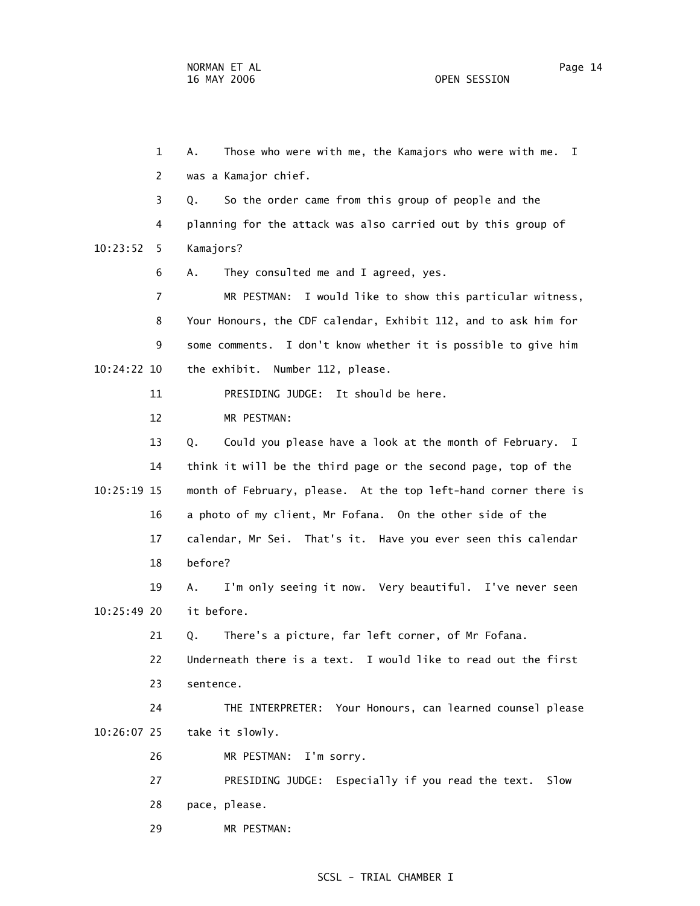1 A. Those who were with me, the Kamajors who were with me. I 2 was a Kamajor chief. 3 Q. So the order came from this group of people and the 4 planning for the attack was also carried out by this group of 10:23:52 5 Kamajors? 6 A. They consulted me and I agreed, yes. 7 MR PESTMAN: I would like to show this particular witness, 8 Your Honours, the CDF calendar, Exhibit 112, and to ask him for 9 some comments. I don't know whether it is possible to give him 10:24:22 10 the exhibit. Number 112, please. 11 PRESIDING JUDGE: It should be here. 12 MR PESTMAN: 13 Q. Could you please have a look at the month of February. I 14 think it will be the third page or the second page, top of the 10:25:19 15 month of February, please. At the top left-hand corner there is 16 a photo of my client, Mr Fofana. On the other side of the 17 calendar, Mr Sei. That's it. Have you ever seen this calendar 18 before? 19 A. I'm only seeing it now. Very beautiful. I've never seen 10:25:49 20 it before. 21 Q. There's a picture, far left corner, of Mr Fofana. 22 Underneath there is a text. I would like to read out the first 23 sentence. 24 THE INTERPRETER: Your Honours, can learned counsel please 10:26:07 25 take it slowly. 26 MR PESTMAN: I'm sorry. 27 PRESIDING JUDGE: Especially if you read the text. Slow 28 pace, please. 29 MR PESTMAN: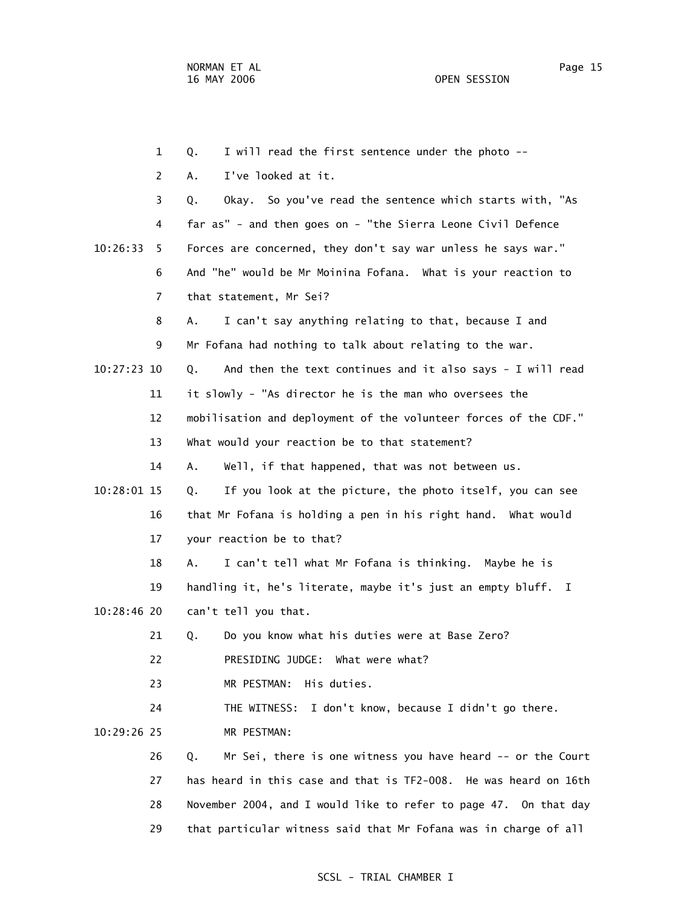1 Q. I will read the first sentence under the photo -- 2 A. I've looked at it. 3 Q. Okay. So you've read the sentence which starts with, "As 4 far as" - and then goes on - "the Sierra Leone Civil Defence 10:26:33 5 Forces are concerned, they don't say war unless he says war." 6 And "he" would be Mr Moinina Fofana. What is your reaction to 7 that statement, Mr Sei? 8 A. I can't say anything relating to that, because I and 9 Mr Fofana had nothing to talk about relating to the war. 10:27:23 10 Q. And then the text continues and it also says - I will read 11 it slowly - "As director he is the man who oversees the 12 mobilisation and deployment of the volunteer forces of the CDF." 13 What would your reaction be to that statement? 14 A. Well, if that happened, that was not between us. 10:28:01 15 Q. If you look at the picture, the photo itself, you can see 16 that Mr Fofana is holding a pen in his right hand. What would 17 your reaction be to that? 18 A. I can't tell what Mr Fofana is thinking. Maybe he is 19 handling it, he's literate, maybe it's just an empty bluff. I 10:28:46 20 can't tell you that. 21 Q. Do you know what his duties were at Base Zero? 22 PRESIDING JUDGE: What were what? 23 MR PESTMAN: His duties. 24 THE WITNESS: I don't know, because I didn't go there. 10:29:26 25 MR PESTMAN: 26 Q. Mr Sei, there is one witness you have heard -- or the Court 27 has heard in this case and that is TF2-008. He was heard on 16th 28 November 2004, and I would like to refer to page 47. On that day 29 that particular witness said that Mr Fofana was in charge of all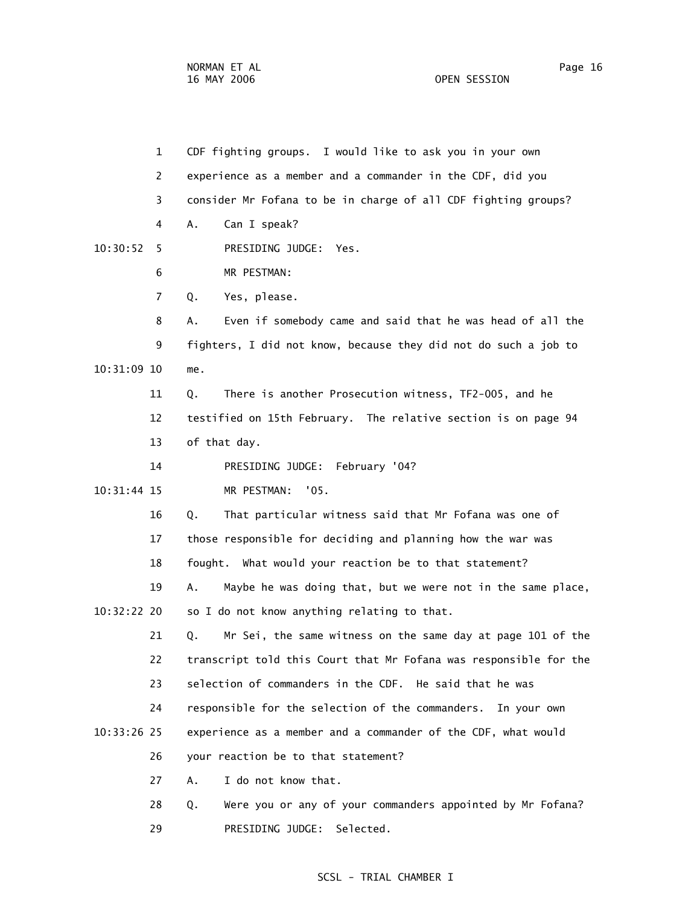1 CDF fighting groups. I would like to ask you in your own 2 experience as a member and a commander in the CDF, did you 3 consider Mr Fofana to be in charge of all CDF fighting groups? 4 A. Can I speak? 10:30:52 5 PRESIDING JUDGE: Yes. 6 MR PESTMAN: 7 Q. Yes, please. 8 A. Even if somebody came and said that he was head of all the 9 fighters, I did not know, because they did not do such a job to 10:31:09 10 me. 11 Q. There is another Prosecution witness, TF2-005, and he 12 testified on 15th February. The relative section is on page 94 13 of that day. 14 PRESIDING JUDGE: February '04? 10:31:44 15 MR PESTMAN: '05. 16 Q. That particular witness said that Mr Fofana was one of 17 those responsible for deciding and planning how the war was 18 fought. What would your reaction be to that statement? 19 A. Maybe he was doing that, but we were not in the same place, 10:32:22 20 so I do not know anything relating to that. 21 Q. Mr Sei, the same witness on the same day at page 101 of the 22 transcript told this Court that Mr Fofana was responsible for the 23 selection of commanders in the CDF. He said that he was 24 responsible for the selection of the commanders. In your own 10:33:26 25 experience as a member and a commander of the CDF, what would 26 your reaction be to that statement? 27 A. I do not know that. 28 Q. Were you or any of your commanders appointed by Mr Fofana?

### SCSL - TRIAL CHAMBER I

29 PRESIDING JUDGE: Selected.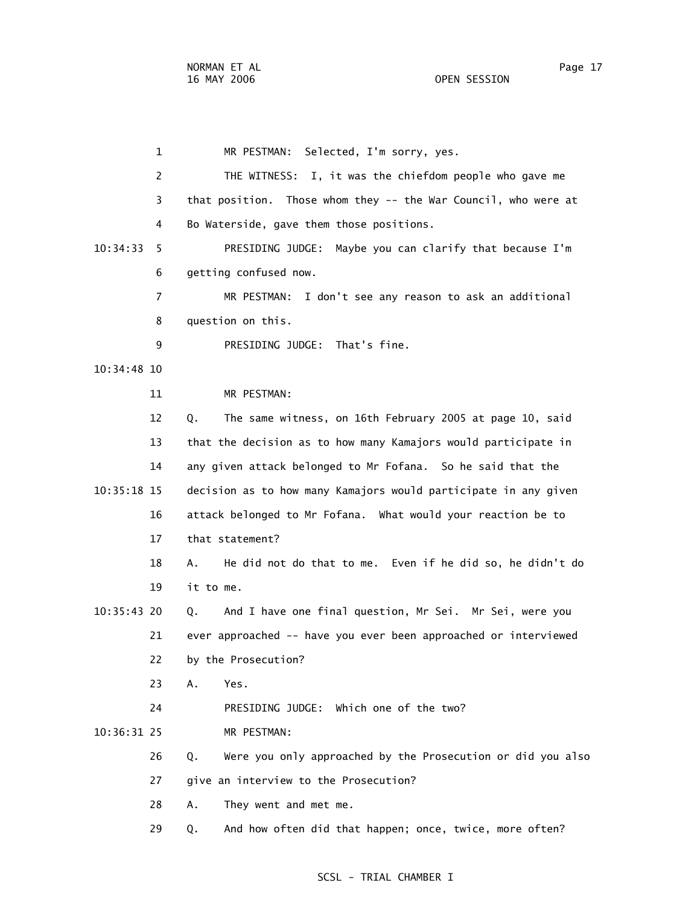1 MR PESTMAN: Selected, I'm sorry, yes. 2 THE WITNESS: I, it was the chiefdom people who gave me 3 that position. Those whom they -- the War Council, who were at 4 Bo Waterside, gave them those positions. 10:34:33 5 PRESIDING JUDGE: Maybe you can clarify that because I'm 6 getting confused now. 7 MR PESTMAN: I don't see any reason to ask an additional 8 question on this. 9 PRESIDING JUDGE: That's fine. 10:34:48 10 11 MR PESTMAN: 12 Q. The same witness, on 16th February 2005 at page 10, said 13 that the decision as to how many Kamajors would participate in 14 any given attack belonged to Mr Fofana. So he said that the 10:35:18 15 decision as to how many Kamajors would participate in any given 16 attack belonged to Mr Fofana. What would your reaction be to 17 that statement? 18 A. He did not do that to me. Even if he did so, he didn't do 19 it to me. 10:35:43 20 Q. And I have one final question, Mr Sei. Mr Sei, were you 21 ever approached -- have you ever been approached or interviewed 22 by the Prosecution? 23 A. Yes. 24 PRESIDING JUDGE: Which one of the two? 10:36:31 25 MR PESTMAN: 26 Q. Were you only approached by the Prosecution or did you also 27 give an interview to the Prosecution? 28 A. They went and met me. 29 Q. And how often did that happen; once, twice, more often?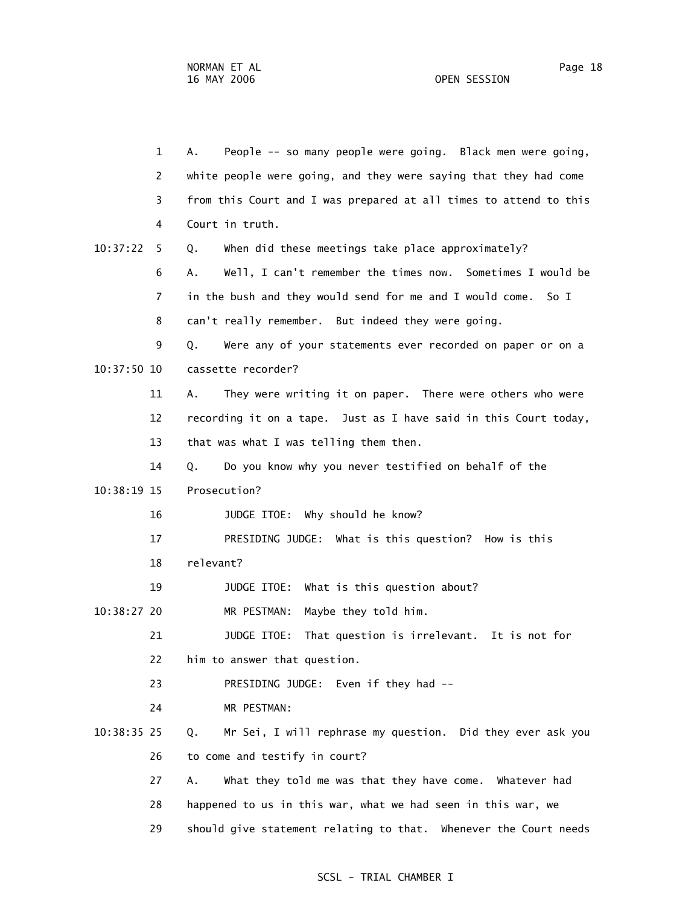1 A. People -- so many people were going. Black men were going, 2 white people were going, and they were saying that they had come 3 from this Court and I was prepared at all times to attend to this 4 Court in truth. 10:37:22 5 Q. When did these meetings take place approximately? 6 A. Well, I can't remember the times now. Sometimes I would be 7 in the bush and they would send for me and I would come. So I 8 can't really remember. But indeed they were going. 9 Q. Were any of your statements ever recorded on paper or on a 10:37:50 10 cassette recorder? 11 A. They were writing it on paper. There were others who were 12 recording it on a tape. Just as I have said in this Court today, 13 that was what I was telling them then. 14 Q. Do you know why you never testified on behalf of the 10:38:19 15 Prosecution? 16 JUDGE ITOE: Why should he know? 17 PRESIDING JUDGE: What is this question? How is this 18 relevant? 19 JUDGE ITOE: What is this question about? 10:38:27 20 MR PESTMAN: Maybe they told him. 21 JUDGE ITOE: That question is irrelevant. It is not for 22 him to answer that question. 23 PRESIDING JUDGE: Even if they had -- 24 MR PESTMAN: 10:38:35 25 Q. Mr Sei, I will rephrase my question. Did they ever ask you 26 to come and testify in court? 27 A. What they told me was that they have come. Whatever had 28 happened to us in this war, what we had seen in this war, we 29 should give statement relating to that. Whenever the Court needs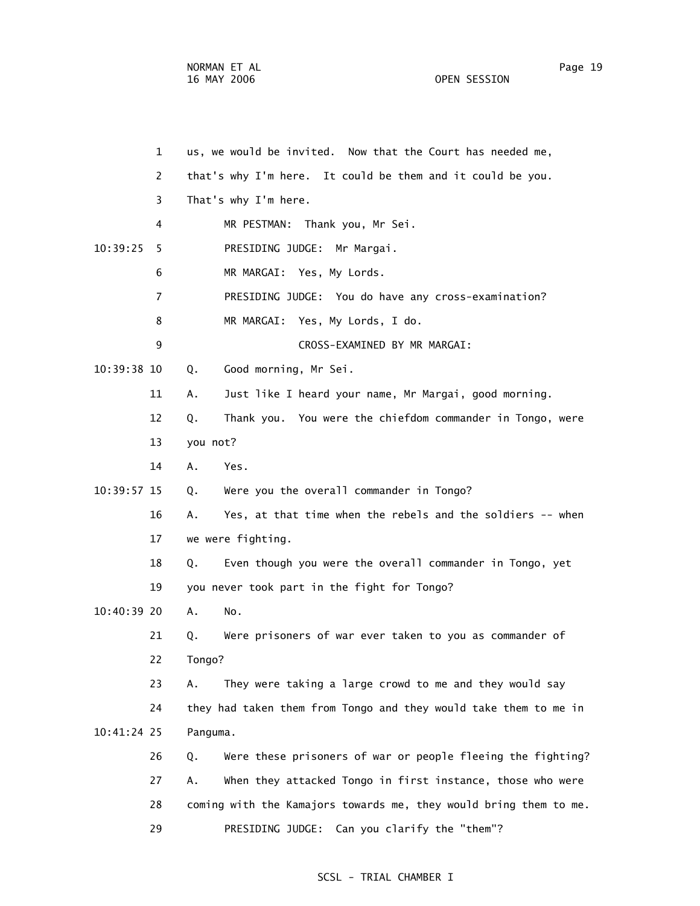1 us, we would be invited. Now that the Court has needed me, 2 that's why I'm here. It could be them and it could be you. 3 That's why I'm here. 4 MR PESTMAN: Thank you, Mr Sei. 10:39:25 5 PRESIDING JUDGE: Mr Margai. 6 MR MARGAI: Yes, My Lords. 7 PRESIDING JUDGE: You do have any cross-examination? 8 MR MARGAI: Yes, My Lords, I do. 9 CROSS-EXAMINED BY MR MARGAI: 10:39:38 10 Q. Good morning, Mr Sei. 11 A. Just like I heard your name, Mr Margai, good morning. 12 Q. Thank you. You were the chiefdom commander in Tongo, were 13 you not? 14 A. Yes. 10:39:57 15 Q. Were you the overall commander in Tongo? 16 A. Yes, at that time when the rebels and the soldiers -- when 17 we were fighting. 18 Q. Even though you were the overall commander in Tongo, yet 19 you never took part in the fight for Tongo? 10:40:39 20 A. No. 21 Q. Were prisoners of war ever taken to you as commander of 22 Tongo? 23 A. They were taking a large crowd to me and they would say 24 they had taken them from Tongo and they would take them to me in 10:41:24 25 Panguma. 26 Q. Were these prisoners of war or people fleeing the fighting?

 27 A. When they attacked Tongo in first instance, those who were 28 coming with the Kamajors towards me, they would bring them to me. 29 PRESIDING JUDGE: Can you clarify the "them"?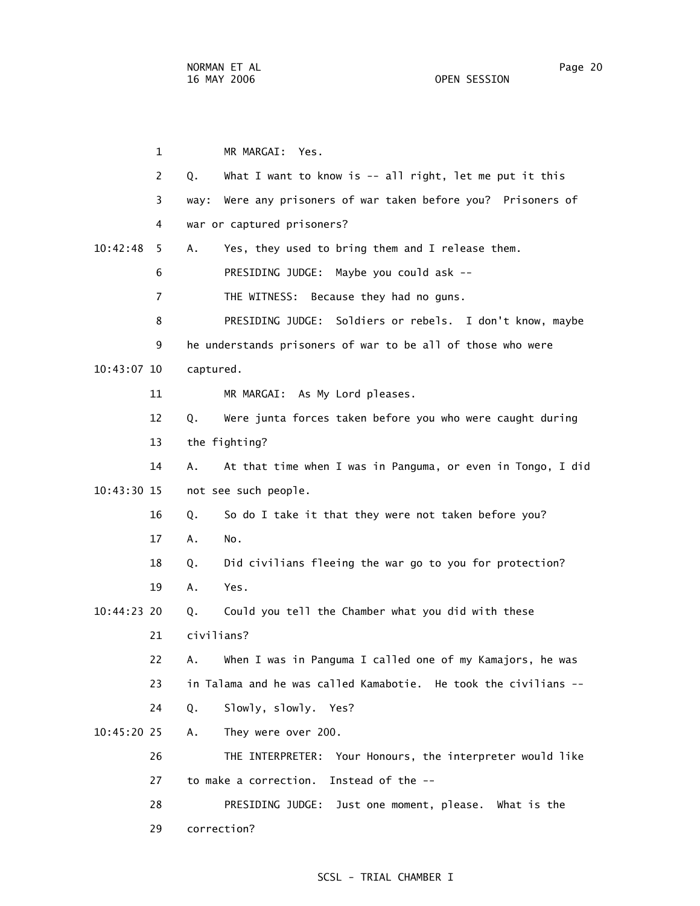1 MR MARGAI: Yes. 2 Q. What I want to know is -- all right, let me put it this 3 way: Were any prisoners of war taken before you? Prisoners of 4 war or captured prisoners? 10:42:48 5 A. Yes, they used to bring them and I release them. 6 PRESIDING JUDGE: Maybe you could ask -- 7 THE WITNESS: Because they had no guns. 8 PRESIDING JUDGE: Soldiers or rebels. I don't know, maybe 9 he understands prisoners of war to be all of those who were 10:43:07 10 captured. 11 MR MARGAI: As My Lord pleases. 12 Q. Were junta forces taken before you who were caught during 13 the fighting? 14 A. At that time when I was in Panguma, or even in Tongo, I did 10:43:30 15 not see such people. 16 Q. So do I take it that they were not taken before you? 17 A. No. 18 Q. Did civilians fleeing the war go to you for protection? 19 A. Yes. 10:44:23 20 Q. Could you tell the Chamber what you did with these 21 civilians? 22 A. When I was in Panguma I called one of my Kamajors, he was 23 in Talama and he was called Kamabotie. He took the civilians -- 24 Q. Slowly, slowly. Yes? 10:45:20 25 A. They were over 200. 26 THE INTERPRETER: Your Honours, the interpreter would like 27 to make a correction. Instead of the -- 28 PRESIDING JUDGE: Just one moment, please. What is the 29 correction?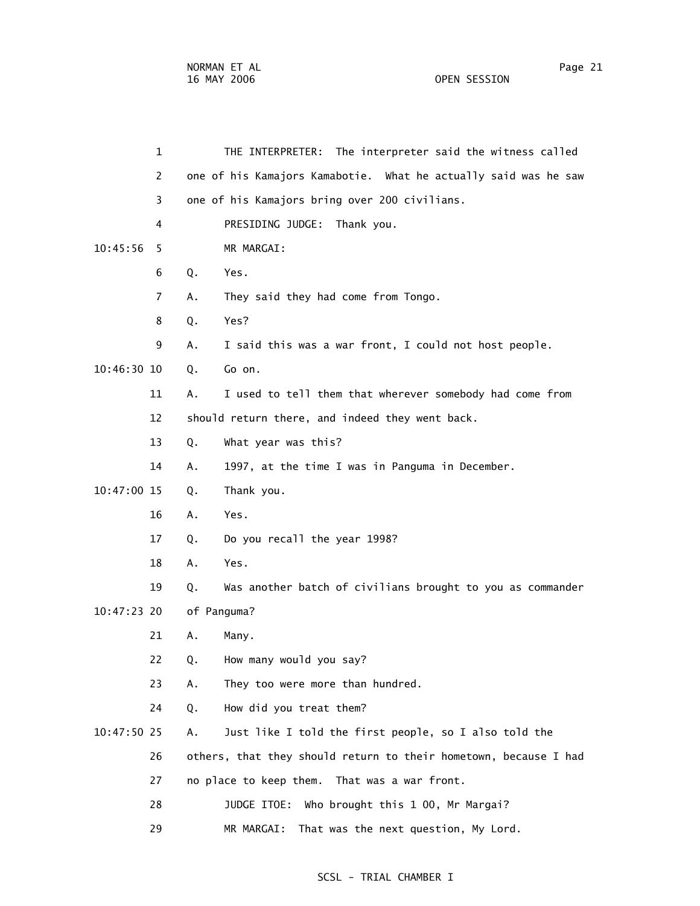1 THE INTERPRETER: The interpreter said the witness called 2 one of his Kamajors Kamabotie. What he actually said was he saw 3 one of his Kamajors bring over 200 civilians. 4 PRESIDING JUDGE: Thank you. 10:45:56 5 MR MARGAI: 6 Q. Yes. 7 A. They said they had come from Tongo. 8 Q. Yes? 9 A. I said this was a war front, I could not host people. 10:46:30 10 Q. Go on. 11 A. I used to tell them that wherever somebody had come from 12 should return there, and indeed they went back. 13 Q. What year was this? 14 A. 1997, at the time I was in Panguma in December. 10:47:00 15 Q. Thank you. 16 A. Yes. 17 Q. Do you recall the year 1998? 18 A. Yes. 19 Q. Was another batch of civilians brought to you as commander 10:47:23 20 of Panguma? 21 A. Many. 22 Q. How many would you say? 23 A. They too were more than hundred. 24 Q. How did you treat them? 10:47:50 25 A. Just like I told the first people, so I also told the 26 others, that they should return to their hometown, because I had 27 no place to keep them. That was a war front. 28 JUDGE ITOE: Who brought this 1 00, Mr Margai? 29 MR MARGAI: That was the next question, My Lord.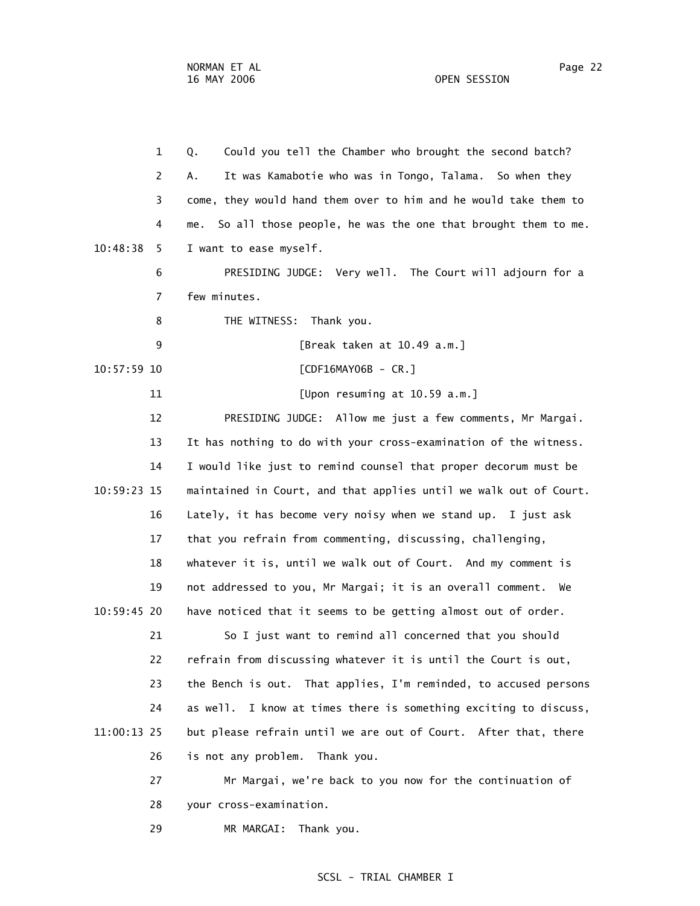1 Q. Could you tell the Chamber who brought the second batch? 2 A. It was Kamabotie who was in Tongo, Talama. So when they 3 come, they would hand them over to him and he would take them to 4 me. So all those people, he was the one that brought them to me. 10:48:38 5 I want to ease myself. 6 PRESIDING JUDGE: Very well. The Court will adjourn for a 7 few minutes. 8 THE WITNESS: Thank you. 9 [Break taken at 10.49 a.m.] 10:57:59 10 [CDF16MAY06B - CR.] 11 [Upon resuming at 10.59 a.m.] 12 PRESIDING JUDGE: Allow me just a few comments, Mr Margai. 13 It has nothing to do with your cross-examination of the witness. 14 I would like just to remind counsel that proper decorum must be 10:59:23 15 maintained in Court, and that applies until we walk out of Court. 16 Lately, it has become very noisy when we stand up. I just ask 17 that you refrain from commenting, discussing, challenging, 18 whatever it is, until we walk out of Court. And my comment is 19 not addressed to you, Mr Margai; it is an overall comment. We 10:59:45 20 have noticed that it seems to be getting almost out of order. 21 So I just want to remind all concerned that you should 22 refrain from discussing whatever it is until the Court is out, 23 the Bench is out. That applies, I'm reminded, to accused persons 24 as well. I know at times there is something exciting to discuss, 11:00:13 25 but please refrain until we are out of Court. After that, there 26 is not any problem. Thank you. 27 Mr Margai, we're back to you now for the continuation of 28 your cross-examination.

29 MR MARGAI: Thank you.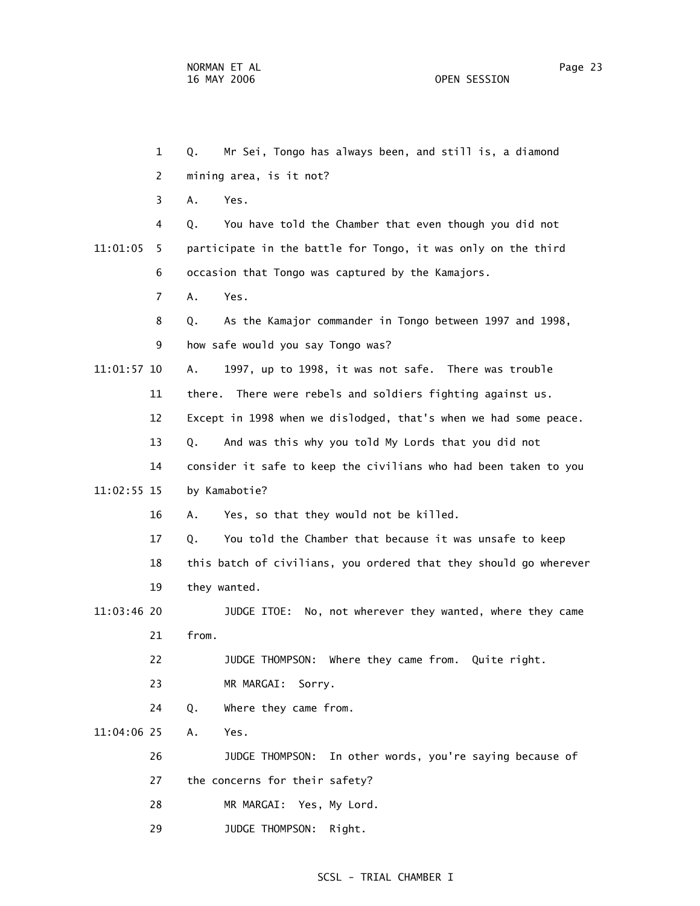1 Q. Mr Sei, Tongo has always been, and still is, a diamond 2 mining area, is it not? 3 A. Yes. 4 Q. You have told the Chamber that even though you did not 11:01:05 5 participate in the battle for Tongo, it was only on the third 6 occasion that Tongo was captured by the Kamajors. 7 A. Yes. 8 Q. As the Kamajor commander in Tongo between 1997 and 1998, 9 how safe would you say Tongo was? 11:01:57 10 A. 1997, up to 1998, it was not safe. There was trouble 11 there. There were rebels and soldiers fighting against us. 12 Except in 1998 when we dislodged, that's when we had some peace. 13 Q. And was this why you told My Lords that you did not 14 consider it safe to keep the civilians who had been taken to you 11:02:55 15 by Kamabotie? 16 A. Yes, so that they would not be killed. 17 Q. You told the Chamber that because it was unsafe to keep 18 this batch of civilians, you ordered that they should go wherever 19 they wanted. 11:03:46 20 JUDGE ITOE: No, not wherever they wanted, where they came 21 from. 22 JUDGE THOMPSON: Where they came from. Quite right. 23 MR MARGAI: Sorry. 24 Q. Where they came from. 11:04:06 25 A. Yes. 26 JUDGE THOMPSON: In other words, you're saying because of 27 the concerns for their safety? 28 MR MARGAI: Yes, My Lord. 29 JUDGE THOMPSON: Right.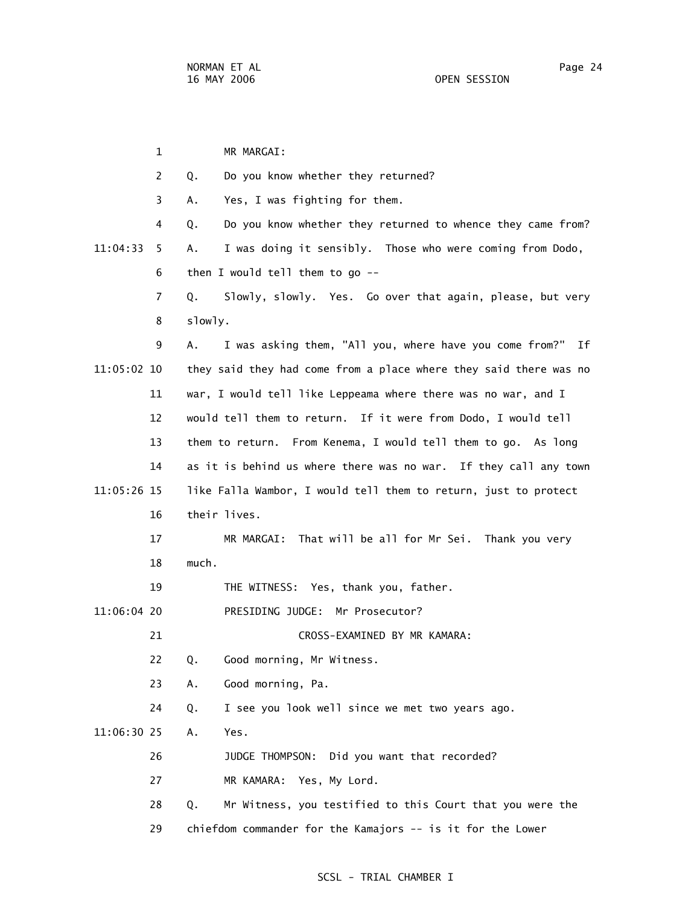1 MR MARGAI: 2 Q. Do you know whether they returned? 3 A. Yes, I was fighting for them. 4 Q. Do you know whether they returned to whence they came from? 11:04:33 5 A. I was doing it sensibly. Those who were coming from Dodo, 6 then I would tell them to go -- 7 Q. Slowly, slowly. Yes. Go over that again, please, but very 8 slowly. 9 A. I was asking them, "All you, where have you come from?" If 11:05:02 10 they said they had come from a place where they said there was no 11 war, I would tell like Leppeama where there was no war, and I 12 would tell them to return. If it were from Dodo, I would tell 13 them to return. From Kenema, I would tell them to go. As long 14 as it is behind us where there was no war. If they call any town 11:05:26 15 like Falla Wambor, I would tell them to return, just to protect 16 their lives. 17 MR MARGAI: That will be all for Mr Sei. Thank you very 18 much. 19 THE WITNESS: Yes, thank you, father. 11:06:04 20 PRESIDING JUDGE: Mr Prosecutor? 21 CROSS-EXAMINED BY MR KAMARA: 22 Q. Good morning, Mr Witness. 23 A. Good morning, Pa. 24 Q. I see you look well since we met two years ago. 11:06:30 25 A. Yes. 26 JUDGE THOMPSON: Did you want that recorded? 27 MR KAMARA: Yes, My Lord. 28 Q. Mr Witness, you testified to this Court that you were the 29 chiefdom commander for the Kamajors -- is it for the Lower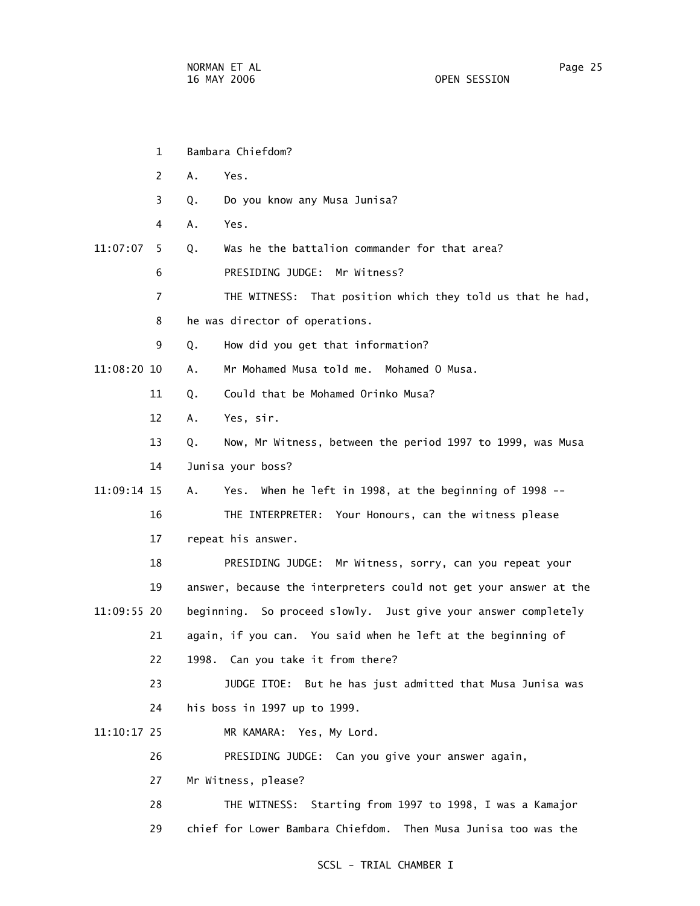1 Bambara Chiefdom? 2 A. Yes. 3 Q. Do you know any Musa Junisa? 4 A. Yes. 11:07:07 5 Q. Was he the battalion commander for that area? 6 PRESIDING JUDGE: Mr Witness? 7 THE WITNESS: That position which they told us that he had, 8 he was director of operations. 9 Q. How did you get that information? 11:08:20 10 A. Mr Mohamed Musa told me. Mohamed O Musa. 11 0. Could that be Mohamed Orinko Musa? 12 A. Yes, sir. 13 Q. Now, Mr Witness, between the period 1997 to 1999, was Musa 14 Junisa your boss? 11:09:14 15 A. Yes. When he left in 1998, at the beginning of 1998 -- 16 THE INTERPRETER: Your Honours, can the witness please 17 repeat his answer. 18 PRESIDING JUDGE: Mr Witness, sorry, can you repeat your 19 answer, because the interpreters could not get your answer at the 11:09:55 20 beginning. So proceed slowly. Just give your answer completely 21 again, if you can. You said when he left at the beginning of 22 1998. Can you take it from there? 23 JUDGE ITOE: But he has just admitted that Musa Junisa was 24 his boss in 1997 up to 1999. 11:10:17 25 MR KAMARA: Yes, My Lord. 26 PRESIDING JUDGE: Can you give your answer again, 27 Mr Witness, please? 28 THE WITNESS: Starting from 1997 to 1998, I was a Kamajor 29 chief for Lower Bambara Chiefdom. Then Musa Junisa too was the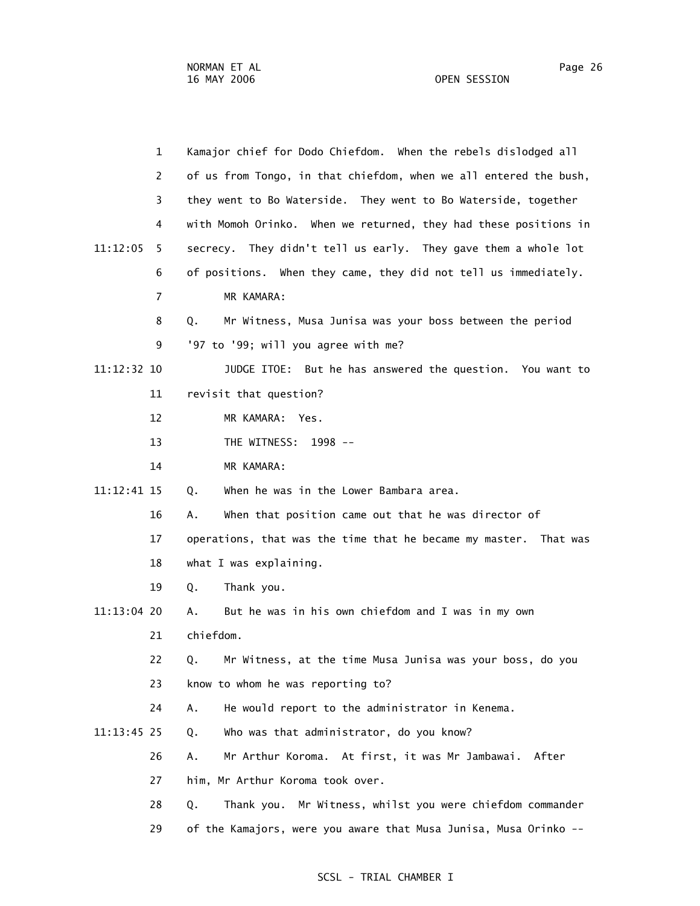| $\mathbf 1$    | Kamajor chief for Dodo Chiefdom. When the rebels dislodged all    |
|----------------|-------------------------------------------------------------------|
| $\overline{2}$ | of us from Tongo, in that chiefdom, when we all entered the bush, |
| 3              | they went to Bo Waterside. They went to Bo Waterside, together    |
| 4              | with Momoh Orinko. When we returned, they had these positions in  |
| 11:12:05<br>5  | secrecy. They didn't tell us early. They gave them a whole lot    |
| 6              | of positions. When they came, they did not tell us immediately.   |
| 7              | MR KAMARA:                                                        |
| 8              | Mr Witness, Musa Junisa was your boss between the period<br>Q.    |
| 9              | '97 to '99; will you agree with me?                               |
| 11:12:32 10    | JUDGE ITOE: But he has answered the question. You want to         |
| 11             | revisit that question?                                            |
| 12             | MR KAMARA: Yes.                                                   |
| 13             | THE WITNESS: 1998 --                                              |
| 14             | MR KAMARA:                                                        |
| 11:12:41 15    | When he was in the Lower Bambara area.<br>Q.                      |
| 16             | When that position came out that he was director of<br>А.         |
| 17             | operations, that was the time that he became my master. That was  |
| 18             | what I was explaining.                                            |
| 19             | Thank you.<br>Q.                                                  |
| 11:13:04 20    | But he was in his own chiefdom and I was in my own<br>А.          |
| 21             | chiefdom.                                                         |
| 22             | Mr Witness, at the time Musa Junisa was your boss, do you<br>Q.   |
| 23             | know to whom he was reporting to?                                 |
| 24             | He would report to the administrator in Kenema.<br>Α.             |
| 11:13:45 25    | Who was that administrator, do you know?<br>Q.                    |
| 26             | Mr Arthur Koroma. At first, it was Mr Jambawai.<br>After<br>А.    |
| 27             | him, Mr Arthur Koroma took over.                                  |
| 28             | Thank you. Mr Witness, whilst you were chiefdom commander<br>Q.   |
| 29             | of the Kamajors, were you aware that Musa Junisa, Musa Orinko --  |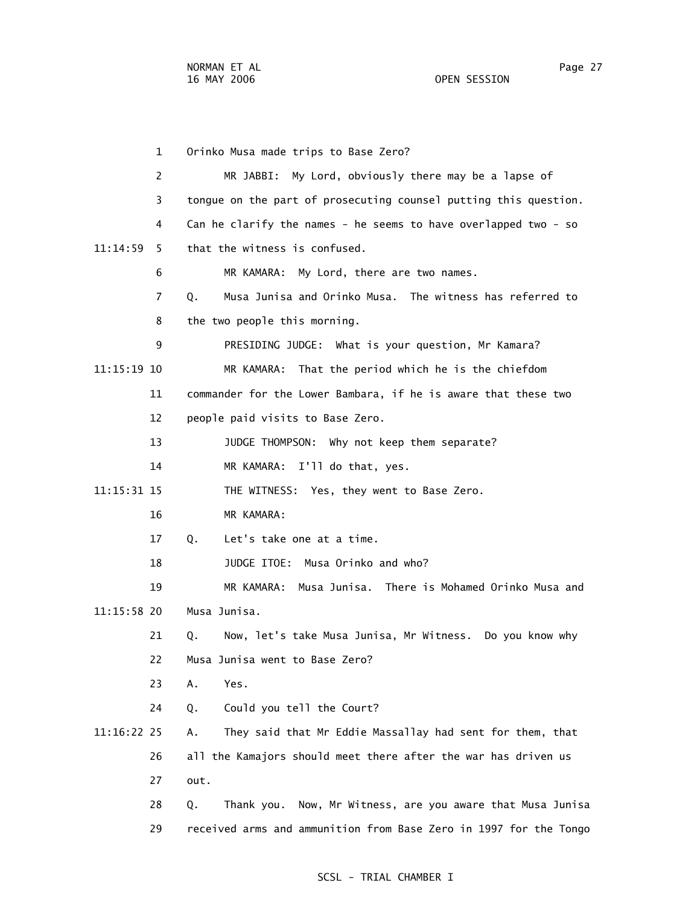1 Orinko Musa made trips to Base Zero? 2 MR JABBI: My Lord, obviously there may be a lapse of 3 tongue on the part of prosecuting counsel putting this question. 4 Can he clarify the names - he seems to have overlapped two - so 11:14:59 5 that the witness is confused. 6 MR KAMARA: My Lord, there are two names. 7 Q. Musa Junisa and Orinko Musa. The witness has referred to 8 the two people this morning. 9 PRESIDING JUDGE: What is your question, Mr Kamara? 11:15:19 10 MR KAMARA: That the period which he is the chiefdom 11 commander for the Lower Bambara, if he is aware that these two 12 people paid visits to Base Zero. 13 JUDGE THOMPSON: Why not keep them separate? 14 MR KAMARA: I'll do that, yes. 11:15:31 15 THE WITNESS: Yes, they went to Base Zero. 16 MR KAMARA: 17 Q. Let's take one at a time. 18 JUDGE ITOE: Musa Orinko and who? 19 MR KAMARA: Musa Junisa. There is Mohamed Orinko Musa and 11:15:58 20 Musa Junisa. 21 Q. Now, let's take Musa Junisa, Mr Witness. Do you know why 22 Musa Junisa went to Base Zero? 23 A. Yes. 24 Q. Could you tell the Court? 11:16:22 25 A. They said that Mr Eddie Massallay had sent for them, that 26 all the Kamajors should meet there after the war has driven us 27 out. 28 Q. Thank you. Now, Mr Witness, are you aware that Musa Junisa 29 received arms and ammunition from Base Zero in 1997 for the Tongo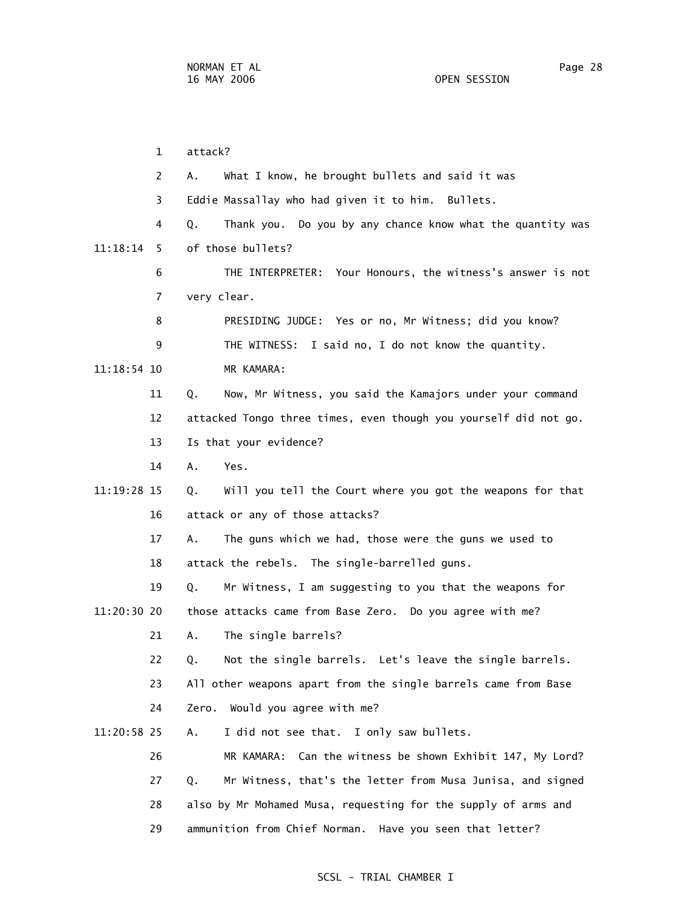1 attack? 2 A. What I know, he brought bullets and said it was 3 Eddie Massallay who had given it to him. Bullets. 4 Q. Thank you. Do you by any chance know what the quantity was 11:18:14 5 of those bullets? 6 THE INTERPRETER: Your Honours, the witness's answer is not 7 very clear. 8 PRESIDING JUDGE: Yes or no, Mr Witness; did you know? 9 THE WITNESS: I said no, I do not know the quantity. 11:18:54 10 MR KAMARA: 11 Q. Now, Mr Witness, you said the Kamajors under your command 12 attacked Tongo three times, even though you yourself did not go. 13 Is that your evidence? 14 A. Yes. 11:19:28 15 Q. Will you tell the Court where you got the weapons for that 16 attack or any of those attacks? 17 A. The guns which we had, those were the guns we used to 18 attack the rebels. The single-barrelled guns. 19 Q. Mr Witness, I am suggesting to you that the weapons for 11:20:30 20 those attacks came from Base Zero. Do you agree with me? 21 A. The single barrels? 22 Q. Not the single barrels. Let's leave the single barrels. 23 All other weapons apart from the single barrels came from Base 24 Zero. Would you agree with me? 11:20:58 25 A. I did not see that. I only saw bullets. 26 MR KAMARA: Can the witness be shown Exhibit 147, My Lord? 27 Q. Mr Witness, that's the letter from Musa Junisa, and signed 28 also by Mr Mohamed Musa, requesting for the supply of arms and 29 ammunition from Chief Norman. Have you seen that letter?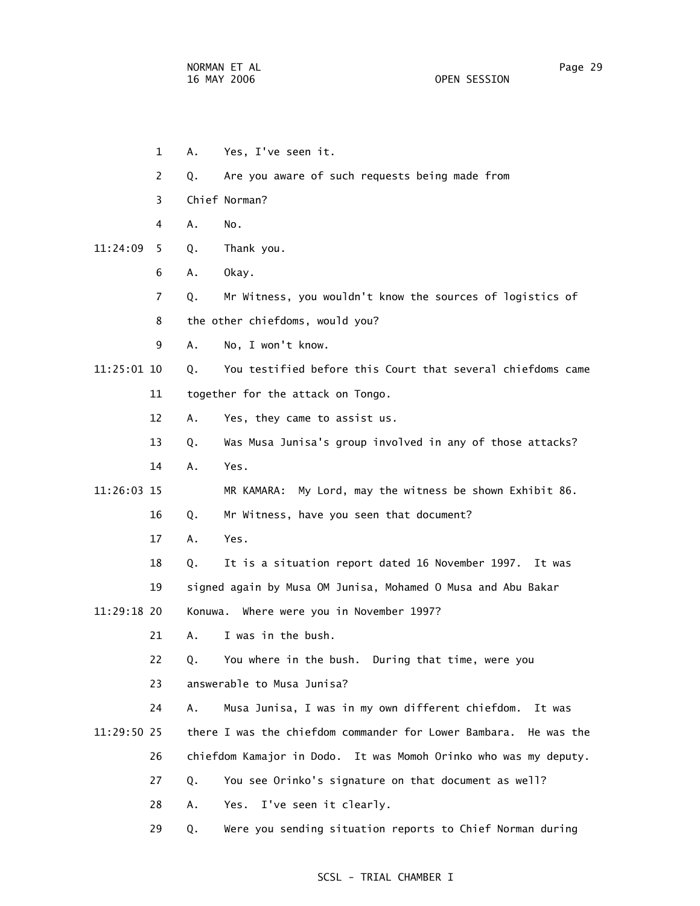- 1 A. Yes, I've seen it.
- 2 Q. Are you aware of such requests being made from
- 3 Chief Norman?
- 4 A. No.
	- 11:24:09 5 Q. Thank you.
		- 6 A. Okay.
		- 7 Q. Mr Witness, you wouldn't know the sources of logistics of
		- 8 the other chiefdoms, would you?
		- 9 A. No, I won't know.

11:25:01 10 Q. You testified before this Court that several chiefdoms came

- 11 together for the attack on Tongo.
- 12 A. Yes, they came to assist us.
- 13 Q. Was Musa Junisa's group involved in any of those attacks?
- 14 A. Yes.

11:26:03 15 MR KAMARA: My Lord, may the witness be shown Exhibit 86.

- 16 Q. Mr Witness, have you seen that document?
- 17 A. Yes.
- 18 Q. It is a situation report dated 16 November 1997. It was

19 signed again by Musa OM Junisa, Mohamed O Musa and Abu Bakar

11:29:18 20 Konuwa. Where were you in November 1997?

21 A. I was in the bush.

22 Q. You where in the bush. During that time, were you

- 23 answerable to Musa Junisa?
- 24 A. Musa Junisa, I was in my own different chiefdom. It was 11:29:50 25 there I was the chiefdom commander for Lower Bambara. He was the 26 chiefdom Kamajor in Dodo. It was Momoh Orinko who was my deputy.
	- 27 Q. You see Orinko's signature on that document as well?
	- 28 A. Yes. I've seen it clearly.
	- 29 Q. Were you sending situation reports to Chief Norman during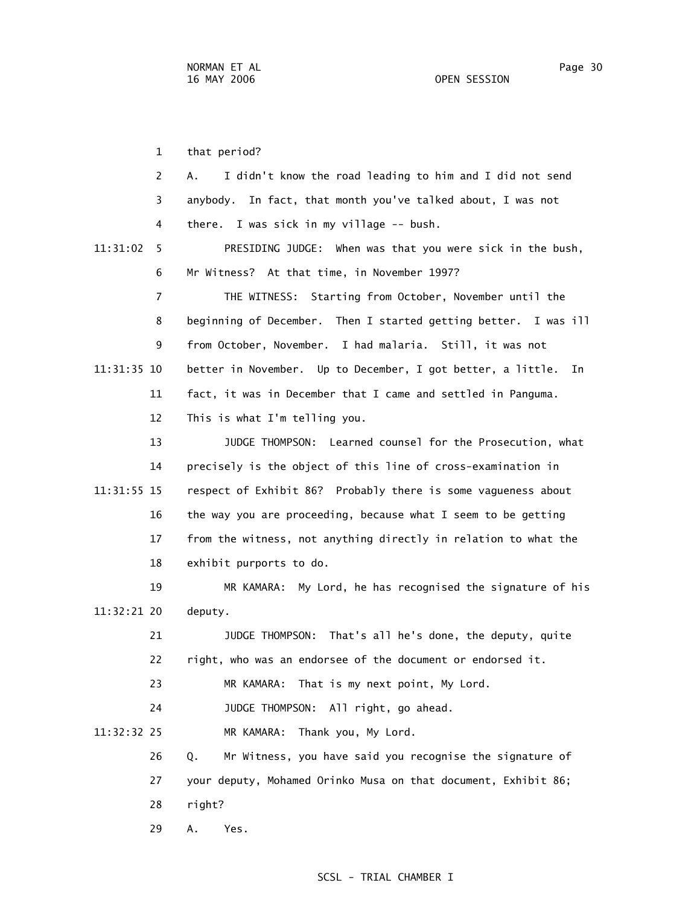1 that period? 2 A. I didn't know the road leading to him and I did not send 3 anybody. In fact, that month you've talked about, I was not 4 there. I was sick in my village -- bush. 11:31:02 5 PRESIDING JUDGE: When was that you were sick in the bush, 6 Mr Witness? At that time, in November 1997? 7 THE WITNESS: Starting from October, November until the 8 beginning of December. Then I started getting better. I was ill 9 from October, November. I had malaria. Still, it was not 11:31:35 10 better in November. Up to December, I got better, a little. In 11 fact, it was in December that I came and settled in Panguma. 12 This is what I'm telling you. 13 JUDGE THOMPSON: Learned counsel for the Prosecution, what 14 precisely is the object of this line of cross-examination in 11:31:55 15 respect of Exhibit 86? Probably there is some vagueness about 16 the way you are proceeding, because what I seem to be getting 17 from the witness, not anything directly in relation to what the 18 exhibit purports to do. 19 MR KAMARA: My Lord, he has recognised the signature of his 11:32:21 20 deputy. 21 JUDGE THOMPSON: That's all he's done, the deputy, quite 22 right, who was an endorsee of the document or endorsed it. 23 MR KAMARA: That is my next point, My Lord. 24 JUDGE THOMPSON: All right, go ahead. 11:32:32 25 MR KAMARA: Thank you, My Lord. 26 Q. Mr Witness, you have said you recognise the signature of 27 your deputy, Mohamed Orinko Musa on that document, Exhibit 86; 28 right? 29 A. Yes.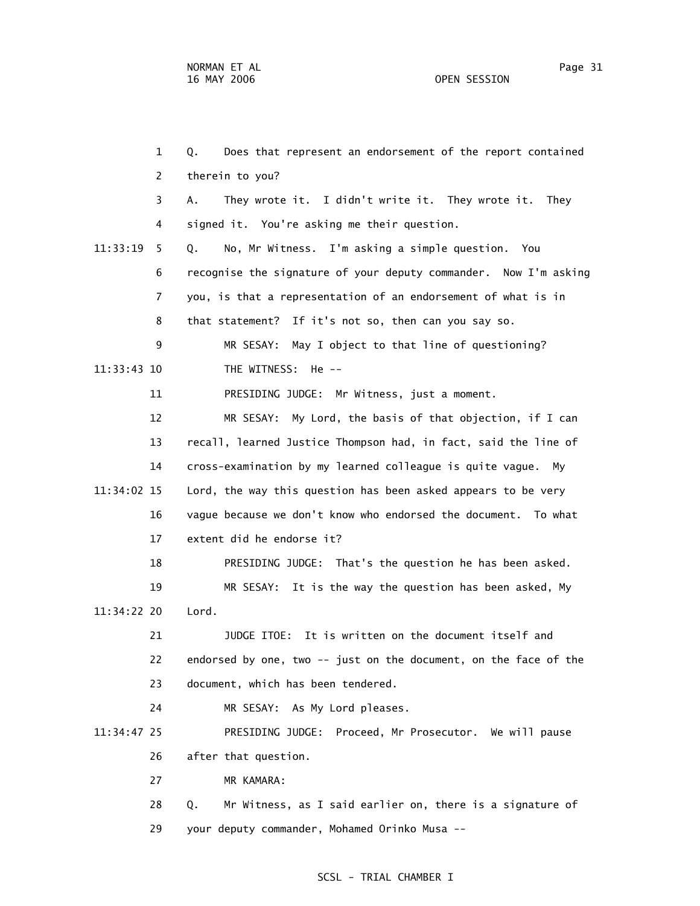1 Q. Does that represent an endorsement of the report contained 2 therein to you? 3 A. They wrote it. I didn't write it. They wrote it. They 4 signed it. You're asking me their question. 11:33:19 5 Q. No, Mr Witness. I'm asking a simple question. You 6 recognise the signature of your deputy commander. Now I'm asking 7 you, is that a representation of an endorsement of what is in 8 that statement? If it's not so, then can you say so. 9 MR SESAY: May I object to that line of questioning? 11:33:43 10 THE WITNESS: He -- 11 PRESIDING JUDGE: Mr Witness, just a moment. 12 MR SESAY: My Lord, the basis of that objection, if I can 13 recall, learned Justice Thompson had, in fact, said the line of 14 cross-examination by my learned colleague is quite vague. My 11:34:02 15 Lord, the way this question has been asked appears to be very 16 vague because we don't know who endorsed the document. To what 17 extent did he endorse it? 18 PRESIDING JUDGE: That's the question he has been asked. 19 MR SESAY: It is the way the question has been asked, My 11:34:22 20 Lord. 21 JUDGE ITOE: It is written on the document itself and 22 endorsed by one, two -- just on the document, on the face of the 23 document, which has been tendered. 24 MR SESAY: As My Lord pleases. 11:34:47 25 PRESIDING JUDGE: Proceed, Mr Prosecutor. We will pause 26 after that question. 27 MR KAMARA: 28 Q. Mr Witness, as I said earlier on, there is a signature of 29 your deputy commander, Mohamed Orinko Musa --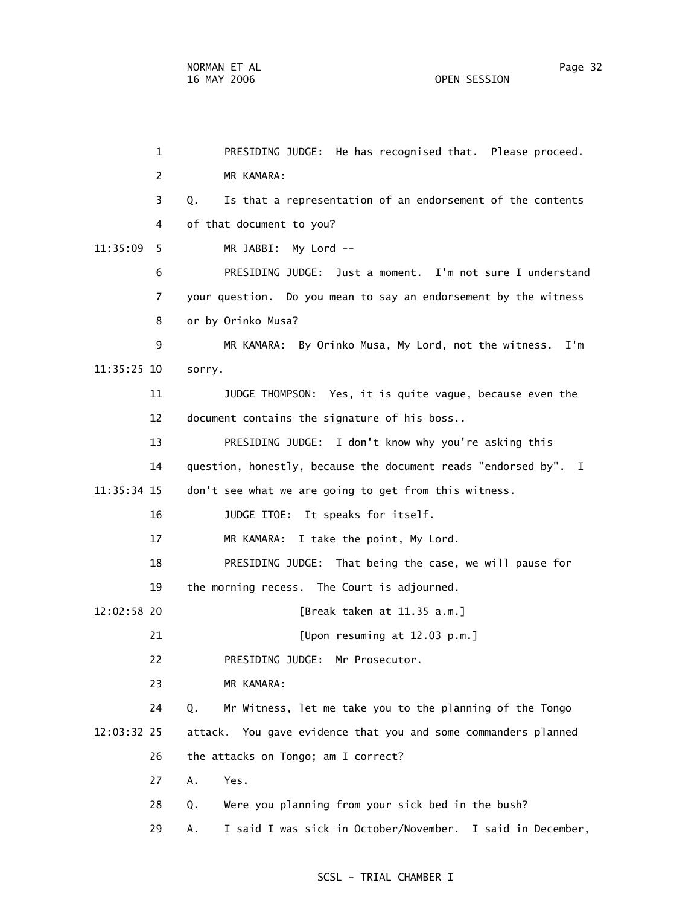1 PRESIDING JUDGE: He has recognised that. Please proceed. 2 MR KAMARA: 3 Q. Is that a representation of an endorsement of the contents 4 of that document to you? 11:35:09 5 MR JABBI: My Lord -- 6 PRESIDING JUDGE: Just a moment. I'm not sure I understand 7 your question. Do you mean to say an endorsement by the witness 8 or by Orinko Musa? 9 MR KAMARA: By Orinko Musa, My Lord, not the witness. I'm 11:35:25 10 sorry. 11 JUDGE THOMPSON: Yes, it is quite vague, because even the 12 document contains the signature of his boss.. 13 PRESIDING JUDGE: I don't know why you're asking this 14 question, honestly, because the document reads "endorsed by". I 11:35:34 15 don't see what we are going to get from this witness. 16 JUDGE ITOE: It speaks for itself. 17 MR KAMARA: I take the point, My Lord. 18 PRESIDING JUDGE: That being the case, we will pause for 19 the morning recess. The Court is adjourned. 12:02:58 20 [Break taken at 11.35 a.m.] 21 [Upon resuming at 12.03 p.m.] 22 PRESIDING JUDGE: Mr Prosecutor. 23 MR KAMARA: 24 Q. Mr Witness, let me take you to the planning of the Tongo 12:03:32 25 attack. You gave evidence that you and some commanders planned 26 the attacks on Tongo; am I correct? 27 A. Yes. 28 Q. Were you planning from your sick bed in the bush? 29 A. I said I was sick in October/November. I said in December,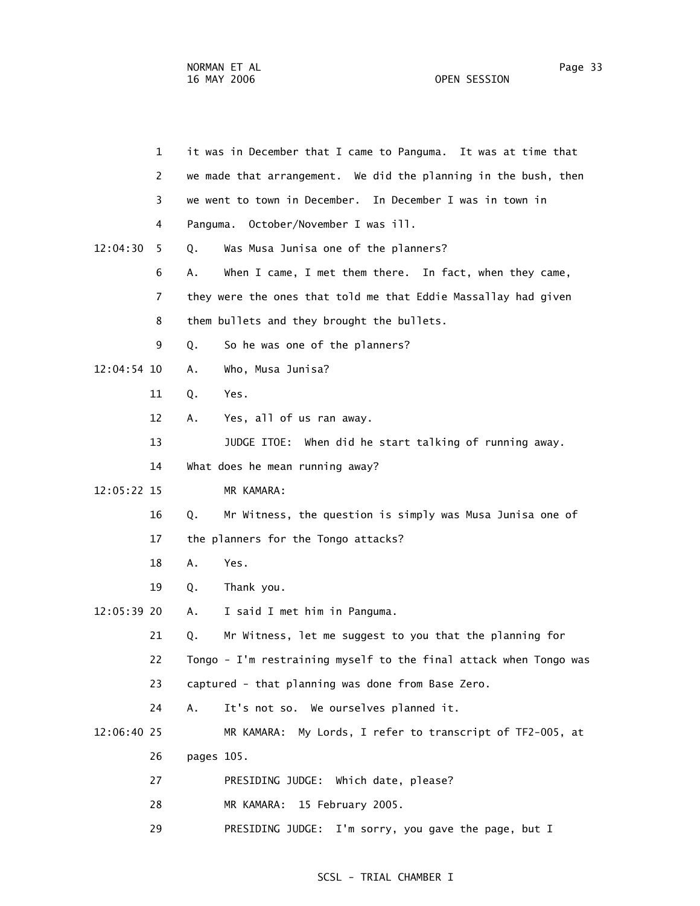| $\mathbf 1$    | it was in December that I came to Panguma. It was at time that    |
|----------------|-------------------------------------------------------------------|
| $\overline{2}$ | we made that arrangement. We did the planning in the bush, then   |
| 3              | we went to town in December. In December I was in town in         |
| 4              | October/November I was ill.<br>Panguma.                           |
| 12:04:30<br>5. | Was Musa Junisa one of the planners?<br>Q.                        |
| 6              | When I came, I met them there. In fact, when they came,<br>Α.     |
| $\overline{7}$ | they were the ones that told me that Eddie Massallay had given    |
| 8              | them bullets and they brought the bullets.                        |
| 9              | So he was one of the planners?<br>Q.                              |
| $12:04:54$ 10  | Who, Musa Junisa?<br>Α.                                           |
| 11             | Q.<br>Yes.                                                        |
| 12             | Yes, all of us ran away.<br>Α.                                    |
| 13             | JUDGE ITOE: When did he start talking of running away.            |
| 14             | What does he mean running away?                                   |
| 12:05:22 15    | MR KAMARA:                                                        |
| 16             | Mr Witness, the question is simply was Musa Junisa one of<br>Q.   |
| 17             | the planners for the Tongo attacks?                               |
| 18             | Α.<br>Yes.                                                        |
| 19             | Thank you.<br>Q.                                                  |
| 12:05:39 20    | I said I met him in Panguma.<br>Α.                                |
| 21             | Mr Witness, let me suggest to you that the planning for<br>Q.     |
| 22             | Tongo - I'm restraining myself to the final attack when Tongo was |
| 23             | captured - that planning was done from Base Zero.                 |
| 24             | It's not so. We ourselves planned it.<br>Α.                       |
| 12:06:40 25    | MR KAMARA: My Lords, I refer to transcript of TF2-005, at         |
| 26             | pages 105.                                                        |
| 27             | PRESIDING JUDGE: Which date, please?                              |
| 28             | 15 February 2005.<br>MR KAMARA:                                   |
| 29             | PRESIDING JUDGE:<br>I'm sorry, you gave the page, but I           |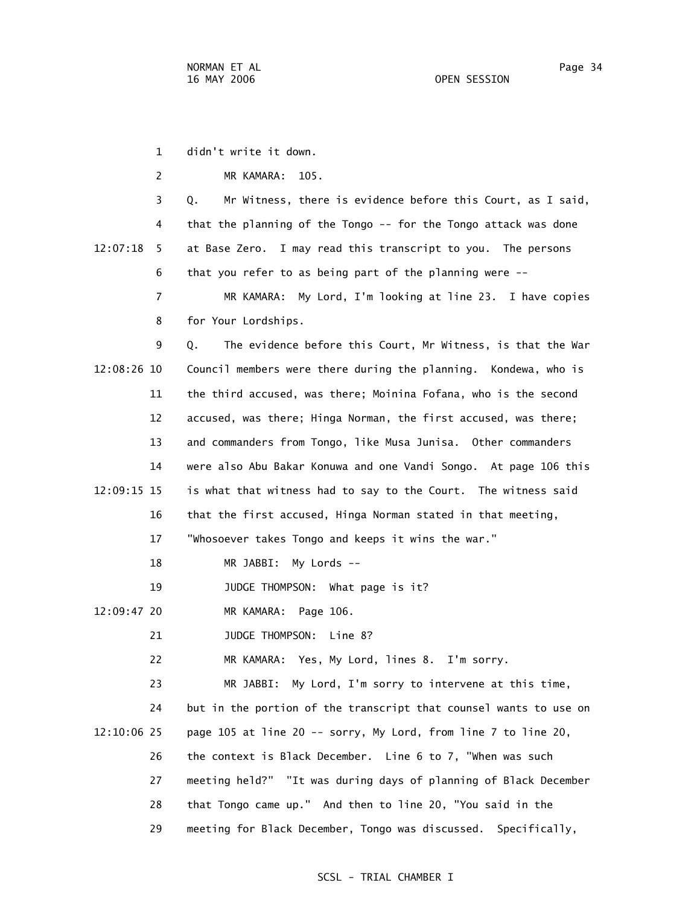1 didn't write it down. 2 MR KAMARA: 105. 3 Q. Mr Witness, there is evidence before this Court, as I said, 4 that the planning of the Tongo -- for the Tongo attack was done 12:07:18 5 at Base Zero. I may read this transcript to you. The persons 6 that you refer to as being part of the planning were -- 7 MR KAMARA: My Lord, I'm looking at line 23. I have copies 8 for Your Lordships. 9 Q. The evidence before this Court, Mr Witness, is that the War 12:08:26 10 Council members were there during the planning. Kondewa, who is 11 the third accused, was there; Moinina Fofana, who is the second 12 accused, was there; Hinga Norman, the first accused, was there; 13 and commanders from Tongo, like Musa Junisa. Other commanders 14 were also Abu Bakar Konuwa and one Vandi Songo. At page 106 this 12:09:15 15 is what that witness had to say to the Court. The witness said 16 that the first accused, Hinga Norman stated in that meeting, 17 "Whosoever takes Tongo and keeps it wins the war." 18 MR JABBI: My Lords -- 19 JUDGE THOMPSON: What page is it? 12:09:47 20 MR KAMARA: Page 106. 21 JUDGE THOMPSON: Line 8? 22 MR KAMARA: Yes, My Lord, lines 8. I'm sorry. 23 MR JABBI: My Lord, I'm sorry to intervene at this time, 24 but in the portion of the transcript that counsel wants to use on 12:10:06 25 page 105 at line 20 -- sorry, My Lord, from line 7 to line 20, 26 the context is Black December. Line 6 to 7, "When was such 27 meeting held?" "It was during days of planning of Black December 28 that Tongo came up." And then to line 20, "You said in the 29 meeting for Black December, Tongo was discussed. Specifically,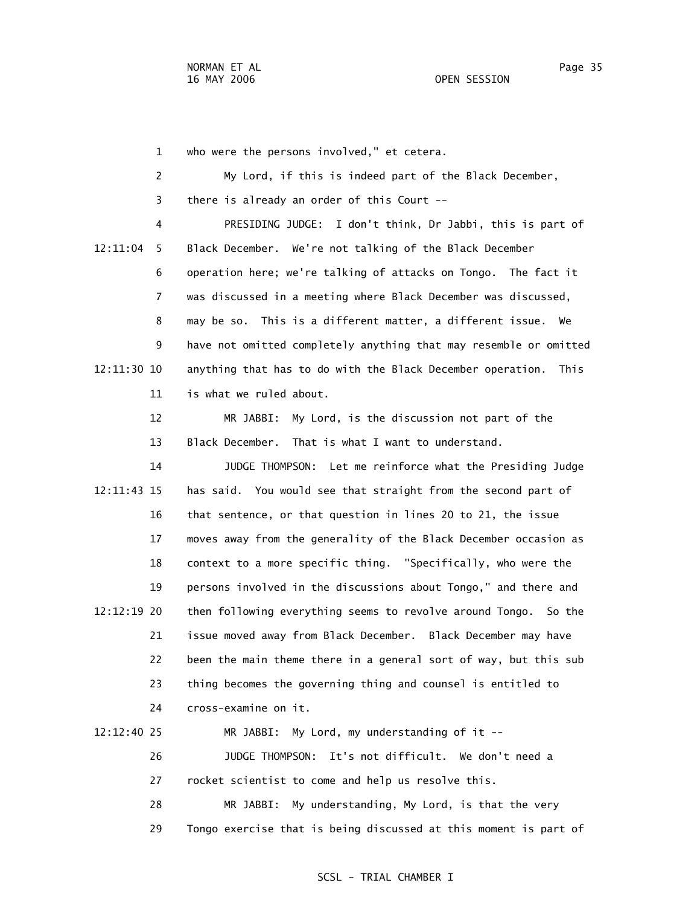1 who were the persons involved," et cetera.

 2 My Lord, if this is indeed part of the Black December, 3 there is already an order of this Court --

 4 PRESIDING JUDGE: I don't think, Dr Jabbi, this is part of 12:11:04 5 Black December. We're not talking of the Black December 6 operation here; we're talking of attacks on Tongo. The fact it 7 was discussed in a meeting where Black December was discussed, 8 may be so. This is a different matter, a different issue. We 9 have not omitted completely anything that may resemble or omitted 12:11:30 10 anything that has to do with the Black December operation. This 11 is what we ruled about.

> 12 MR JABBI: My Lord, is the discussion not part of the 13 Black December. That is what I want to understand.

 14 JUDGE THOMPSON: Let me reinforce what the Presiding Judge 12:11:43 15 has said. You would see that straight from the second part of 16 that sentence, or that question in lines 20 to 21, the issue 17 moves away from the generality of the Black December occasion as 18 context to a more specific thing. "Specifically, who were the 19 persons involved in the discussions about Tongo," and there and 12:12:19 20 then following everything seems to revolve around Tongo. So the 21 issue moved away from Black December. Black December may have 22 been the main theme there in a general sort of way, but this sub 23 thing becomes the governing thing and counsel is entitled to 24 cross-examine on it.

 12:12:40 25 MR JABBI: My Lord, my understanding of it -- 26 JUDGE THOMPSON: It's not difficult. We don't need a 27 rocket scientist to come and help us resolve this. 28 MR JABBI: My understanding, My Lord, is that the very

29 Tongo exercise that is being discussed at this moment is part of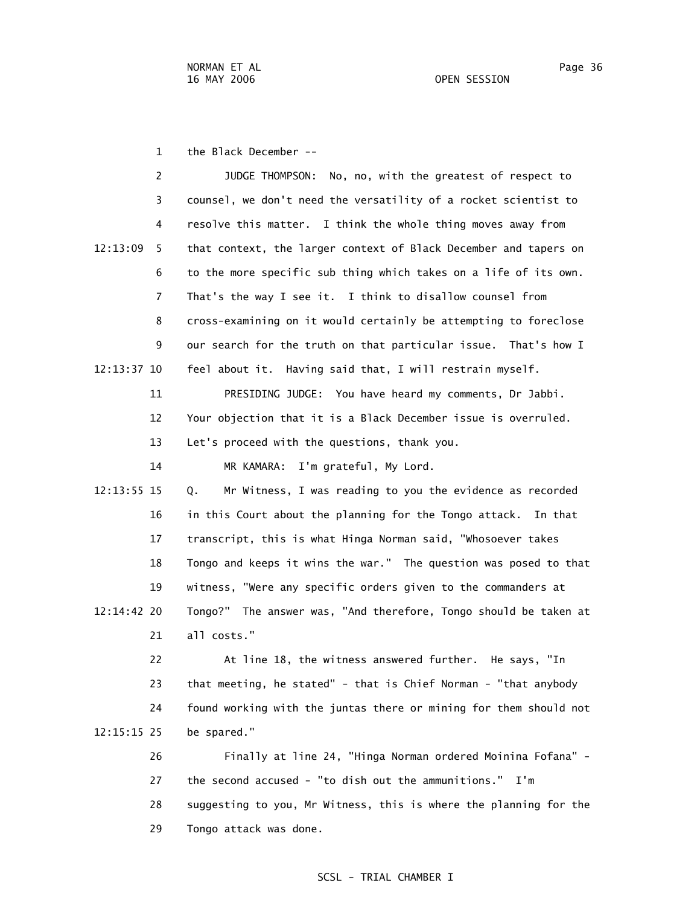1 the Black December --

|               | 2              | No, no, with the greatest of respect to<br>JUDGE THOMPSON:        |
|---------------|----------------|-------------------------------------------------------------------|
|               | 3              | counsel, we don't need the versatility of a rocket scientist to   |
|               | 4              | resolve this matter. I think the whole thing moves away from      |
| 12:13:09      | 5.             | that context, the larger context of Black December and tapers on  |
|               | 6              | to the more specific sub thing which takes on a life of its own.  |
|               | $\overline{7}$ | That's the way I see it. I think to disallow counsel from         |
|               | 8              | cross-examining on it would certainly be attempting to foreclose  |
|               | 9              | our search for the truth on that particular issue. That's how I   |
| 12:13:37 10   |                | feel about it. Having said that, I will restrain myself.          |
|               | 11             | PRESIDING JUDGE: You have heard my comments, Dr Jabbi.            |
|               | 12             | Your objection that it is a Black December issue is overruled.    |
|               | 13             | Let's proceed with the questions, thank you.                      |
|               | 14             | I'm grateful, My Lord.<br>MR KAMARA:                              |
| $12:13:55$ 15 |                | Mr Witness, I was reading to you the evidence as recorded<br>Q.   |
|               | 16             | in this Court about the planning for the Tongo attack.<br>In that |
|               | 17             | transcript, this is what Hinga Norman said, "Whosoever takes      |
|               | 18             | Tongo and keeps it wins the war." The question was posed to that  |
|               | 19             | witness, "Were any specific orders given to the commanders at     |
| 12:14:42 20   |                | Tongo?" The answer was, "And therefore, Tongo should be taken at  |
|               | 21             | all costs."                                                       |
|               | 22             | At line 18, the witness answered further.<br>He says, "In         |
|               | 23             | that meeting, he stated" - that is Chief Norman - "that anybody   |
|               | 24             | found working with the juntas there or mining for them should not |
| 12:15:15 25   |                | be spared."                                                       |
|               | 26             | Finally at line 24, "Hinga Norman ordered Moinina Fofana" -       |
|               | 27             | the second accused - "to dish out the ammunitions." I'm           |
|               | 28             | suggesting to you, Mr Witness, this is where the planning for the |
|               |                |                                                                   |

29 Tongo attack was done.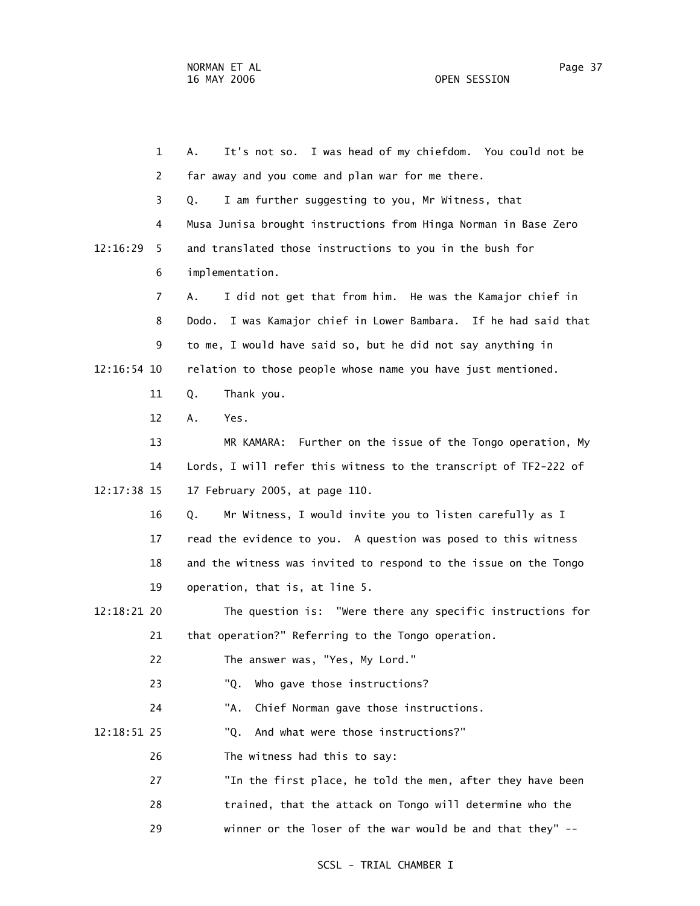1 A. It's not so. I was head of my chiefdom. You could not be 2 far away and you come and plan war for me there. 3 Q. I am further suggesting to you, Mr Witness, that 4 Musa Junisa brought instructions from Hinga Norman in Base Zero 12:16:29 5 and translated those instructions to you in the bush for 6 implementation. 7 A. I did not get that from him. He was the Kamajor chief in 8 Dodo. I was Kamajor chief in Lower Bambara. If he had said that 9 to me, I would have said so, but he did not say anything in 12:16:54 10 relation to those people whose name you have just mentioned. 11 Q. Thank you. 12 A. Yes. 13 MR KAMARA: Further on the issue of the Tongo operation, My 14 Lords, I will refer this witness to the transcript of TF2-222 of 12:17:38 15 17 February 2005, at page 110. 16 Q. Mr Witness, I would invite you to listen carefully as I 17 read the evidence to you. A question was posed to this witness 18 and the witness was invited to respond to the issue on the Tongo 19 operation, that is, at line 5. 12:18:21 20 The question is: "Were there any specific instructions for 21 that operation?" Referring to the Tongo operation. 22 The answer was, "Yes, My Lord." 23 "Q. Who gave those instructions? 24 "A. Chief Norman gave those instructions. 12:18:51 25 "Q. And what were those instructions?" 26 The witness had this to say: 27 "In the first place, he told the men, after they have been 28 trained, that the attack on Tongo will determine who the 29 winner or the loser of the war would be and that they" --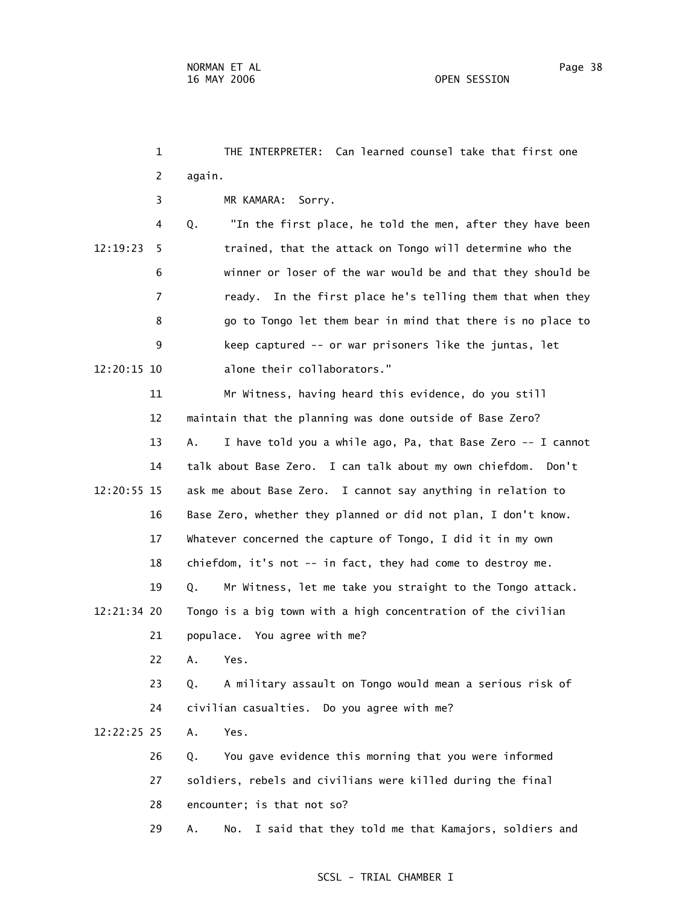1 THE INTERPRETER: Can learned counsel take that first one 2 again. 3 MR KAMARA: Sorry. 4 Q. "In the first place, he told the men, after they have been 12:19:23 5 trained, that the attack on Tongo will determine who the 6 winner or loser of the war would be and that they should be 7 ready. In the first place he's telling them that when they 8 go to Tongo let them bear in mind that there is no place to 9 keep captured -- or war prisoners like the juntas, let 12:20:15 10 alone their collaborators." 11 Mr Witness, having heard this evidence, do you still 12 maintain that the planning was done outside of Base Zero? 13 A. I have told you a while ago, Pa, that Base Zero -- I cannot 14 talk about Base Zero. I can talk about my own chiefdom. Don't 12:20:55 15 ask me about Base Zero. I cannot say anything in relation to 16 Base Zero, whether they planned or did not plan, I don't know. 17 Whatever concerned the capture of Tongo, I did it in my own 18 chiefdom, it's not -- in fact, they had come to destroy me. 19 Q. Mr Witness, let me take you straight to the Tongo attack. 12:21:34 20 Tongo is a big town with a high concentration of the civilian 21 populace. You agree with me? 22 A. Yes. 23 Q. A military assault on Tongo would mean a serious risk of 24 civilian casualties. Do you agree with me? 12:22:25 25 A. Yes. 26 Q. You gave evidence this morning that you were informed 27 soldiers, rebels and civilians were killed during the final 28 encounter; is that not so? 29 A. No. I said that they told me that Kamajors, soldiers and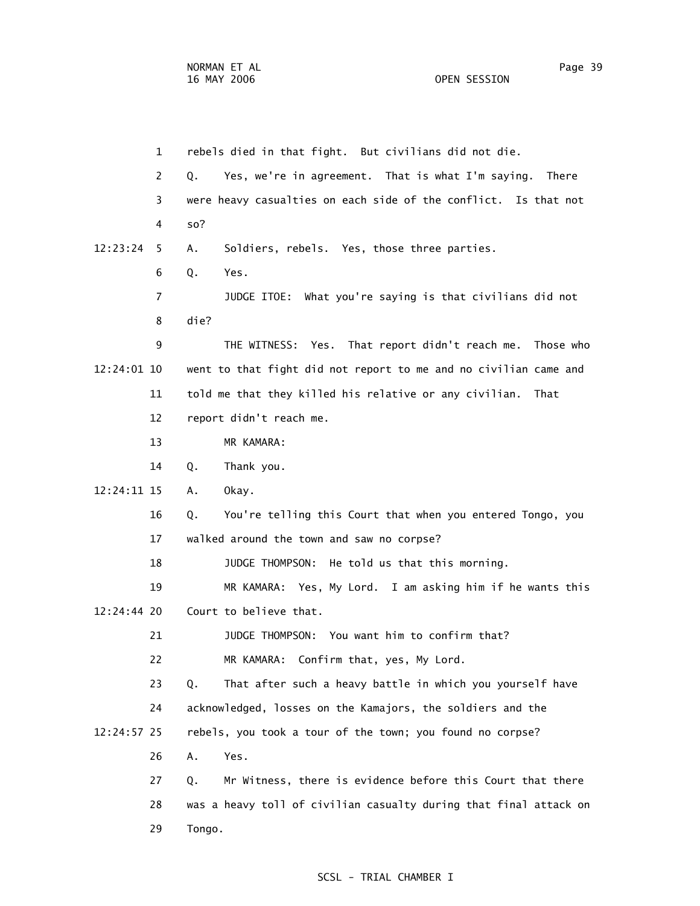1 rebels died in that fight. But civilians did not die. 2 Q. Yes, we're in agreement. That is what I'm saying. There 3 were heavy casualties on each side of the conflict. Is that not 4 so? 12:23:24 5 A. Soldiers, rebels. Yes, those three parties. 6 Q. Yes. 7 JUDGE ITOE: What you're saying is that civilians did not 8 die? 9 THE WITNESS: Yes. That report didn't reach me. Those who 12:24:01 10 went to that fight did not report to me and no civilian came and 11 told me that they killed his relative or any civilian. That 12 report didn't reach me. 13 MR KAMARA: 14 Q. Thank you. 12:24:11 15 A. Okay. 16 Q. You're telling this Court that when you entered Tongo, you 17 walked around the town and saw no corpse? 18 JUDGE THOMPSON: He told us that this morning. 19 MR KAMARA: Yes, My Lord. I am asking him if he wants this 12:24:44 20 Court to believe that. 21 JUDGE THOMPSON: You want him to confirm that? 22 MR KAMARA: Confirm that, yes, My Lord. 23 Q. That after such a heavy battle in which you yourself have 24 acknowledged, losses on the Kamajors, the soldiers and the 12:24:57 25 rebels, you took a tour of the town; you found no corpse? 26 A. Yes. 27 Q. Mr Witness, there is evidence before this Court that there 28 was a heavy toll of civilian casualty during that final attack on 29 Tongo.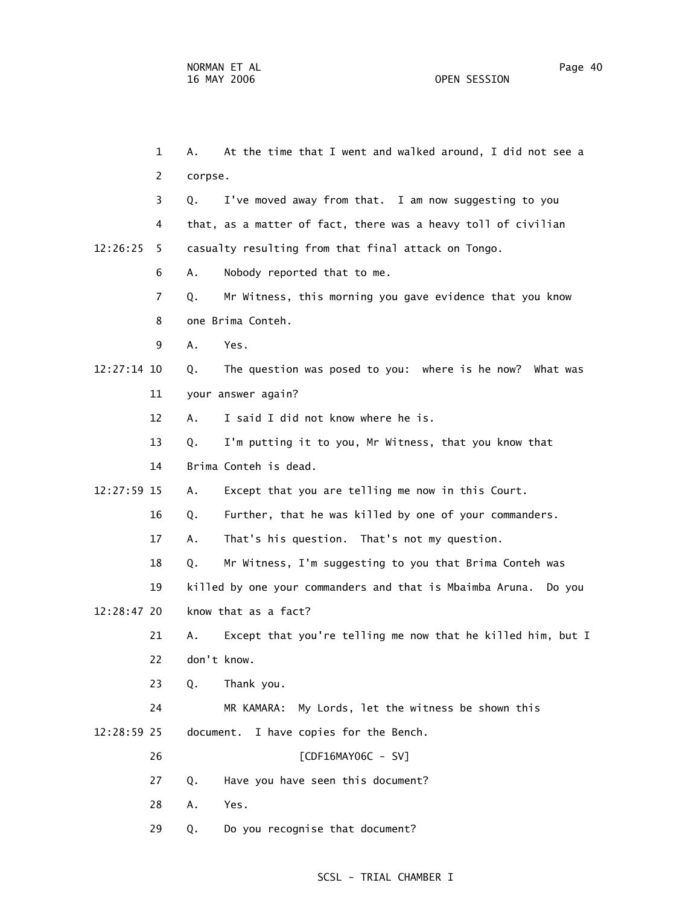1 A. At the time that I went and walked around, I did not see a 2 corpse. 3 Q. I've moved away from that. I am now suggesting to you 4 that, as a matter of fact, there was a heavy toll of civilian 12:26:25 5 casualty resulting from that final attack on Tongo. 6 A. Nobody reported that to me. 7 Q. Mr Witness, this morning you gave evidence that you know 8 one Brima Conteh. 9 A. Yes. 12:27:14 10 Q. The question was posed to you: where is he now? What was 11 your answer again? 12 A. I said I did not know where he is. 13 Q. I'm putting it to you, Mr Witness, that you know that 14 Brima Conteh is dead. 12:27:59 15 A. Except that you are telling me now in this Court. 16 Q. Further, that he was killed by one of your commanders. 17 A. That's his question. That's not my question. 18 Q. Mr Witness, I'm suggesting to you that Brima Conteh was 19 killed by one your commanders and that is Mbaimba Aruna. Do you 12:28:47 20 know that as a fact? 21 A. Except that you're telling me now that he killed him, but I 22 don't know. 23 Q. Thank you. 24 MR KAMARA: My Lords, let the witness be shown this 12:28:59 25 document. I have copies for the Bench. 26 [CDF16MAY06C - SV] 27 Q. Have you have seen this document? 28 A. Yes. 29 Q. Do you recognise that document?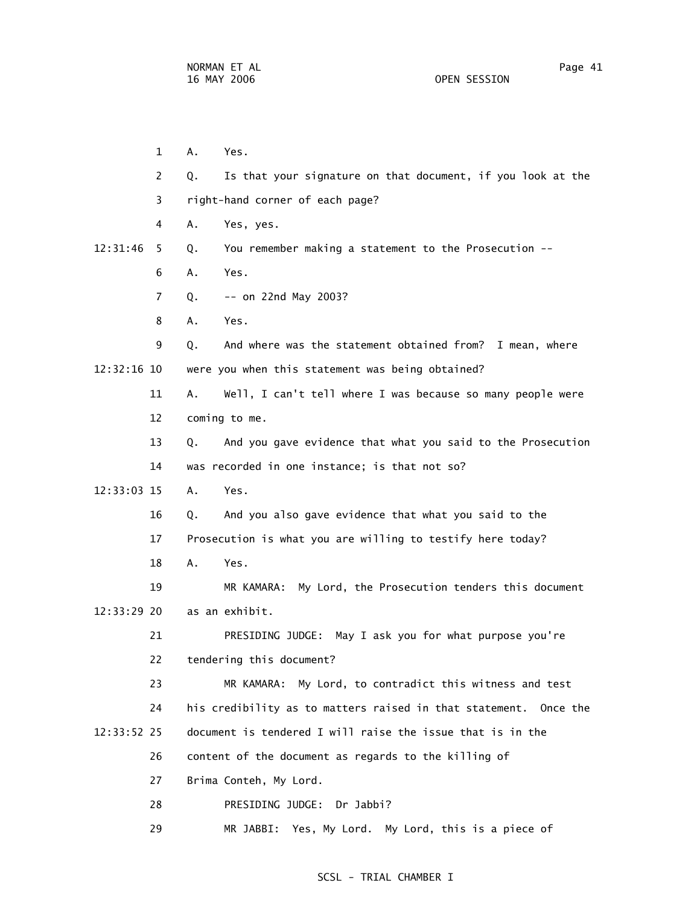1 A. Yes. 2 Q. Is that your signature on that document, if you look at the 3 right-hand corner of each page? 4 A. Yes, yes. 12:31:46 5 Q. You remember making a statement to the Prosecution -- 6 A. Yes. 7 Q. -- on 22nd May 2003? 8 A. Yes. 9 Q. And where was the statement obtained from? I mean, where 12:32:16 10 were you when this statement was being obtained? 11 A. Well, I can't tell where I was because so many people were 12 coming to me. 13 Q. And you gave evidence that what you said to the Prosecution 14 was recorded in one instance; is that not so? 12:33:03 15 A. Yes. 16 Q. And you also gave evidence that what you said to the 17 Prosecution is what you are willing to testify here today? 18 A. Yes. 19 MR KAMARA: My Lord, the Prosecution tenders this document 12:33:29 20 as an exhibit. 21 PRESIDING JUDGE: May I ask you for what purpose you're 22 tendering this document? 23 MR KAMARA: My Lord, to contradict this witness and test 24 his credibility as to matters raised in that statement. Once the 12:33:52 25 document is tendered I will raise the issue that is in the 26 content of the document as regards to the killing of 27 Brima Conteh, My Lord. 28 PRESIDING JUDGE: Dr Jabbi?

29 MR JABBI: Yes, My Lord. My Lord, this is a piece of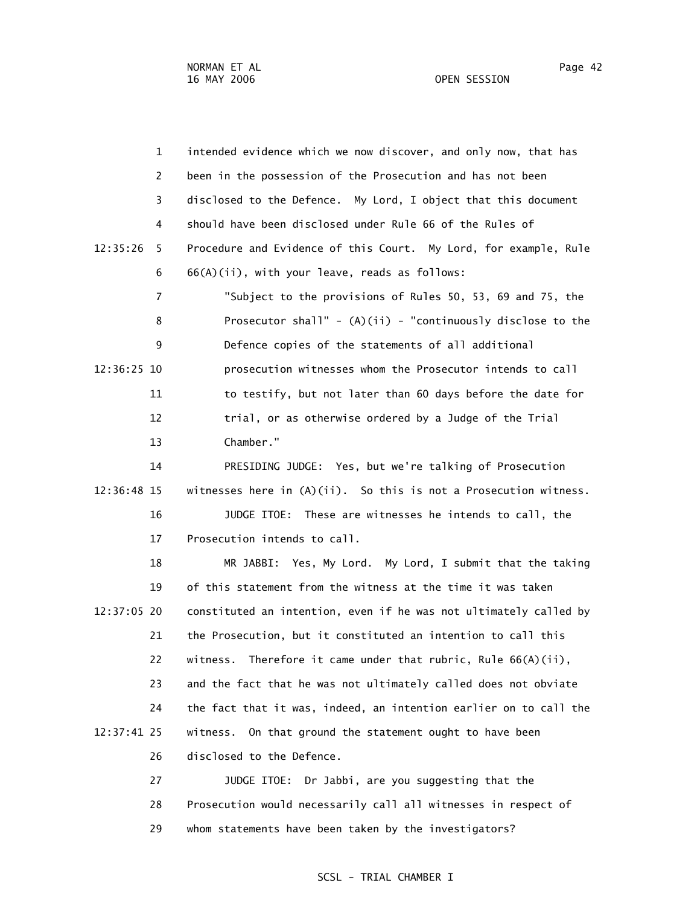|             | $\mathbf{1}$   | intended evidence which we now discover, and only now, that has     |
|-------------|----------------|---------------------------------------------------------------------|
|             | 2              | been in the possession of the Prosecution and has not been          |
|             | 3              | disclosed to the Defence. My Lord, I object that this document      |
|             | 4              | should have been disclosed under Rule 66 of the Rules of            |
| 12:35:26    | -5             | Procedure and Evidence of this Court. My Lord, for example, Rule    |
|             | 6              | 66(A)(ii), with your leave, reads as follows:                       |
|             | $\overline{7}$ | "Subject to the provisions of Rules 50, 53, 69 and 75, the          |
|             | 8              | Prosecutor shall" - $(A)(ii)$ - "continuously disclose to the       |
|             | 9              | Defence copies of the statements of all additional                  |
| 12:36:25 10 |                | prosecution witnesses whom the Prosecutor intends to call           |
|             | 11             | to testify, but not later than 60 days before the date for          |
|             | 12             | trial, or as otherwise ordered by a Judge of the Trial              |
|             | 13             | Chamber."                                                           |
|             | 14             | PRESIDING JUDGE: Yes, but we're talking of Prosecution              |
| 12:36:48 15 |                | witnesses here in $(A)(ii)$ . So this is not a Prosecution witness. |
|             | 16             | JUDGE ITOE: These are witnesses he intends to call, the             |
|             | 17             | Prosecution intends to call.                                        |
|             | 18             | MR JABBI: Yes, My Lord. My Lord, I submit that the taking           |
|             | 19             | of this statement from the witness at the time it was taken         |
| 12:37:05 20 |                | constituted an intention, even if he was not ultimately called by   |

 21 the Prosecution, but it constituted an intention to call this 22 witness. Therefore it came under that rubric, Rule 66(A)(ii), 23 and the fact that he was not ultimately called does not obviate 24 the fact that it was, indeed, an intention earlier on to call the 12:37:41 25 witness. On that ground the statement ought to have been 26 disclosed to the Defence.

> 27 JUDGE ITOE: Dr Jabbi, are you suggesting that the 28 Prosecution would necessarily call all witnesses in respect of 29 whom statements have been taken by the investigators?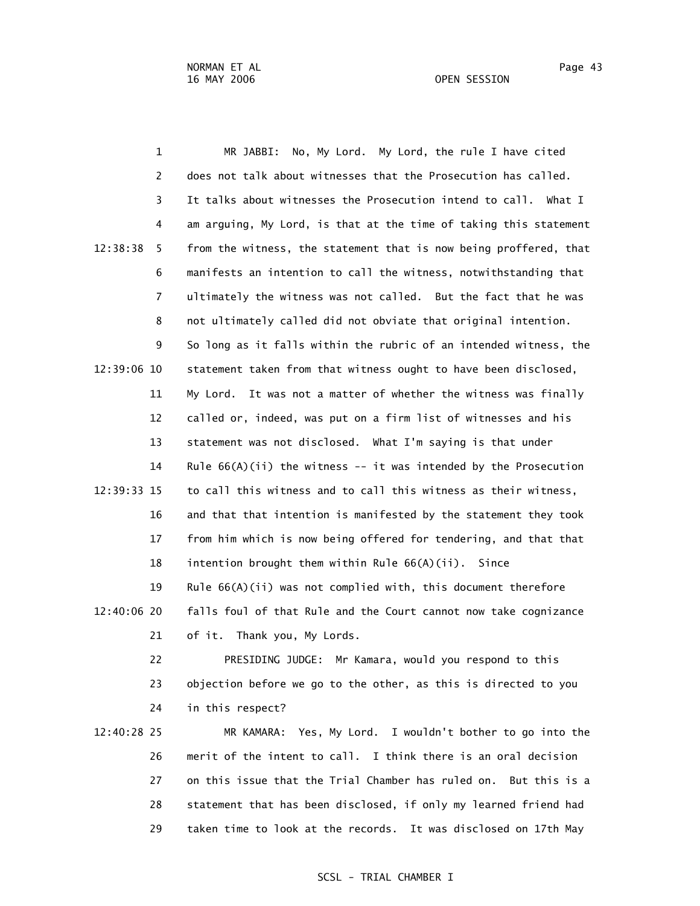1 MR JABBI: No, My Lord. My Lord, the rule I have cited 2 does not talk about witnesses that the Prosecution has called. 3 It talks about witnesses the Prosecution intend to call. What I 4 am arguing, My Lord, is that at the time of taking this statement 12:38:38 5 from the witness, the statement that is now being proffered, that 6 manifests an intention to call the witness, notwithstanding that 7 ultimately the witness was not called. But the fact that he was 8 not ultimately called did not obviate that original intention. 9 So long as it falls within the rubric of an intended witness, the 12:39:06 10 statement taken from that witness ought to have been disclosed, 11 My Lord. It was not a matter of whether the witness was finally 12 called or, indeed, was put on a firm list of witnesses and his 13 statement was not disclosed. What I'm saying is that under 14 Rule 66(A)(ii) the witness -- it was intended by the Prosecution 12:39:33 15 to call this witness and to call this witness as their witness, 16 and that that intention is manifested by the statement they took 17 from him which is now being offered for tendering, and that that 18 intention brought them within Rule 66(A)(ii). Since 19 Rule 66(A)(ii) was not complied with, this document therefore 12:40:06 20 falls foul of that Rule and the Court cannot now take cognizance 21 of it. Thank you, My Lords. 22 PRESIDING JUDGE: Mr Kamara, would you respond to this 23 objection before we go to the other, as this is directed to you 24 in this respect? 12:40:28 25 MR KAMARA: Yes, My Lord. I wouldn't bother to go into the 26 merit of the intent to call. I think there is an oral decision 27 on this issue that the Trial Chamber has ruled on. But this is a 28 statement that has been disclosed, if only my learned friend had

29 taken time to look at the records. It was disclosed on 17th May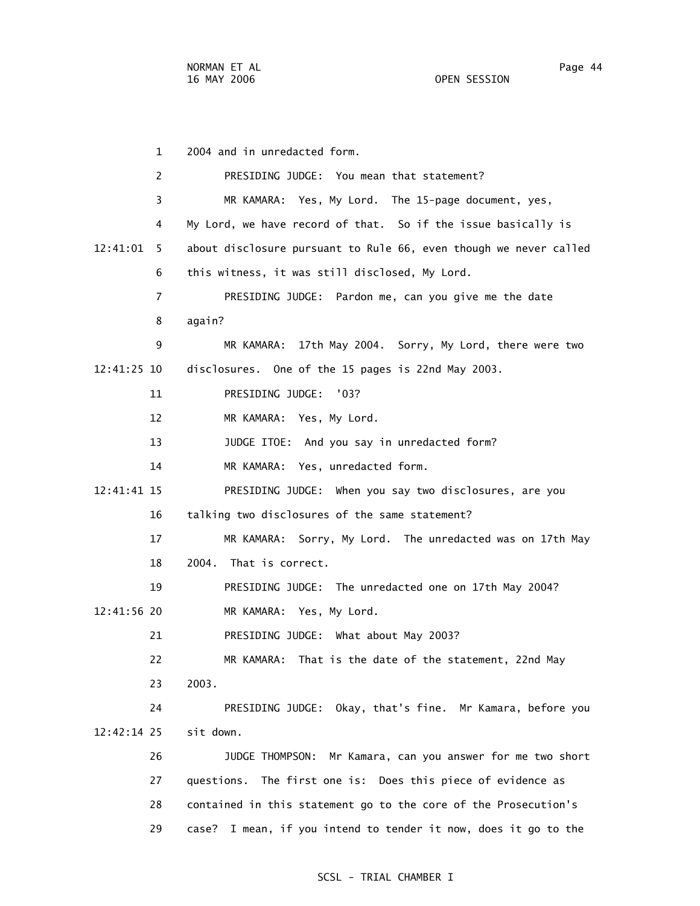1 2004 and in unredacted form. 2 PRESIDING JUDGE: You mean that statement? 3 MR KAMARA: Yes, My Lord. The 15-page document, yes, 4 My Lord, we have record of that. So if the issue basically is 12:41:01 5 about disclosure pursuant to Rule 66, even though we never called 6 this witness, it was still disclosed, My Lord. 7 PRESIDING JUDGE: Pardon me, can you give me the date 8 again? 9 MR KAMARA: 17th May 2004. Sorry, My Lord, there were two 12:41:25 10 disclosures. One of the 15 pages is 22nd May 2003. 11 PRESIDING JUDGE: '03? 12 MR KAMARA: Yes, My Lord. 13 JUDGE ITOE: And you say in unredacted form? 14 MR KAMARA: Yes, unredacted form. 12:41:41 15 PRESIDING JUDGE: When you say two disclosures, are you 16 talking two disclosures of the same statement? 17 MR KAMARA: Sorry, My Lord. The unredacted was on 17th May 18 2004. That is correct. 19 PRESIDING JUDGE: The unredacted one on 17th May 2004? 12:41:56 20 MR KAMARA: Yes, My Lord. 21 PRESIDING JUDGE: What about May 2003? 22 MR KAMARA: That is the date of the statement, 22nd May 23 2003. 24 PRESIDING JUDGE: Okay, that's fine. Mr Kamara, before you 12:42:14 25 sit down. 26 JUDGE THOMPSON: Mr Kamara, can you answer for me two short 27 questions. The first one is: Does this piece of evidence as 28 contained in this statement go to the core of the Prosecution's 29 case? I mean, if you intend to tender it now, does it go to the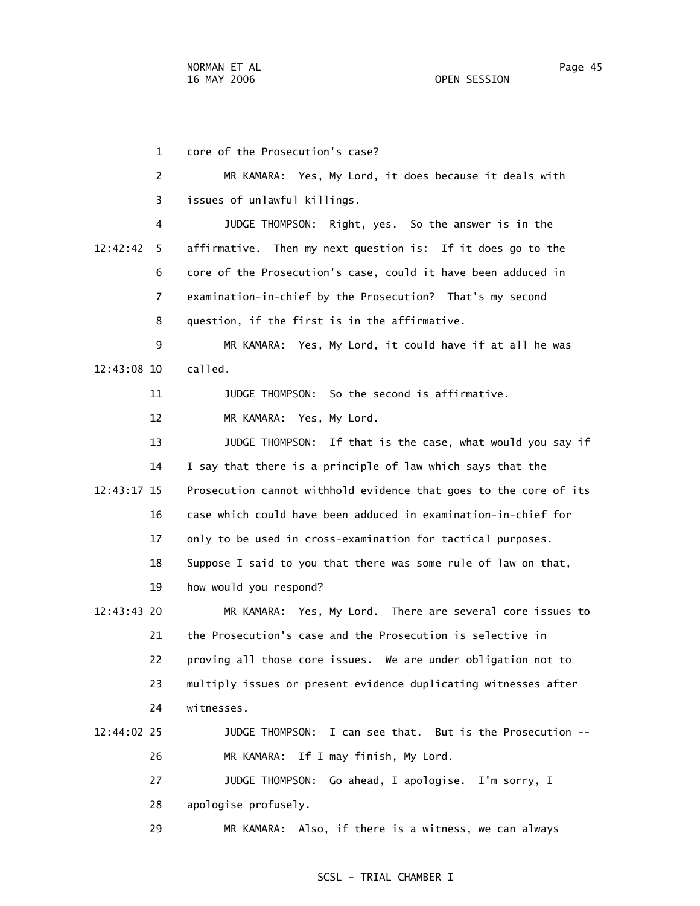1 core of the Prosecution's case? 2 MR KAMARA: Yes, My Lord, it does because it deals with 3 issues of unlawful killings. 4 JUDGE THOMPSON: Right, yes. So the answer is in the 12:42:42 5 affirmative. Then my next question is: If it does go to the 6 core of the Prosecution's case, could it have been adduced in 7 examination-in-chief by the Prosecution? That's my second 8 question, if the first is in the affirmative. 9 MR KAMARA: Yes, My Lord, it could have if at all he was 12:43:08 10 called. 11 JUDGE THOMPSON: So the second is affirmative. 12 MR KAMARA: Yes, My Lord. 13 JUDGE THOMPSON: If that is the case, what would you say if 14 I say that there is a principle of law which says that the 12:43:17 15 Prosecution cannot withhold evidence that goes to the core of its 16 case which could have been adduced in examination-in-chief for 17 only to be used in cross-examination for tactical purposes. 18 Suppose I said to you that there was some rule of law on that, 19 how would you respond? 12:43:43 20 MR KAMARA: Yes, My Lord. There are several core issues to 21 the Prosecution's case and the Prosecution is selective in 22 proving all those core issues. We are under obligation not to 23 multiply issues or present evidence duplicating witnesses after 24 witnesses. 12:44:02 25 JUDGE THOMPSON: I can see that. But is the Prosecution -- 26 MR KAMARA: If I may finish, My Lord. 27 JUDGE THOMPSON: Go ahead, I apologise. I'm sorry, I 28 apologise profusely. 29 MR KAMARA: Also, if there is a witness, we can always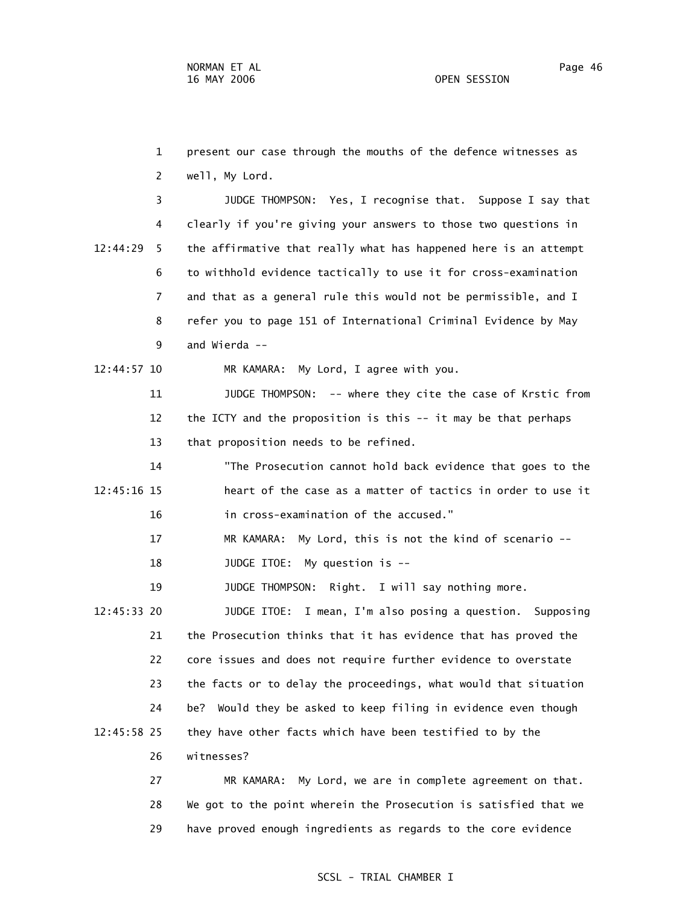1 present our case through the mouths of the defence witnesses as 2 well, My Lord.

 3 JUDGE THOMPSON: Yes, I recognise that. Suppose I say that 4 clearly if you're giving your answers to those two questions in 12:44:29 5 the affirmative that really what has happened here is an attempt 6 to withhold evidence tactically to use it for cross-examination 7 and that as a general rule this would not be permissible, and I 8 refer you to page 151 of International Criminal Evidence by May 9 and Wierda --

12:44:57 10 MR KAMARA: My Lord, I agree with you.

 11 JUDGE THOMPSON: -- where they cite the case of Krstic from 12 the ICTY and the proposition is this -- it may be that perhaps 13 that proposition needs to be refined.

 14 "The Prosecution cannot hold back evidence that goes to the 12:45:16 15 heart of the case as a matter of tactics in order to use it 16 in cross-examination of the accused."

17 MR KAMARA: My Lord, this is not the kind of scenario --

18 JUDGE ITOE: My question is --

19 JUDGE THOMPSON: Right. I will say nothing more.

 12:45:33 20 JUDGE ITOE: I mean, I'm also posing a question. Supposing 21 the Prosecution thinks that it has evidence that has proved the 22 core issues and does not require further evidence to overstate 23 the facts or to delay the proceedings, what would that situation 24 be? Would they be asked to keep filing in evidence even though 12:45:58 25 they have other facts which have been testified to by the 26 witnesses?

> 27 MR KAMARA: My Lord, we are in complete agreement on that. 28 We got to the point wherein the Prosecution is satisfied that we 29 have proved enough ingredients as regards to the core evidence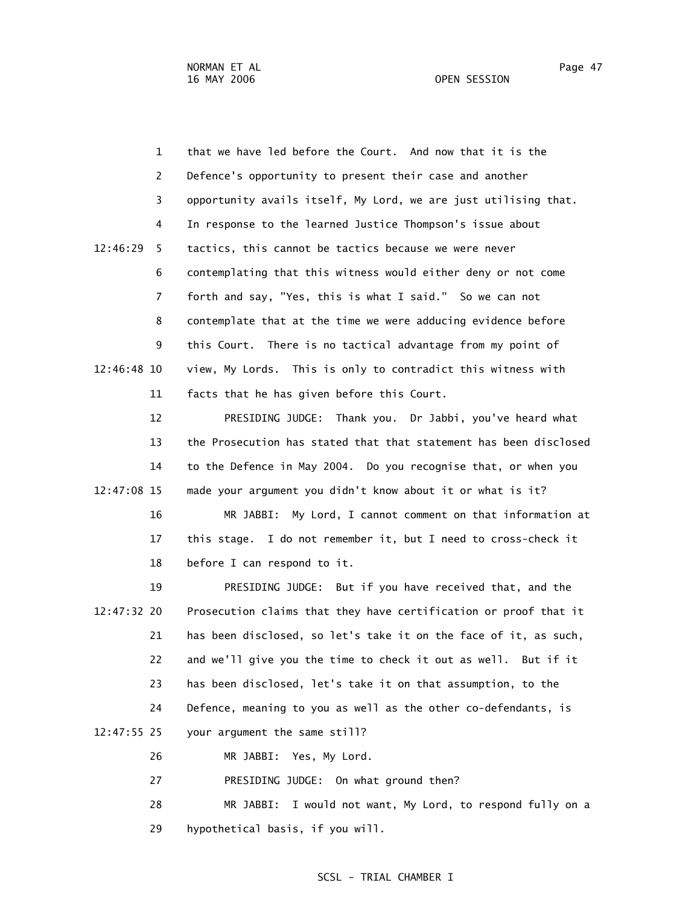1 that we have led before the Court. And now that it is the 2 Defence's opportunity to present their case and another 3 opportunity avails itself, My Lord, we are just utilising that. 4 In response to the learned Justice Thompson's issue about 12:46:29 5 tactics, this cannot be tactics because we were never 6 contemplating that this witness would either deny or not come 7 forth and say, "Yes, this is what I said." So we can not 8 contemplate that at the time we were adducing evidence before 9 this Court. There is no tactical advantage from my point of 12:46:48 10 view, My Lords. This is only to contradict this witness with 11 facts that he has given before this Court.

 12 PRESIDING JUDGE: Thank you. Dr Jabbi, you've heard what 13 the Prosecution has stated that that statement has been disclosed 14 to the Defence in May 2004. Do you recognise that, or when you 12:47:08 15 made your argument you didn't know about it or what is it?

> 16 MR JABBI: My Lord, I cannot comment on that information at 17 this stage. I do not remember it, but I need to cross-check it 18 before I can respond to it.

 19 PRESIDING JUDGE: But if you have received that, and the 12:47:32 20 Prosecution claims that they have certification or proof that it 21 has been disclosed, so let's take it on the face of it, as such, 22 and we'll give you the time to check it out as well. But if it 23 has been disclosed, let's take it on that assumption, to the 24 Defence, meaning to you as well as the other co-defendants, is 12:47:55 25 your argument the same still?

26 MR JABBI: Yes, My Lord.

27 PRESIDING JUDGE: On what ground then?

 28 MR JABBI: I would not want, My Lord, to respond fully on a 29 hypothetical basis, if you will.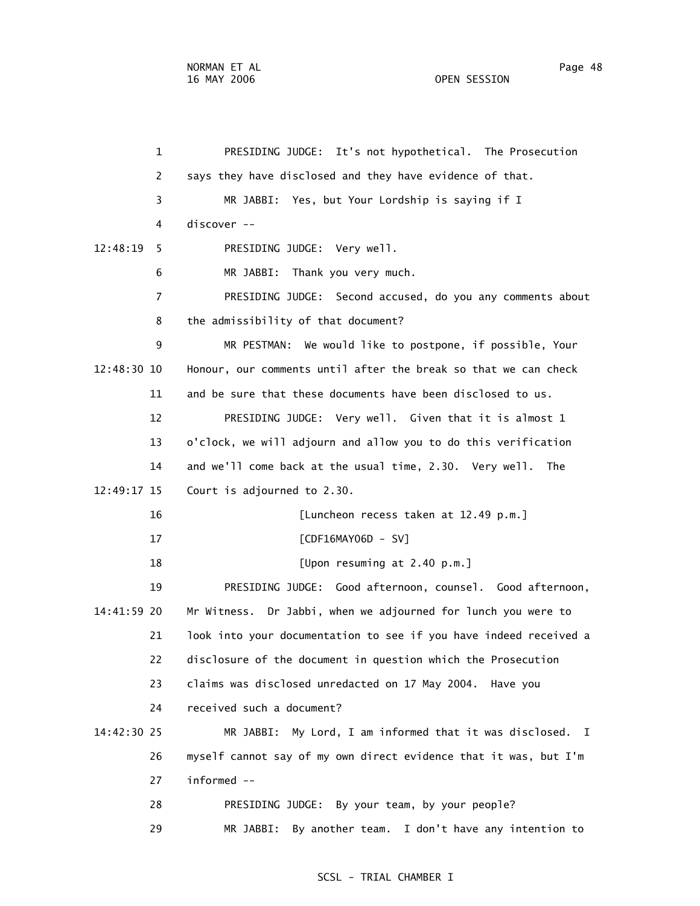1 PRESIDING JUDGE: It's not hypothetical. The Prosecution 2 says they have disclosed and they have evidence of that. 3 MR JABBI: Yes, but Your Lordship is saying if I 4 discover -- 12:48:19 5 PRESIDING JUDGE: Very well. 6 MR JABBI: Thank you very much. 7 PRESIDING JUDGE: Second accused, do you any comments about 8 the admissibility of that document? 9 MR PESTMAN: We would like to postpone, if possible, Your 12:48:30 10 Honour, our comments until after the break so that we can check 11 and be sure that these documents have been disclosed to us. 12 PRESIDING JUDGE: Very well. Given that it is almost 1 13 o'clock, we will adjourn and allow you to do this verification 14 and we'll come back at the usual time, 2.30. Very well. The 12:49:17 15 Court is adjourned to 2.30. 16 [Luncheon recess taken at 12.49 p.m.] 17 [CDF16MAY06D - SV] 18 [Upon resuming at 2.40 p.m.] 19 PRESIDING JUDGE: Good afternoon, counsel. Good afternoon, 14:41:59 20 Mr Witness. Dr Jabbi, when we adjourned for lunch you were to 21 look into your documentation to see if you have indeed received a 22 disclosure of the document in question which the Prosecution 23 claims was disclosed unredacted on 17 May 2004. Have you 24 received such a document? 14:42:30 25 MR JABBI: My Lord, I am informed that it was disclosed. I 26 myself cannot say of my own direct evidence that it was, but I'm 27 informed -- 28 PRESIDING JUDGE: By your team, by your people? 29 MR JABBI: By another team. I don't have any intention to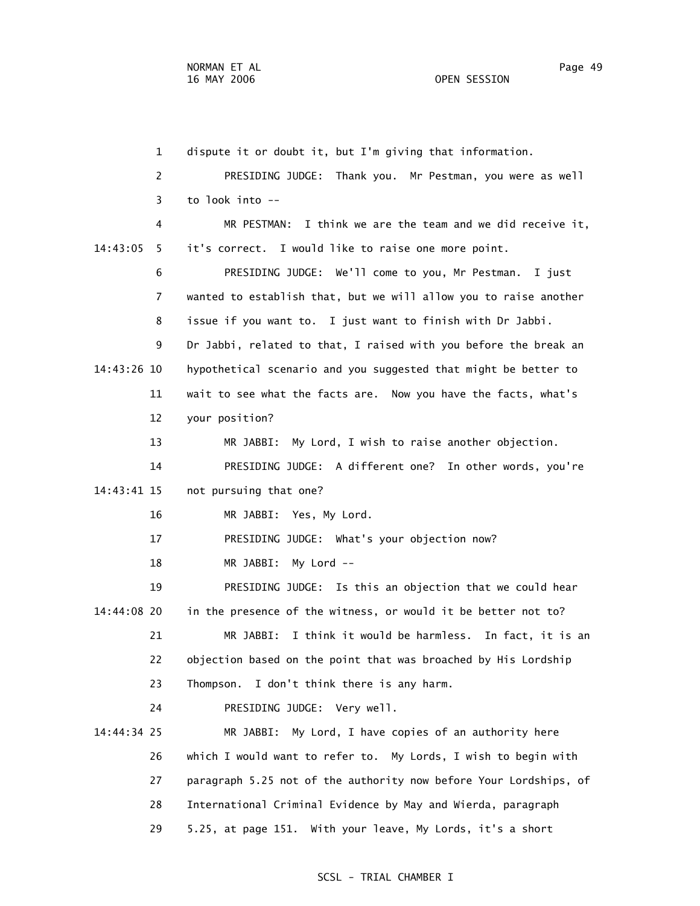1 dispute it or doubt it, but I'm giving that information. 2 PRESIDING JUDGE: Thank you. Mr Pestman, you were as well 3 to look into -- 4 MR PESTMAN: I think we are the team and we did receive it, 14:43:05 5 it's correct. I would like to raise one more point. 6 PRESIDING JUDGE: We'll come to you, Mr Pestman. I just 7 wanted to establish that, but we will allow you to raise another 8 issue if you want to. I just want to finish with Dr Jabbi. 9 Dr Jabbi, related to that, I raised with you before the break an 14:43:26 10 hypothetical scenario and you suggested that might be better to 11 wait to see what the facts are. Now you have the facts, what's 12 your position? 13 MR JABBI: My Lord, I wish to raise another objection. 14 PRESIDING JUDGE: A different one? In other words, you're 14:43:41 15 not pursuing that one? 16 MR JABBI: Yes, My Lord. 17 PRESIDING JUDGE: What's your objection now? 18 MR JABBI: My Lord -- 19 PRESIDING JUDGE: Is this an objection that we could hear 14:44:08 20 in the presence of the witness, or would it be better not to? 21 MR JABBI: I think it would be harmless. In fact, it is an 22 objection based on the point that was broached by His Lordship 23 Thompson. I don't think there is any harm. 24 PRESIDING JUDGE: Very well. 14:44:34 25 MR JABBI: My Lord, I have copies of an authority here 26 which I would want to refer to. My Lords, I wish to begin with 27 paragraph 5.25 not of the authority now before Your Lordships, of 28 International Criminal Evidence by May and Wierda, paragraph 29 5.25, at page 151. With your leave, My Lords, it's a short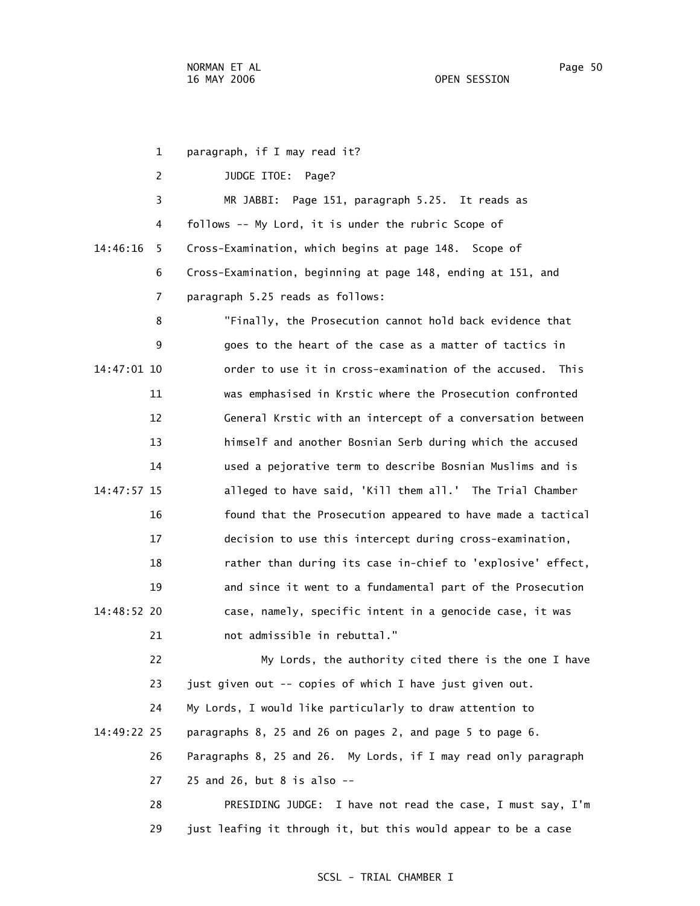1 paragraph, if I may read it? 2 JUDGE ITOE: Page? 3 MR JABBI: Page 151, paragraph 5.25. It reads as 4 follows -- My Lord, it is under the rubric Scope of 14:46:16 5 Cross-Examination, which begins at page 148. Scope of 6 Cross-Examination, beginning at page 148, ending at 151, and 7 paragraph 5.25 reads as follows: 8 "Finally, the Prosecution cannot hold back evidence that 9 goes to the heart of the case as a matter of tactics in 14:47:01 10 order to use it in cross-examination of the accused. This 11 was emphasised in Krstic where the Prosecution confronted 12 General Krstic with an intercept of a conversation between 13 himself and another Bosnian Serb during which the accused 14 used a pejorative term to describe Bosnian Muslims and is 14:47:57 15 alleged to have said, 'Kill them all.' The Trial Chamber 16 found that the Prosecution appeared to have made a tactical 17 decision to use this intercept during cross-examination, 18 rather than during its case in-chief to 'explosive' effect, 19 and since it went to a fundamental part of the Prosecution 14:48:52 20 case, namely, specific intent in a genocide case, it was 21 not admissible in rebuttal." 22 My Lords, the authority cited there is the one I have 23 just given out -- copies of which I have just given out. 24 My Lords, I would like particularly to draw attention to 14:49:22 25 paragraphs 8, 25 and 26 on pages 2, and page 5 to page 6. 26 Paragraphs 8, 25 and 26. My Lords, if I may read only paragraph 27 25 and 26, but 8 is also -- 28 PRESIDING JUDGE: I have not read the case, I must say, I'm 29 just leafing it through it, but this would appear to be a case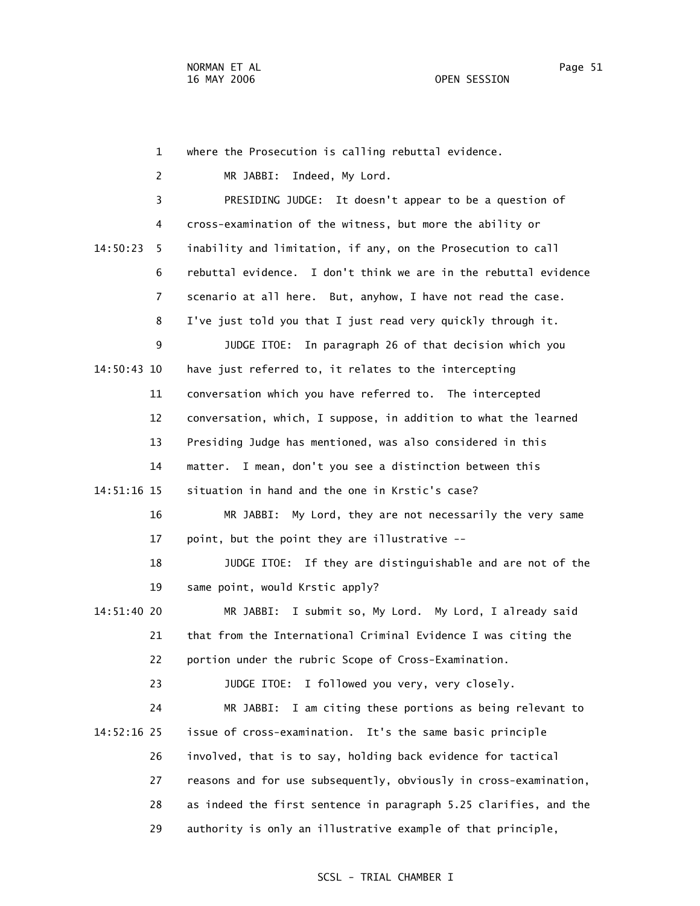1 where the Prosecution is calling rebuttal evidence. 2 MR JABBI: Indeed, My Lord. 3 PRESIDING JUDGE: It doesn't appear to be a question of 4 cross-examination of the witness, but more the ability or 14:50:23 5 inability and limitation, if any, on the Prosecution to call 6 rebuttal evidence. I don't think we are in the rebuttal evidence 7 scenario at all here. But, anyhow, I have not read the case. 8 I've just told you that I just read very quickly through it. 9 JUDGE ITOE: In paragraph 26 of that decision which you 14:50:43 10 have just referred to, it relates to the intercepting 11 conversation which you have referred to. The intercepted 12 conversation, which, I suppose, in addition to what the learned 13 Presiding Judge has mentioned, was also considered in this 14 matter. I mean, don't you see a distinction between this 14:51:16 15 situation in hand and the one in Krstic's case? 16 MR JABBI: My Lord, they are not necessarily the very same 17 point, but the point they are illustrative -- 18 JUDGE ITOE: If they are distinguishable and are not of the 19 same point, would Krstic apply? 14:51:40 20 MR JABBI: I submit so, My Lord. My Lord, I already said 21 that from the International Criminal Evidence I was citing the 22 portion under the rubric Scope of Cross-Examination. 23 JUDGE ITOE: I followed you very, very closely. 24 MR JABBI: I am citing these portions as being relevant to 14:52:16 25 issue of cross-examination. It's the same basic principle 26 involved, that is to say, holding back evidence for tactical 27 reasons and for use subsequently, obviously in cross-examination, 28 as indeed the first sentence in paragraph 5.25 clarifies, and the 29 authority is only an illustrative example of that principle,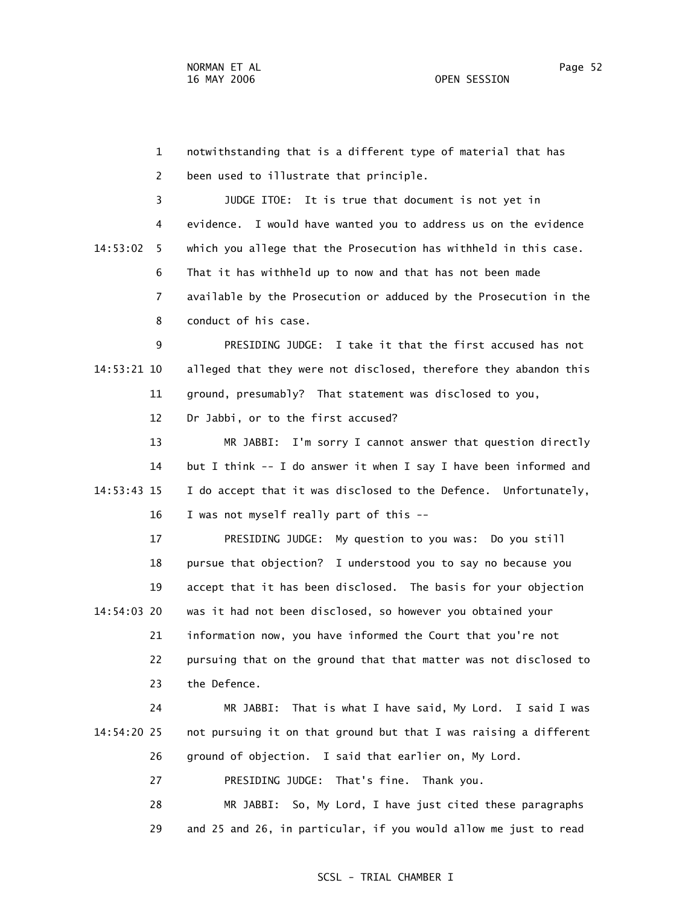1 notwithstanding that is a different type of material that has 2 been used to illustrate that principle. 3 JUDGE ITOE: It is true that document is not yet in 4 evidence. I would have wanted you to address us on the evidence 14:53:02 5 which you allege that the Prosecution has withheld in this case. 6 That it has withheld up to now and that has not been made 7 available by the Prosecution or adduced by the Prosecution in the 8 conduct of his case. 9 PRESIDING JUDGE: I take it that the first accused has not 14:53:21 10 alleged that they were not disclosed, therefore they abandon this 11 ground, presumably? That statement was disclosed to you, 12 Dr Jabbi, or to the first accused? 13 MR JABBI: I'm sorry I cannot answer that question directly 14 but I think -- I do answer it when I say I have been informed and 14:53:43 15 I do accept that it was disclosed to the Defence. Unfortunately, 16 I was not myself really part of this -- 17 PRESIDING JUDGE: My question to you was: Do you still 18 pursue that objection? I understood you to say no because you 19 accept that it has been disclosed. The basis for your objection 14:54:03 20 was it had not been disclosed, so however you obtained your 21 information now, you have informed the Court that you're not 22 pursuing that on the ground that that matter was not disclosed to 23 the Defence. 24 MR JABBI: That is what I have said, My Lord. I said I was 14:54:20 25 not pursuing it on that ground but that I was raising a different 26 ground of objection. I said that earlier on, My Lord. 27 PRESIDING JUDGE: That's fine. Thank you. 28 MR JABBI: So, My Lord, I have just cited these paragraphs

29 and 25 and 26, in particular, if you would allow me just to read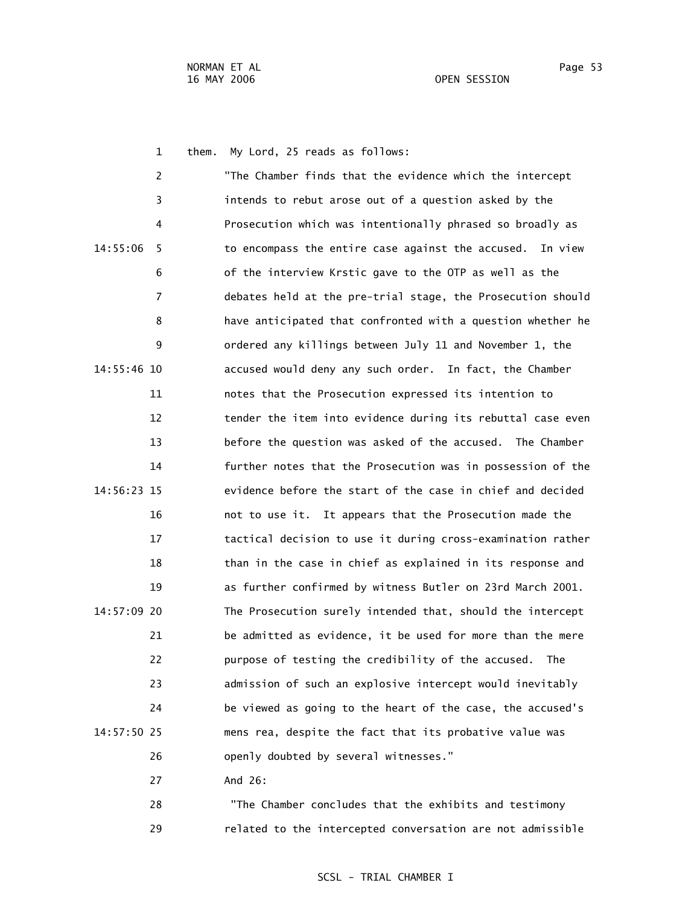1 them. My Lord, 25 reads as follows: 2 "The Chamber finds that the evidence which the intercept 3 intends to rebut arose out of a question asked by the 4 Prosecution which was intentionally phrased so broadly as 14:55:06 5 to encompass the entire case against the accused. In view 6 of the interview Krstic gave to the OTP as well as the 7 debates held at the pre-trial stage, the Prosecution should 8 have anticipated that confronted with a question whether he 9 ordered any killings between July 11 and November 1, the 14:55:46 10 accused would deny any such order. In fact, the Chamber 11 notes that the Prosecution expressed its intention to 12 tender the item into evidence during its rebuttal case even 13 before the question was asked of the accused. The Chamber 14 further notes that the Prosecution was in possession of the 14:56:23 15 evidence before the start of the case in chief and decided 16 not to use it. It appears that the Prosecution made the 17 tactical decision to use it during cross-examination rather 18 than in the case in chief as explained in its response and 19 as further confirmed by witness Butler on 23rd March 2001. 14:57:09 20 The Prosecution surely intended that, should the intercept 21 be admitted as evidence, it be used for more than the mere 22 purpose of testing the credibility of the accused. The 23 admission of such an explosive intercept would inevitably 24 be viewed as going to the heart of the case, the accused's 14:57:50 25 mens rea, despite the fact that its probative value was 26 openly doubted by several witnesses." 27 And 26:

> 28 "The Chamber concludes that the exhibits and testimony 29 related to the intercepted conversation are not admissible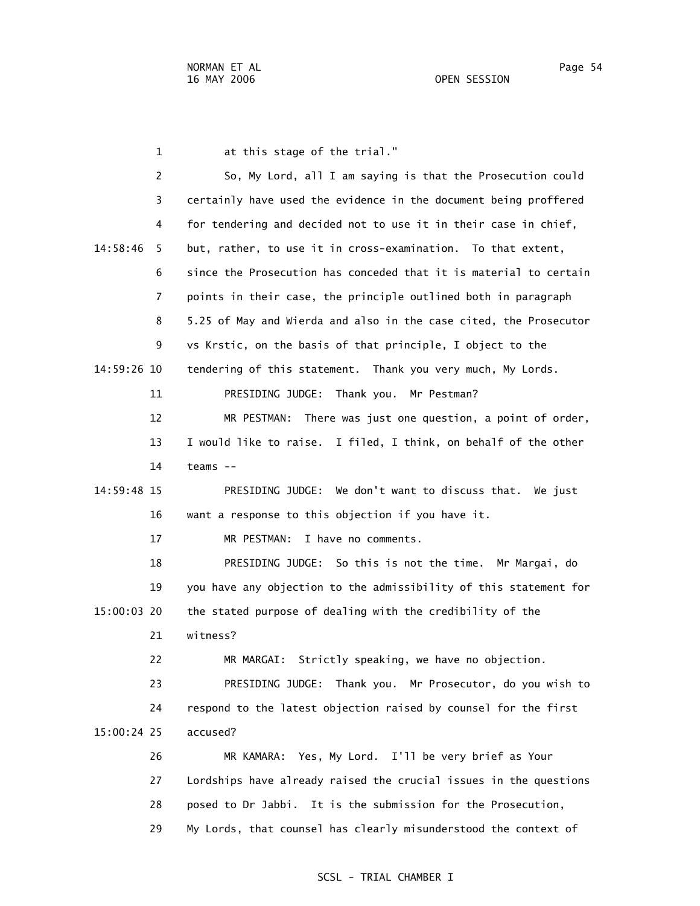1 at this stage of the trial." 2 So, My Lord, all I am saying is that the Prosecution could 3 certainly have used the evidence in the document being proffered 4 for tendering and decided not to use it in their case in chief, 14:58:46 5 but, rather, to use it in cross-examination. To that extent, 6 since the Prosecution has conceded that it is material to certain 7 points in their case, the principle outlined both in paragraph 8 5.25 of May and Wierda and also in the case cited, the Prosecutor 9 vs Krstic, on the basis of that principle, I object to the 14:59:26 10 tendering of this statement. Thank you very much, My Lords. 11 PRESIDING JUDGE: Thank you. Mr Pestman? 12 MR PESTMAN: There was just one question, a point of order, 13 I would like to raise. I filed, I think, on behalf of the other 14 teams -- 14:59:48 15 PRESIDING JUDGE: We don't want to discuss that. We just 16 want a response to this objection if you have it. 17 MR PESTMAN: I have no comments. 18 PRESIDING JUDGE: So this is not the time. Mr Margai, do 19 you have any objection to the admissibility of this statement for 15:00:03 20 the stated purpose of dealing with the credibility of the 21 witness? 22 MR MARGAI: Strictly speaking, we have no objection. 23 PRESIDING JUDGE: Thank you. Mr Prosecutor, do you wish to 24 respond to the latest objection raised by counsel for the first 15:00:24 25 accused? 26 MR KAMARA: Yes, My Lord. I'll be very brief as Your 27 Lordships have already raised the crucial issues in the questions 28 posed to Dr Jabbi. It is the submission for the Prosecution, 29 My Lords, that counsel has clearly misunderstood the context of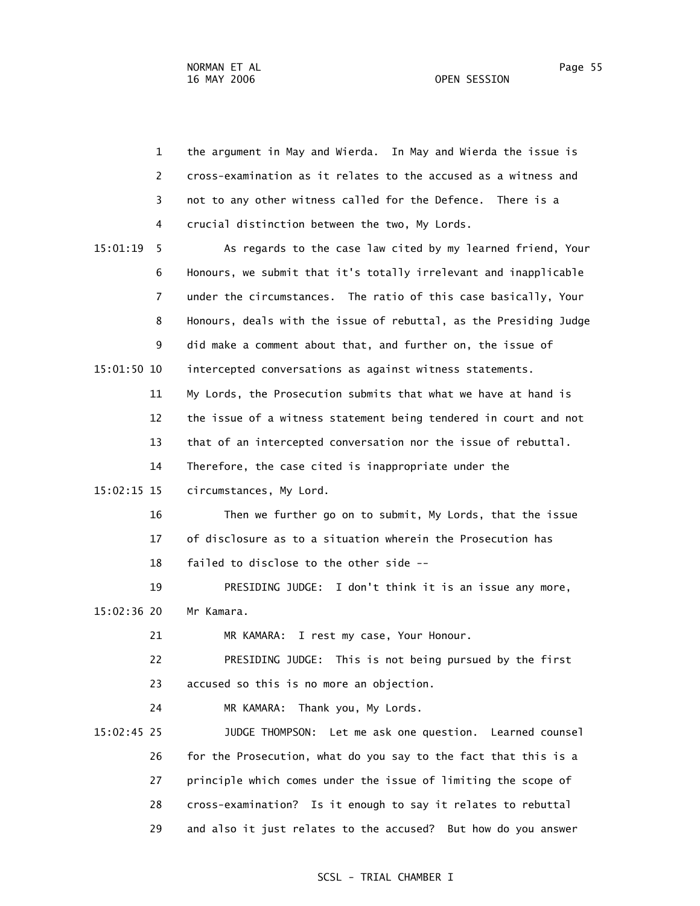| the argument in May and Wierda. In May and Wierda the issue is    | $\mathbf{1}$  |
|-------------------------------------------------------------------|---------------|
| cross-examination as it relates to the accused as a witness and   | 2             |
| not to any other witness called for the Defence. There is a       | 3             |
|                                                                   | 4             |
| As regards to the case law cited by my learned friend, Your       | 15:01:19<br>5 |
| Honours, we submit that it's totally irrelevant and inapplicable  | 6             |
| under the circumstances. The ratio of this case basically, Your   | 7             |
| Honours, deals with the issue of rebuttal, as the Presiding Judge | 8             |
| did make a comment about that, and further on, the issue of       | 9             |
| intercepted conversations as against witness statements.          | 15:01:50 10   |
| My Lords, the Prosecution submits that what we have at hand is    | 11            |
| the issue of a witness statement being tendered in court and not  | 12            |
| that of an intercepted conversation nor the issue of rebuttal.    | 13            |
|                                                                   | 14            |
|                                                                   | 15:02:15 15   |
| Then we further go on to submit, My Lords, that the issue         | 16            |
| of disclosure as to a situation wherein the Prosecution has       | 17            |
|                                                                   | 18            |
| PRESIDING JUDGE: I don't think it is an issue any more,           | 19            |
|                                                                   | 15:02:36 20   |
|                                                                   | 21            |
| PRESIDING JUDGE: This is not being pursued by the first           | 22            |
|                                                                   | 23            |
|                                                                   | 24            |
| JUDGE THOMPSON: Let me ask one question. Learned counsel          | 15:02:45 25   |
| for the Prosecution, what do you say to the fact that this is a   | 26            |
| principle which comes under the issue of limiting the scope of    | 27            |
| cross-examination? Is it enough to say it relates to rebuttal     | 28            |
| and also it just relates to the accused? But how do you answer    | 29            |
|                                                                   |               |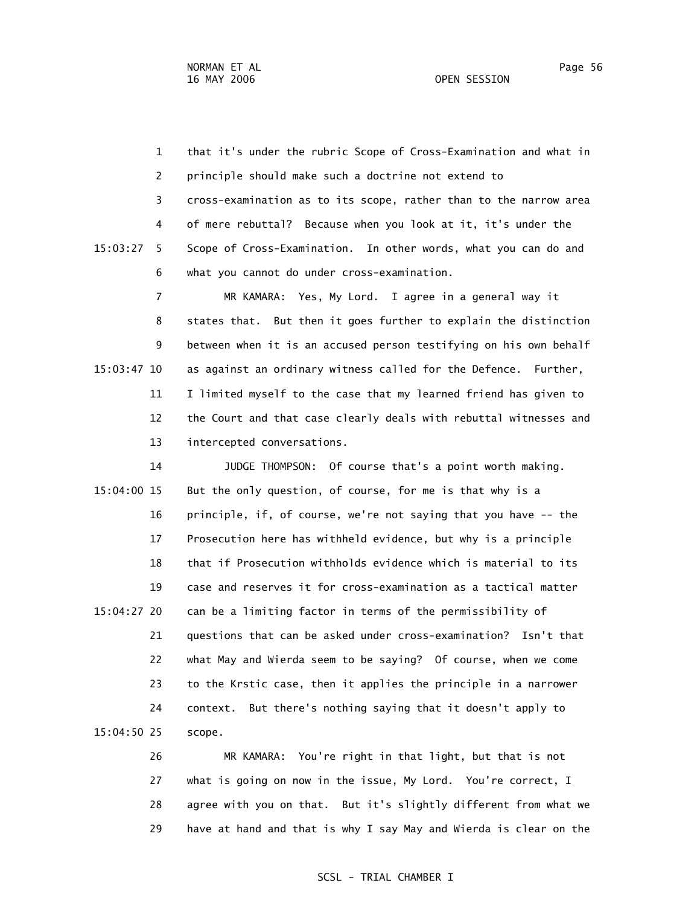1 that it's under the rubric Scope of Cross-Examination and what in 2 principle should make such a doctrine not extend to 3 cross-examination as to its scope, rather than to the narrow area 4 of mere rebuttal? Because when you look at it, it's under the 15:03:27 5 Scope of Cross-Examination. In other words, what you can do and 6 what you cannot do under cross-examination.

 7 MR KAMARA: Yes, My Lord. I agree in a general way it 8 states that. But then it goes further to explain the distinction 9 between when it is an accused person testifying on his own behalf 15:03:47 10 as against an ordinary witness called for the Defence. Further, 11 I limited myself to the case that my learned friend has given to 12 the Court and that case clearly deals with rebuttal witnesses and 13 intercepted conversations.

 14 JUDGE THOMPSON: Of course that's a point worth making. 15:04:00 15 But the only question, of course, for me is that why is a 16 principle, if, of course, we're not saying that you have -- the 17 Prosecution here has withheld evidence, but why is a principle 18 that if Prosecution withholds evidence which is material to its 19 case and reserves it for cross-examination as a tactical matter 15:04:27 20 can be a limiting factor in terms of the permissibility of 21 questions that can be asked under cross-examination? Isn't that 22 what May and Wierda seem to be saying? Of course, when we come 23 to the Krstic case, then it applies the principle in a narrower 24 context. But there's nothing saying that it doesn't apply to 15:04:50 25 scope.

> 26 MR KAMARA: You're right in that light, but that is not 27 what is going on now in the issue, My Lord. You're correct, I 28 agree with you on that. But it's slightly different from what we 29 have at hand and that is why I say May and Wierda is clear on the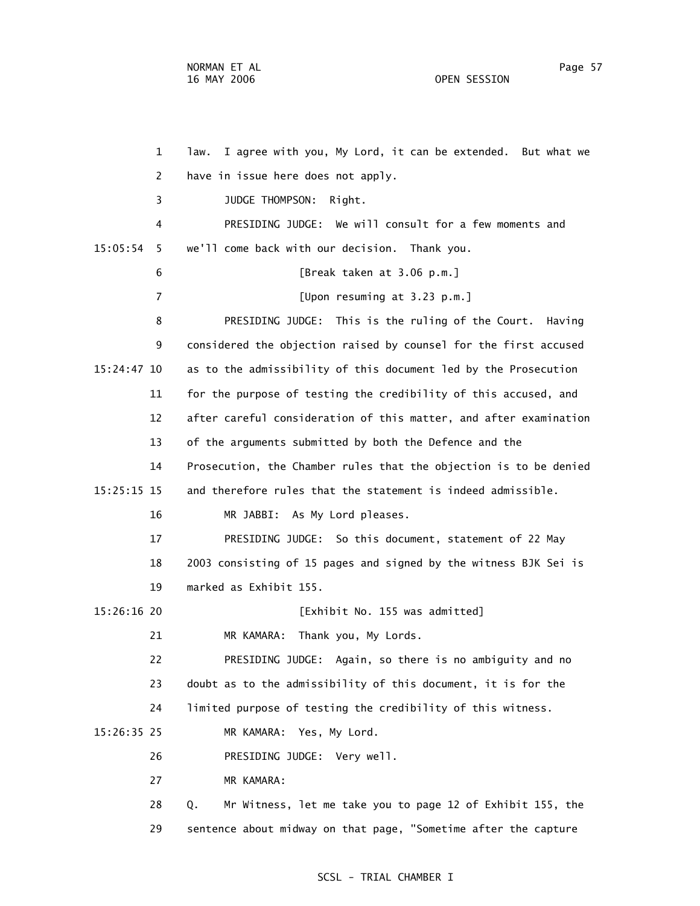1 law. I agree with you, My Lord, it can be extended. But what we 2 have in issue here does not apply. 3 JUDGE THOMPSON: Right. 4 PRESIDING JUDGE: We will consult for a few moments and 15:05:54 5 we'll come back with our decision. Thank you. 6 [Break taken at 3.06 p.m.]

 7 [Upon resuming at 3.23 p.m.] 8 PRESIDING JUDGE: This is the ruling of the Court. Having 9 considered the objection raised by counsel for the first accused 15:24:47 10 as to the admissibility of this document led by the Prosecution 11 for the purpose of testing the credibility of this accused, and 12 after careful consideration of this matter, and after examination 13 of the arguments submitted by both the Defence and the 14 Prosecution, the Chamber rules that the objection is to be denied 15:25:15 15 and therefore rules that the statement is indeed admissible. 16 MR JABBI: As My Lord pleases. 17 PRESIDING JUDGE: So this document, statement of 22 May 18 2003 consisting of 15 pages and signed by the witness BJK Sei is 19 marked as Exhibit 155. 15:26:16 20 [Exhibit No. 155 was admitted] 21 MR KAMARA: Thank you, My Lords. 22 PRESIDING JUDGE: Again, so there is no ambiguity and no 23 doubt as to the admissibility of this document, it is for the 24 limited purpose of testing the credibility of this witness. 15:26:35 25 MR KAMARA: Yes, My Lord. 26 PRESIDING JUDGE: Very well. 27 MR KAMARA: 28 Q. Mr Witness, let me take you to page 12 of Exhibit 155, the 29 sentence about midway on that page, "Sometime after the capture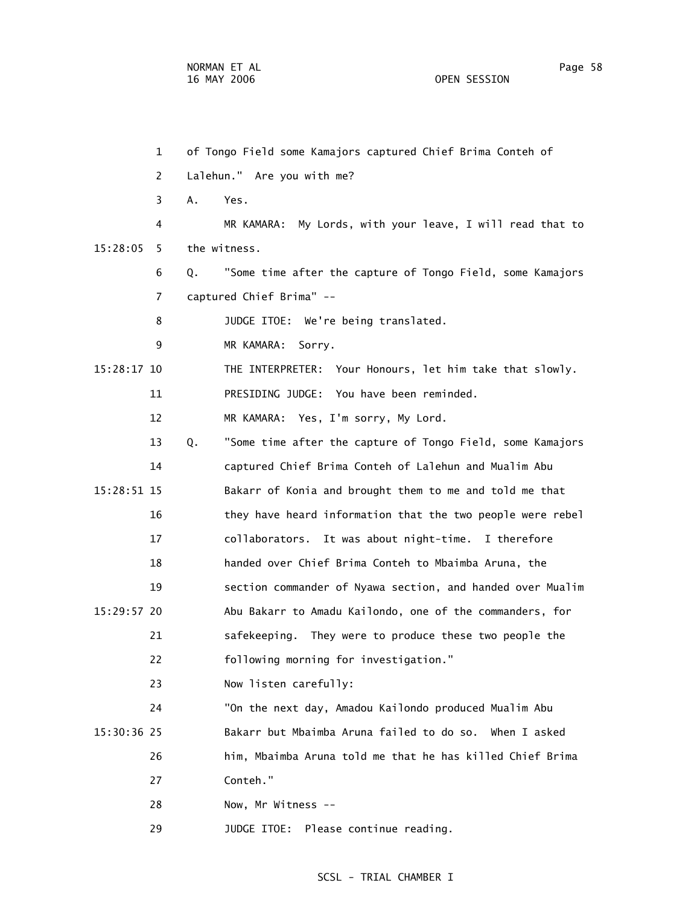1 of Tongo Field some Kamajors captured Chief Brima Conteh of 2 Lalehun." Are you with me? 3 A. Yes. 4 MR KAMARA: My Lords, with your leave, I will read that to 15:28:05 5 the witness. 6 Q. "Some time after the capture of Tongo Field, some Kamajors 7 captured Chief Brima" -- 8 JUDGE ITOE: We're being translated. 9 MR KAMARA: Sorry. 15:28:17 10 THE INTERPRETER: Your Honours, let him take that slowly. 11 PRESIDING JUDGE: You have been reminded. 12 MR KAMARA: Yes, I'm sorry, My Lord. 13 Q. "Some time after the capture of Tongo Field, some Kamajors 14 captured Chief Brima Conteh of Lalehun and Mualim Abu 15:28:51 15 Bakarr of Konia and brought them to me and told me that 16 they have heard information that the two people were rebel 17 collaborators. It was about night-time. I therefore 18 handed over Chief Brima Conteh to Mbaimba Aruna, the 19 section commander of Nyawa section, and handed over Mualim 15:29:57 20 Abu Bakarr to Amadu Kailondo, one of the commanders, for 21 safekeeping. They were to produce these two people the 22 following morning for investigation." 23 Now listen carefully: 24 "On the next day, Amadou Kailondo produced Mualim Abu 15:30:36 25 Bakarr but Mbaimba Aruna failed to do so. When I asked 26 him, Mbaimba Aruna told me that he has killed Chief Brima 27 Conteh." 28 Now, Mr Witness -- 29 JUDGE ITOE: Please continue reading.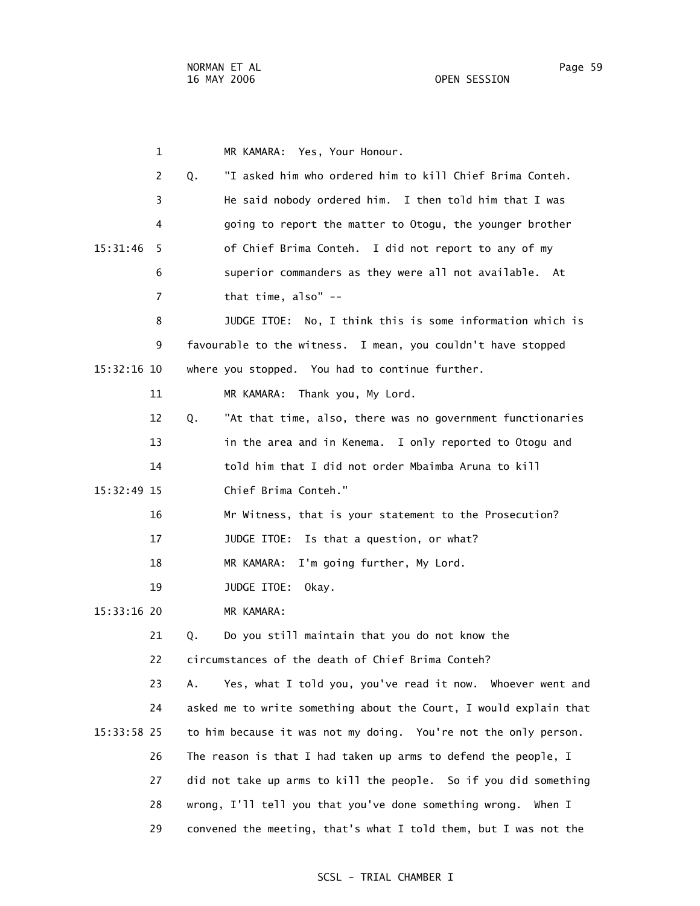1 MR KAMARA: Yes, Your Honour. 2 Q. "I asked him who ordered him to kill Chief Brima Conteh. 3 He said nobody ordered him. I then told him that I was 4 going to report the matter to Otogu, the younger brother 15:31:46 5 of Chief Brima Conteh. I did not report to any of my 6 superior commanders as they were all not available. At 7 that time, also" -- 8 JUDGE ITOE: No, I think this is some information which is 9 favourable to the witness. I mean, you couldn't have stopped 15:32:16 10 where you stopped. You had to continue further. 11 MR KAMARA: Thank you, My Lord. 12 Q. "At that time, also, there was no government functionaries 13 in the area and in Kenema. I only reported to Otogu and 14 told him that I did not order Mbaimba Aruna to kill 15:32:49 15 Chief Brima Conteh." 16 Mr Witness, that is your statement to the Prosecution? 17 **JUDGE ITOE:** Is that a question, or what? 18 MR KAMARA: I'm going further, My Lord. 19 JUDGE ITOE: Okay. 15:33:16 20 MR KAMARA: 21 Q. Do you still maintain that you do not know the 22 circumstances of the death of Chief Brima Conteh? 23 A. Yes, what I told you, you've read it now. Whoever went and 24 asked me to write something about the Court, I would explain that 15:33:58 25 to him because it was not my doing. You're not the only person. 26 The reason is that I had taken up arms to defend the people, I 27 did not take up arms to kill the people. So if you did something 28 wrong, I'll tell you that you've done something wrong. When I 29 convened the meeting, that's what I told them, but I was not the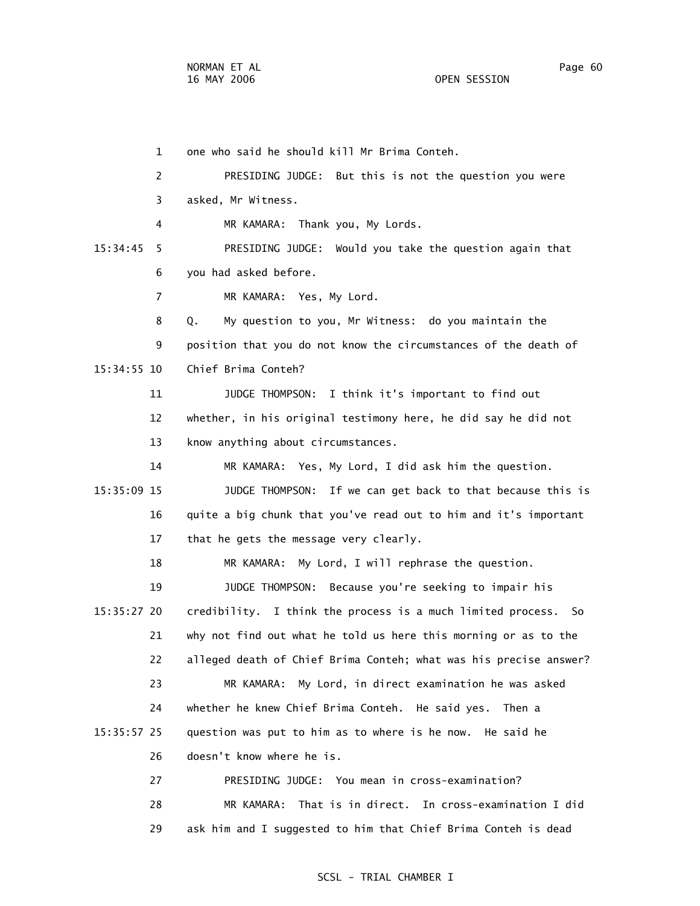1 one who said he should kill Mr Brima Conteh. 2 PRESIDING JUDGE: But this is not the question you were 3 asked, Mr Witness. 4 MR KAMARA: Thank you, My Lords. 15:34:45 5 PRESIDING JUDGE: Would you take the question again that 6 you had asked before. 7 MR KAMARA: Yes, My Lord. 8 Q. My question to you, Mr Witness: do you maintain the 9 position that you do not know the circumstances of the death of 15:34:55 10 Chief Brima Conteh? 11 JUDGE THOMPSON: I think it's important to find out 12 whether, in his original testimony here, he did say he did not 13 know anything about circumstances. 14 MR KAMARA: Yes, My Lord, I did ask him the question. 15:35:09 15 JUDGE THOMPSON: If we can get back to that because this is 16 quite a big chunk that you've read out to him and it's important 17 that he gets the message very clearly. 18 MR KAMARA: My Lord, I will rephrase the question. 19 JUDGE THOMPSON: Because you're seeking to impair his 15:35:27 20 credibility. I think the process is a much limited process. So 21 why not find out what he told us here this morning or as to the 22 alleged death of Chief Brima Conteh; what was his precise answer? 23 MR KAMARA: My Lord, in direct examination he was asked 24 whether he knew Chief Brima Conteh. He said yes. Then a 15:35:57 25 question was put to him as to where is he now. He said he 26 doesn't know where he is. 27 PRESIDING JUDGE: You mean in cross-examination? 28 MR KAMARA: That is in direct. In cross-examination I did

#### SCSL - TRIAL CHAMBER I

29 ask him and I suggested to him that Chief Brima Conteh is dead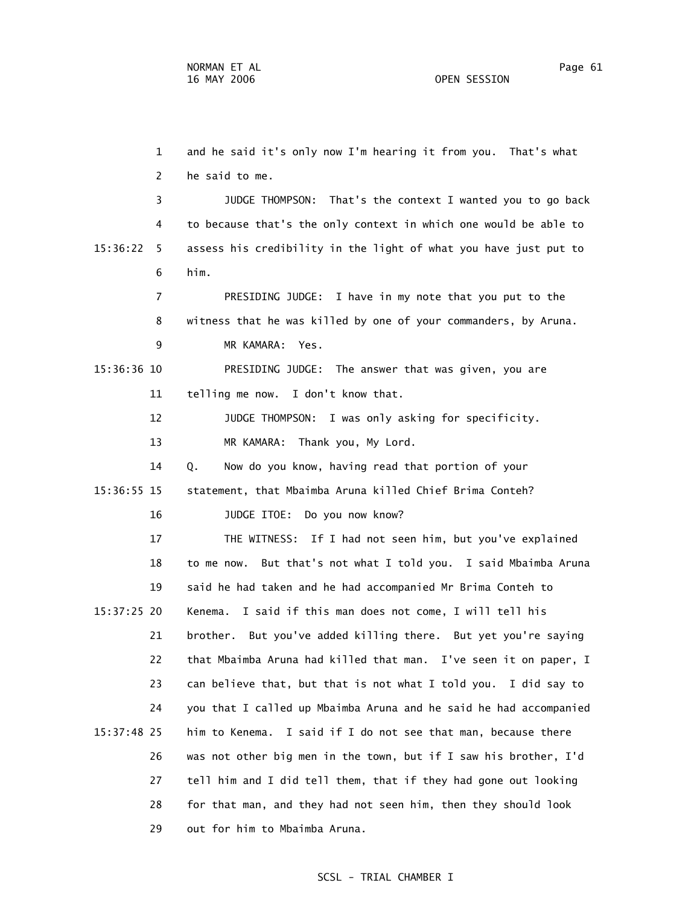1 and he said it's only now I'm hearing it from you. That's what 2 he said to me. 3 JUDGE THOMPSON: That's the context I wanted you to go back 4 to because that's the only context in which one would be able to 15:36:22 5 assess his credibility in the light of what you have just put to 6 him. 7 PRESIDING JUDGE: I have in my note that you put to the 8 witness that he was killed by one of your commanders, by Aruna. 9 MR KAMARA: Yes. 15:36:36 10 PRESIDING JUDGE: The answer that was given, you are 11 telling me now. I don't know that. 12 JUDGE THOMPSON: I was only asking for specificity. 13 MR KAMARA: Thank you, My Lord. 14 Q. Now do you know, having read that portion of your 15:36:55 15 statement, that Mbaimba Aruna killed Chief Brima Conteh? 16 JUDGE ITOE: Do you now know? 17 THE WITNESS: If I had not seen him, but you've explained 18 to me now. But that's not what I told you. I said Mbaimba Aruna 19 said he had taken and he had accompanied Mr Brima Conteh to 15:37:25 20 Kenema. I said if this man does not come, I will tell his 21 brother. But you've added killing there. But yet you're saying 22 that Mbaimba Aruna had killed that man. I've seen it on paper, I 23 can believe that, but that is not what I told you. I did say to 24 you that I called up Mbaimba Aruna and he said he had accompanied 15:37:48 25 him to Kenema. I said if I do not see that man, because there 26 was not other big men in the town, but if I saw his brother, I'd 27 tell him and I did tell them, that if they had gone out looking 28 for that man, and they had not seen him, then they should look

#### SCSL - TRIAL CHAMBER I

29 out for him to Mbaimba Aruna.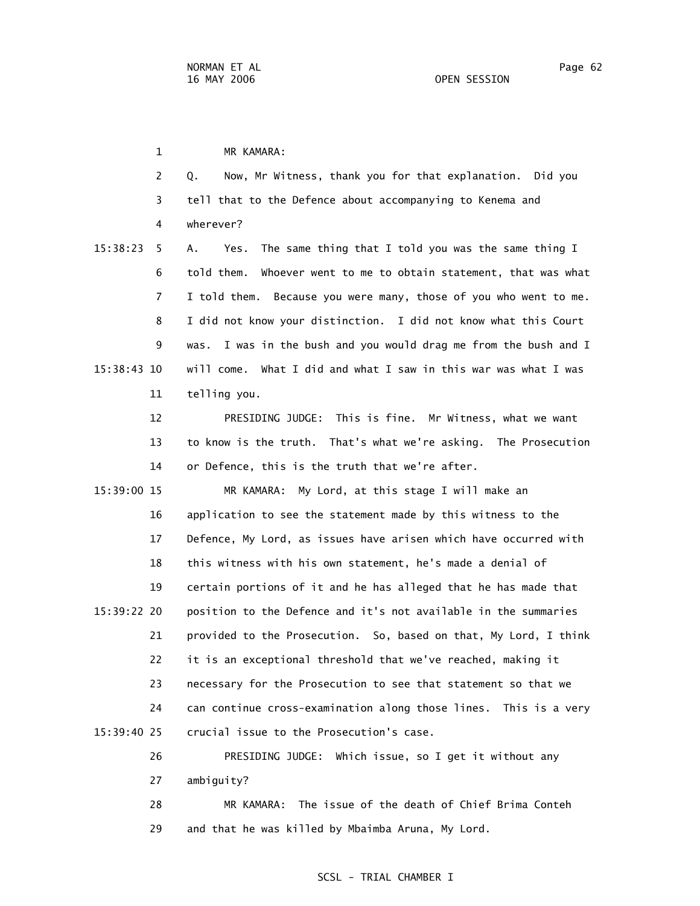1 MR KAMARA: 2 Q. Now, Mr Witness, thank you for that explanation. Did you 3 tell that to the Defence about accompanying to Kenema and 4 wherever? 15:38:23 5 A. Yes. The same thing that I told you was the same thing I 6 told them. Whoever went to me to obtain statement, that was what 7 I told them. Because you were many, those of you who went to me. 8 I did not know your distinction. I did not know what this Court

 9 was. I was in the bush and you would drag me from the bush and I 15:38:43 10 will come. What I did and what I saw in this war was what I was 11 telling you.

 12 PRESIDING JUDGE: This is fine. Mr Witness, what we want 13 to know is the truth. That's what we're asking. The Prosecution 14 or Defence, this is the truth that we're after.

 15:39:00 15 MR KAMARA: My Lord, at this stage I will make an 16 application to see the statement made by this witness to the 17 Defence, My Lord, as issues have arisen which have occurred with 18 this witness with his own statement, he's made a denial of 19 certain portions of it and he has alleged that he has made that 15:39:22 20 position to the Defence and it's not available in the summaries 21 provided to the Prosecution. So, based on that, My Lord, I think 22 it is an exceptional threshold that we've reached, making it 23 necessary for the Prosecution to see that statement so that we 24 can continue cross-examination along those lines. This is a very 15:39:40 25 crucial issue to the Prosecution's case.

> 26 PRESIDING JUDGE: Which issue, so I get it without any 27 ambiguity?

 28 MR KAMARA: The issue of the death of Chief Brima Conteh 29 and that he was killed by Mbaimba Aruna, My Lord.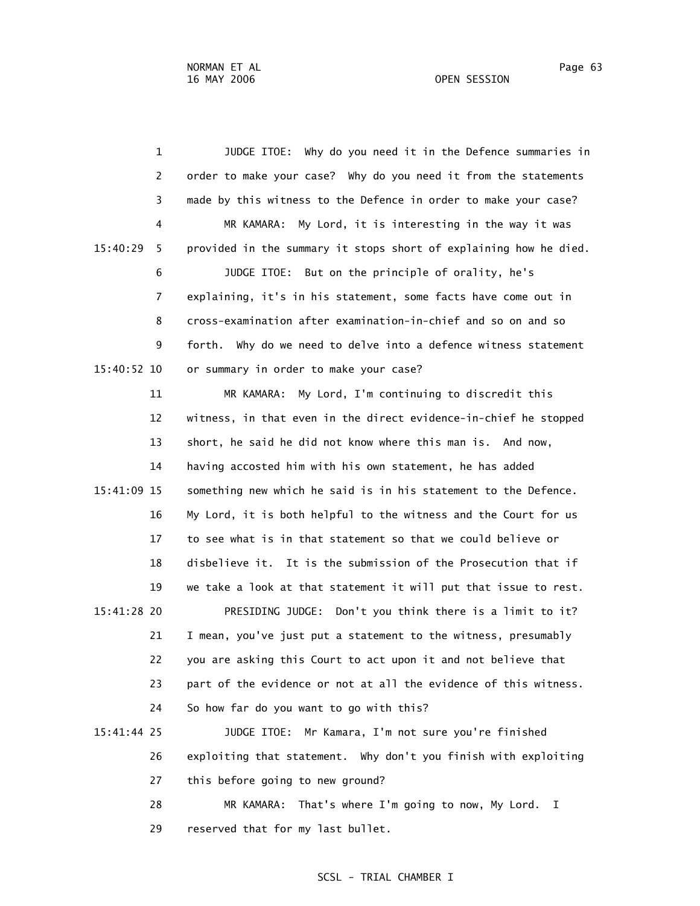OPEN SESSION

| $\mathbf{1}$  | JUDGE ITOE: Why do you need it in the Defence summaries in        |
|---------------|-------------------------------------------------------------------|
| 2             | order to make your case? Why do you need it from the statements   |
| 3             | made by this witness to the Defence in order to make your case?   |
| 4             | My Lord, it is interesting in the way it was<br>MR KAMARA:        |
| 15:40:29<br>5 | provided in the summary it stops short of explaining how he died. |
| 6             | JUDGE ITOE: But on the principle of orality, he's                 |
| 7             | explaining, it's in his statement, some facts have come out in    |
| 8             | cross-examination after examination-in-chief and so on and so     |
| 9             | forth. Why do we need to delve into a defence witness statement   |
| 15:40:52 10   | or summary in order to make your case?                            |
| 11            | My Lord, I'm continuing to discredit this<br>MR KAMARA:           |
| 12            | witness, in that even in the direct evidence-in-chief he stopped  |
| 13            | short, he said he did not know where this man is. And now,        |
| 14            | having accosted him with his own statement, he has added          |
| 15:41:09 15   | something new which he said is in his statement to the Defence.   |
| 16            | My Lord, it is both helpful to the witness and the Court for us   |
| 17            | to see what is in that statement so that we could believe or      |
| 18            | disbelieve it. It is the submission of the Prosecution that if    |
| 19            | we take a look at that statement it will put that issue to rest.  |
| 15:41:28 20   | PRESIDING JUDGE: Don't you think there is a limit to it?          |
| 21            | I mean, you've just put a statement to the witness, presumably    |
| 22            | you are asking this Court to act upon it and not believe that     |
| 23            | part of the evidence or not at all the evidence of this witness.  |
| 24            | So how far do you want to go with this?                           |
| 15:41:44 25   | Mr Kamara, I'm not sure you're finished<br>JUDGE ITOE:            |
| 26            | exploiting that statement. Why don't you finish with exploiting   |
| 27            | this before going to new ground?                                  |
| 28            | That's where I'm going to now, My Lord. I<br>MR KAMARA:           |
| 29            | reserved that for my last bullet.                                 |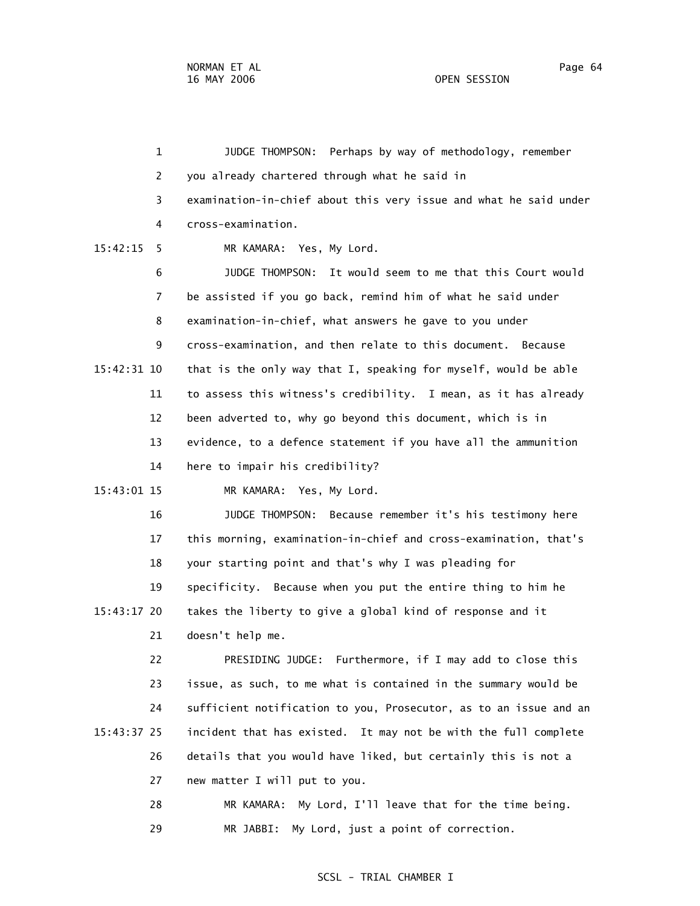1 JUDGE THOMPSON: Perhaps by way of methodology, remember 2 you already chartered through what he said in 3 examination-in-chief about this very issue and what he said under 4 cross-examination. 15:42:15 5 MR KAMARA: Yes, My Lord. 6 JUDGE THOMPSON: It would seem to me that this Court would 7 be assisted if you go back, remind him of what he said under 8 examination-in-chief, what answers he gave to you under 9 cross-examination, and then relate to this document. Because 15:42:31 10 that is the only way that I, speaking for myself, would be able 11 to assess this witness's credibility. I mean, as it has already 12 been adverted to, why go beyond this document, which is in 13 evidence, to a defence statement if you have all the ammunition 14 here to impair his credibility? 15:43:01 15 MR KAMARA: Yes, My Lord. 16 JUDGE THOMPSON: Because remember it's his testimony here 17 this morning, examination-in-chief and cross-examination, that's 18 your starting point and that's why I was pleading for 19 specificity. Because when you put the entire thing to him he 15:43:17 20 takes the liberty to give a global kind of response and it 21 doesn't help me. 22 PRESIDING JUDGE: Furthermore, if I may add to close this 23 issue, as such, to me what is contained in the summary would be 24 sufficient notification to you, Prosecutor, as to an issue and an 15:43:37 25 incident that has existed. It may not be with the full complete 26 details that you would have liked, but certainly this is not a 27 new matter I will put to you. 28 MR KAMARA: My Lord, I'll leave that for the time being. 29 MR JABBI: My Lord, just a point of correction.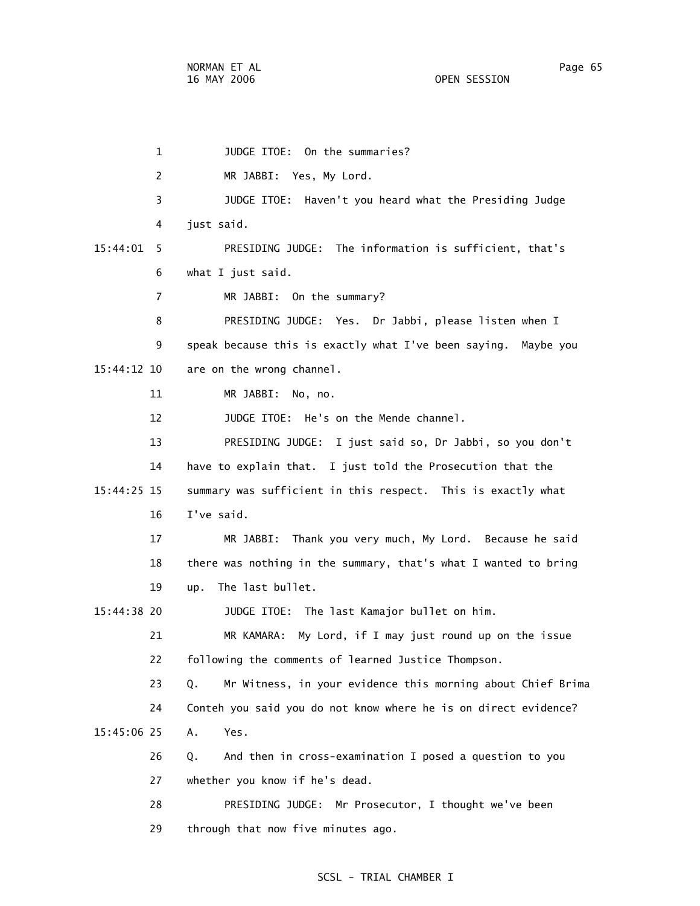1 JUDGE ITOE: On the summaries? 2 MR JABBI: Yes, My Lord. 3 JUDGE ITOE: Haven't you heard what the Presiding Judge 4 just said. 15:44:01 5 PRESIDING JUDGE: The information is sufficient, that's 6 what I just said. 7 MR JABBI: On the summary? 8 PRESIDING JUDGE: Yes. Dr Jabbi, please listen when I 9 speak because this is exactly what I've been saying. Maybe you 15:44:12 10 are on the wrong channel. 11 MR JABBI: No, no. 12 JUDGE ITOE: He's on the Mende channel. 13 PRESIDING JUDGE: I just said so, Dr Jabbi, so you don't 14 have to explain that. I just told the Prosecution that the 15:44:25 15 summary was sufficient in this respect. This is exactly what 16 I've said. 17 MR JABBI: Thank you very much, My Lord. Because he said 18 there was nothing in the summary, that's what I wanted to bring 19 up. The last bullet. 15:44:38 20 JUDGE ITOE: The last Kamajor bullet on him. 21 MR KAMARA: My Lord, if I may just round up on the issue 22 following the comments of learned Justice Thompson. 23 Q. Mr Witness, in your evidence this morning about Chief Brima 24 Conteh you said you do not know where he is on direct evidence? 15:45:06 25 A. Yes. 26 Q. And then in cross-examination I posed a question to you 27 whether you know if he's dead. 28 PRESIDING JUDGE: Mr Prosecutor, I thought we've been 29 through that now five minutes ago.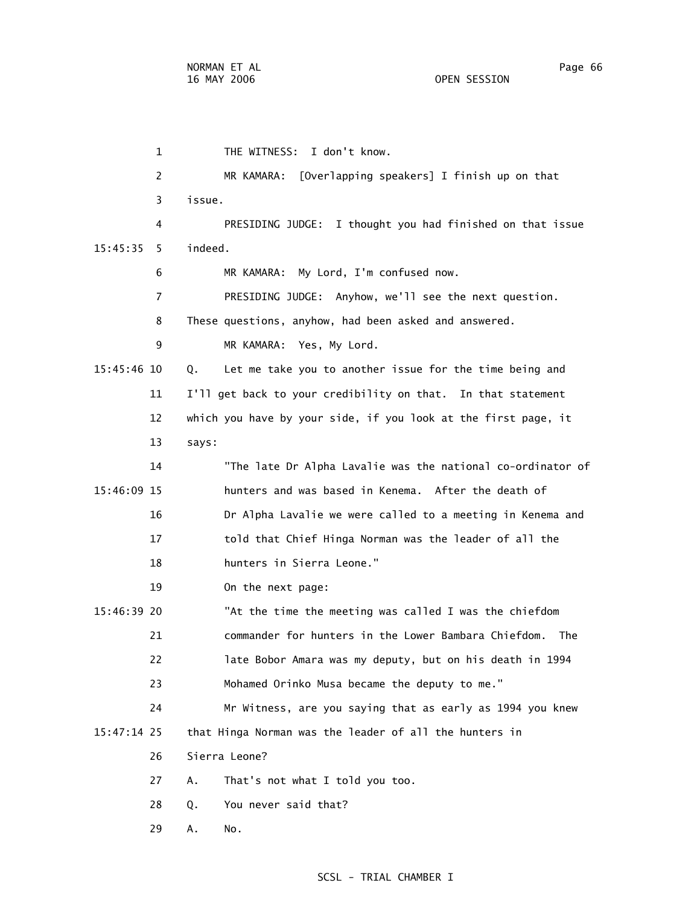1 THE WITNESS: I don't know. 2 MR KAMARA: [Overlapping speakers] I finish up on that 3 issue. 4 PRESIDING JUDGE: I thought you had finished on that issue 15:45:35 5 indeed. 6 MR KAMARA: My Lord, I'm confused now. 7 PRESIDING JUDGE: Anyhow, we'll see the next question. 8 These questions, anyhow, had been asked and answered. 9 MR KAMARA: Yes, My Lord. 15:45:46 10 Q. Let me take you to another issue for the time being and 11 I'll get back to your credibility on that. In that statement 12 which you have by your side, if you look at the first page, it 13 says: 14 "The late Dr Alpha Lavalie was the national co-ordinator of 15:46:09 15 hunters and was based in Kenema. After the death of 16 Dr Alpha Lavalie we were called to a meeting in Kenema and 17 told that Chief Hinga Norman was the leader of all the 18 hunters in Sierra Leone." 19 On the next page: 15:46:39 20 "At the time the meeting was called I was the chiefdom 21 commander for hunters in the Lower Bambara Chiefdom. The 22 late Bobor Amara was my deputy, but on his death in 1994 23 Mohamed Orinko Musa became the deputy to me." 24 Mr Witness, are you saying that as early as 1994 you knew 15:47:14 25 that Hinga Norman was the leader of all the hunters in 26 Sierra Leone? 27 A. That's not what I told you too. 28 Q. You never said that? 29 A. No.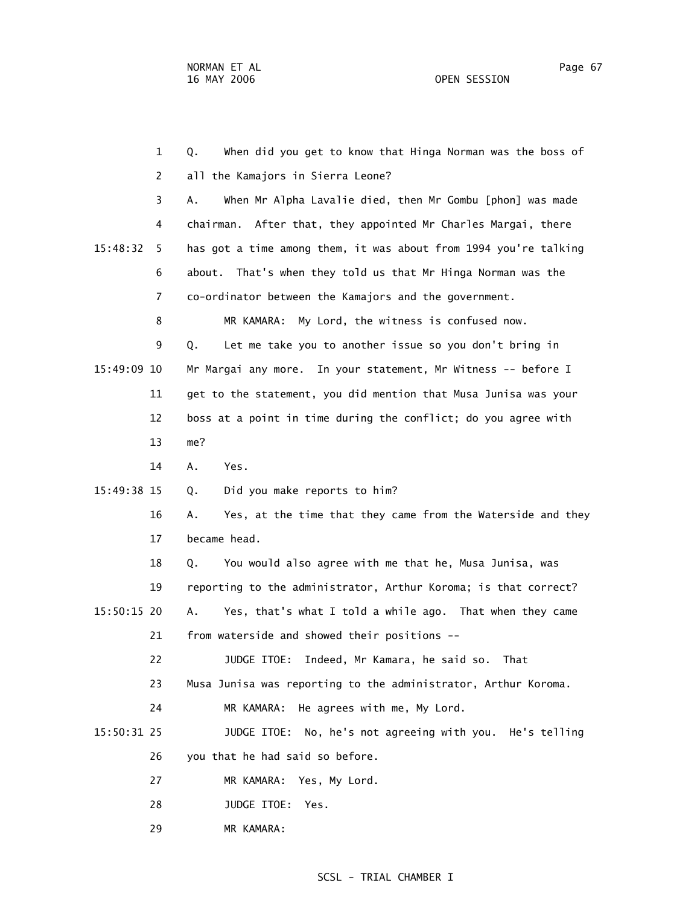1 Q. When did you get to know that Hinga Norman was the boss of 2 all the Kamajors in Sierra Leone? 3 A. When Mr Alpha Lavalie died, then Mr Gombu [phon] was made 4 chairman. After that, they appointed Mr Charles Margai, there 15:48:32 5 has got a time among them, it was about from 1994 you're talking 6 about. That's when they told us that Mr Hinga Norman was the 7 co-ordinator between the Kamajors and the government. 8 MR KAMARA: My Lord, the witness is confused now. 9 Q. Let me take you to another issue so you don't bring in 15:49:09 10 Mr Margai any more. In your statement, Mr Witness -- before I 11 get to the statement, you did mention that Musa Junisa was your 12 boss at a point in time during the conflict; do you agree with 13 me? 14 A. Yes. 15:49:38 15 Q. Did you make reports to him? 16 A. Yes, at the time that they came from the Waterside and they 17 became head. 18 Q. You would also agree with me that he, Musa Junisa, was 19 reporting to the administrator, Arthur Koroma; is that correct? 15:50:15 20 A. Yes, that's what I told a while ago. That when they came 21 from waterside and showed their positions -- 22 JUDGE ITOE: Indeed, Mr Kamara, he said so. That 23 Musa Junisa was reporting to the administrator, Arthur Koroma. 24 MR KAMARA: He agrees with me, My Lord. 15:50:31 25 JUDGE ITOE: No, he's not agreeing with you. He's telling 26 you that he had said so before. 27 MR KAMARA: Yes, My Lord. 28 JUDGE ITOE: Yes. 29 MR KAMARA: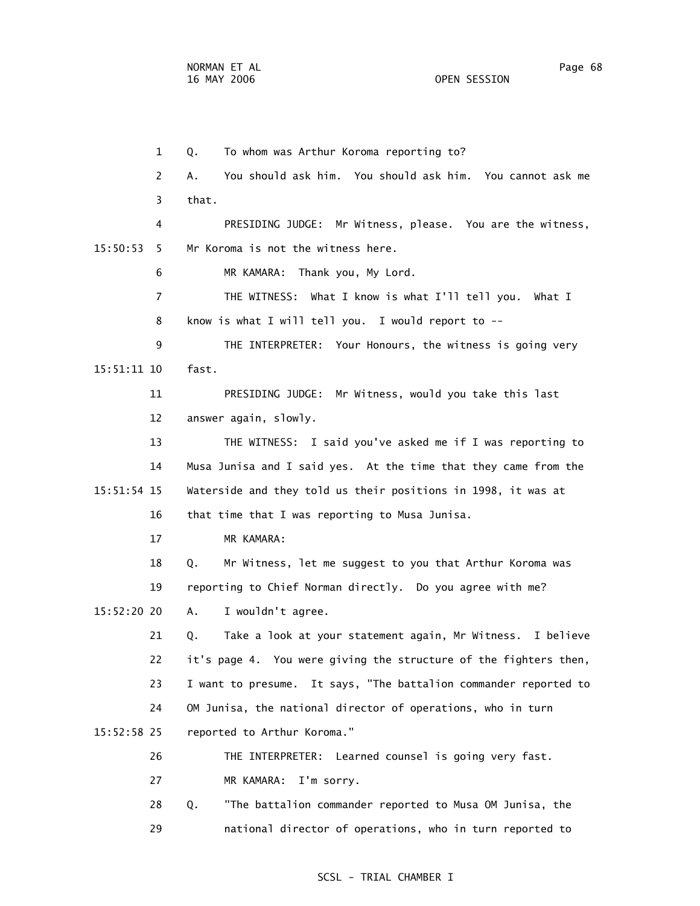1 Q. To whom was Arthur Koroma reporting to? 2 A. You should ask him. You should ask him. You cannot ask me 3 that. 4 PRESIDING JUDGE: Mr Witness, please. You are the witness, 15:50:53 5 Mr Koroma is not the witness here. 6 MR KAMARA: Thank you, My Lord. 7 THE WITNESS: What I know is what I'll tell you. What I 8 know is what I will tell you. I would report to -- 9 THE INTERPRETER: Your Honours, the witness is going very 15:51:11 10 fast. 11 PRESIDING JUDGE: Mr Witness, would you take this last 12 answer again, slowly. 13 THE WITNESS: I said you've asked me if I was reporting to 14 Musa Junisa and I said yes. At the time that they came from the 15:51:54 15 Waterside and they told us their positions in 1998, it was at 16 that time that I was reporting to Musa Junisa. 17 MR KAMARA: 18 Q. Mr Witness, let me suggest to you that Arthur Koroma was 19 reporting to Chief Norman directly. Do you agree with me? 15:52:20 20 A. I wouldn't agree. 21 Q. Take a look at your statement again, Mr Witness. I believe 22 it's page 4. You were giving the structure of the fighters then, 23 I want to presume. It says, "The battalion commander reported to 24 OM Junisa, the national director of operations, who in turn 15:52:58 25 reported to Arthur Koroma." 26 THE INTERPRETER: Learned counsel is going very fast. 27 MR KAMARA: I'm sorry. 28 Q. "The battalion commander reported to Musa OM Junisa, the

29 national director of operations, who in turn reported to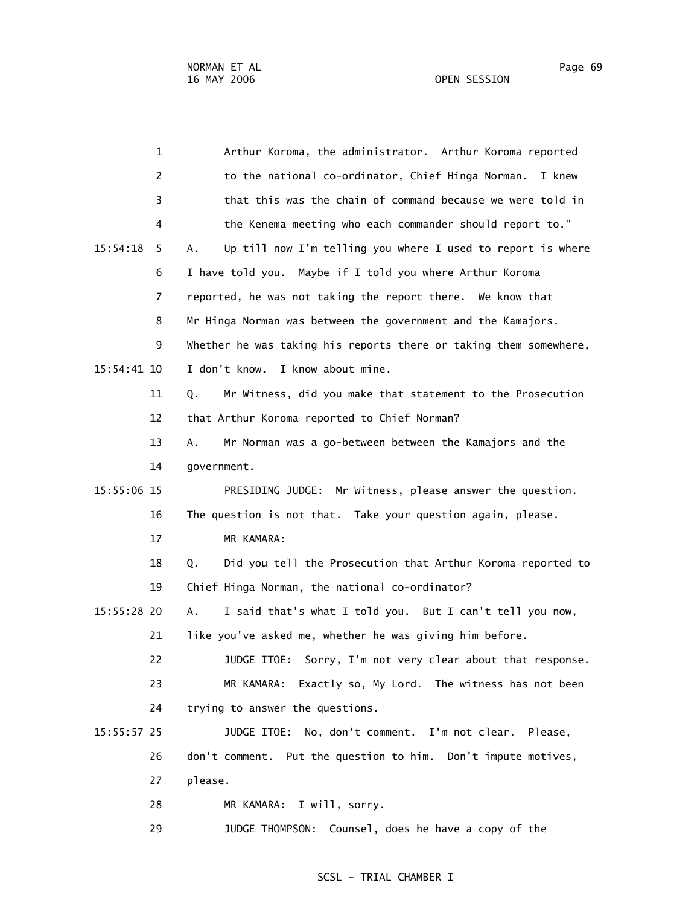1 Arthur Koroma, the administrator. Arthur Koroma reported 2 to the national co-ordinator, Chief Hinga Norman. I knew 3 that this was the chain of command because we were told in 4 the Kenema meeting who each commander should report to." 15:54:18 5 A. Up till now I'm telling you where I used to report is where 6 I have told you. Maybe if I told you where Arthur Koroma 7 reported, he was not taking the report there. We know that 8 Mr Hinga Norman was between the government and the Kamajors. 9 Whether he was taking his reports there or taking them somewhere, 15:54:41 10 I don't know. I know about mine. 11 Q. Mr Witness, did you make that statement to the Prosecution 12 that Arthur Koroma reported to Chief Norman? 13 A. Mr Norman was a go-between between the Kamajors and the 14 government. 15:55:06 15 PRESIDING JUDGE: Mr Witness, please answer the question. 16 The question is not that. Take your question again, please. 17 MR KAMARA: 18 Q. Did you tell the Prosecution that Arthur Koroma reported to 19 Chief Hinga Norman, the national co-ordinator? 15:55:28 20 A. I said that's what I told you. But I can't tell you now, 21 like you've asked me, whether he was giving him before. 22 JUDGE ITOE: Sorry, I'm not very clear about that response. 23 MR KAMARA: Exactly so, My Lord. The witness has not been 24 trying to answer the questions. 15:55:57 25 JUDGE ITOE: No, don't comment. I'm not clear. Please, 26 don't comment. Put the question to him. Don't impute motives, 27 please. 28 MR KAMARA: I will, sorry.

29 JUDGE THOMPSON: Counsel, does he have a copy of the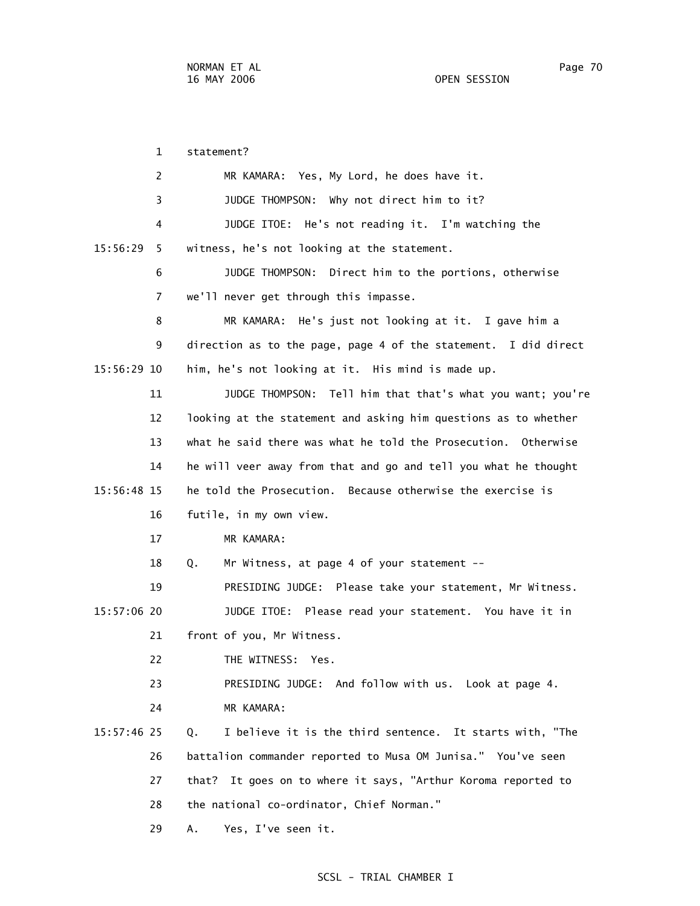1 statement? 2 MR KAMARA: Yes, My Lord, he does have it. 3 JUDGE THOMPSON: Why not direct him to it? 4 JUDGE ITOE: He's not reading it. I'm watching the 15:56:29 5 witness, he's not looking at the statement. 6 JUDGE THOMPSON: Direct him to the portions, otherwise 7 we'll never get through this impasse. 8 MR KAMARA: He's just not looking at it. I gave him a 9 direction as to the page, page 4 of the statement. I did direct 15:56:29 10 him, he's not looking at it. His mind is made up. 11 JUDGE THOMPSON: Tell him that that's what you want; you're 12 looking at the statement and asking him questions as to whether 13 what he said there was what he told the Prosecution. Otherwise 14 he will veer away from that and go and tell you what he thought 15:56:48 15 he told the Prosecution. Because otherwise the exercise is 16 futile, in my own view. 17 MR KAMARA: 18 Q. Mr Witness, at page 4 of your statement -- 19 PRESIDING JUDGE: Please take your statement, Mr Witness. 15:57:06 20 JUDGE ITOE: Please read your statement. You have it in 21 front of you, Mr Witness. 22 THE WITNESS: Yes. 23 PRESIDING JUDGE: And follow with us. Look at page 4. 24 MR KAMARA: 15:57:46 25 Q. I believe it is the third sentence. It starts with, "The 26 battalion commander reported to Musa OM Junisa." You've seen 27 that? It goes on to where it says, "Arthur Koroma reported to 28 the national co-ordinator, Chief Norman." 29 A. Yes, I've seen it.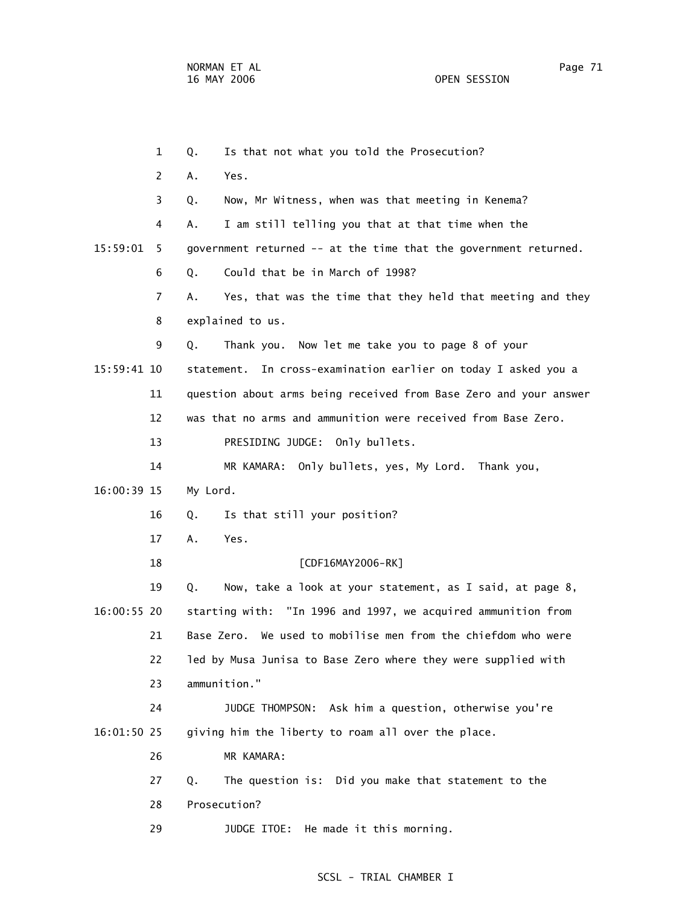1 Q. Is that not what you told the Prosecution? 2 A. Yes. 3 Q. Now, Mr Witness, when was that meeting in Kenema? 4 A. I am still telling you that at that time when the 15:59:01 5 government returned -- at the time that the government returned. 6 Q. Could that be in March of 1998? 7 A. Yes, that was the time that they held that meeting and they 8 explained to us. 9 Q. Thank you. Now let me take you to page 8 of your 15:59:41 10 statement. In cross-examination earlier on today I asked you a 11 question about arms being received from Base Zero and your answer 12 was that no arms and ammunition were received from Base Zero. 13 PRESIDING JUDGE: Only bullets. 14 MR KAMARA: Only bullets, yes, My Lord. Thank you, 16:00:39 15 My Lord. 16 Q. Is that still your position? 17 A. Yes. 18 [CDF16MAY2006-RK] 19 Q. Now, take a look at your statement, as I said, at page 8, 16:00:55 20 starting with: "In 1996 and 1997, we acquired ammunition from 21 Base Zero. We used to mobilise men from the chiefdom who were 22 led by Musa Junisa to Base Zero where they were supplied with 23 ammunition." 24 JUDGE THOMPSON: Ask him a question, otherwise you're 16:01:50 25 giving him the liberty to roam all over the place. 26 MR KAMARA: 27 Q. The question is: Did you make that statement to the 28 Prosecution? 29 JUDGE ITOE: He made it this morning.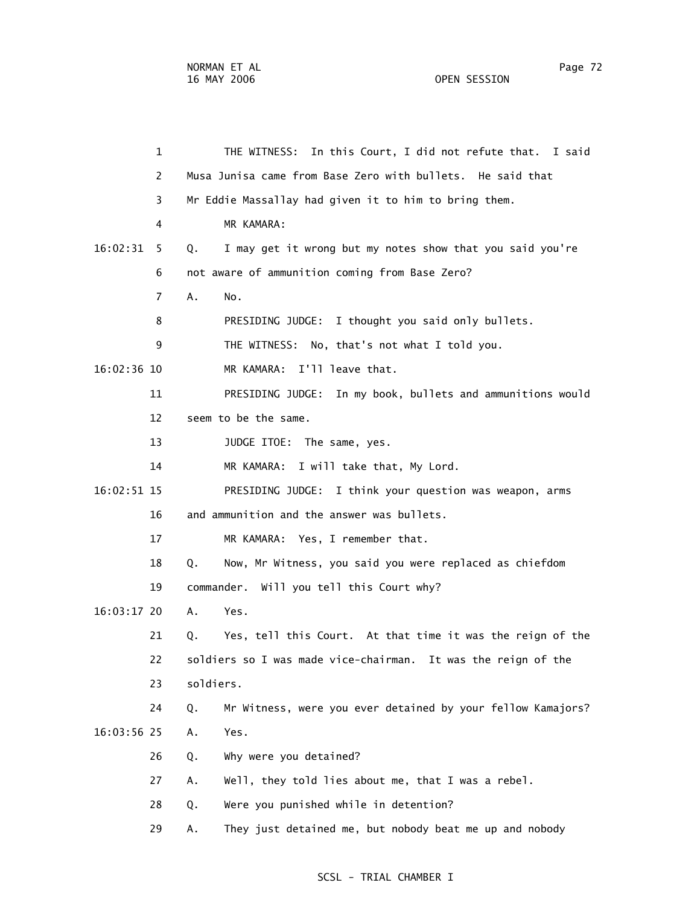1 THE WITNESS: In this Court, I did not refute that. I said 2 Musa Junisa came from Base Zero with bullets. He said that 3 Mr Eddie Massallay had given it to him to bring them. 4 MR KAMARA: 16:02:31 5 Q. I may get it wrong but my notes show that you said you're 6 not aware of ammunition coming from Base Zero? 7 A. No. 8 PRESIDING JUDGE: I thought you said only bullets. 9 THE WITNESS: No, that's not what I told you. 16:02:36 10 MR KAMARA: I'll leave that. 11 PRESIDING JUDGE: In my book, bullets and ammunitions would 12 seem to be the same. 13 **JUDGE ITOE:** The same, yes. 14 MR KAMARA: I will take that, My Lord. 16:02:51 15 PRESIDING JUDGE: I think your question was weapon, arms 16 and ammunition and the answer was bullets. 17 MR KAMARA: Yes, I remember that. 18 Q. Now, Mr Witness, you said you were replaced as chiefdom 19 commander. Will you tell this Court why? 16:03:17 20 A. Yes. 21 Q. Yes, tell this Court. At that time it was the reign of the 22 soldiers so I was made vice-chairman. It was the reign of the 23 soldiers. 24 Q. Mr Witness, were you ever detained by your fellow Kamajors? 16:03:56 25 A. Yes. 26 Q. Why were you detained? 27 A. Well, they told lies about me, that I was a rebel. 28 Q. Were you punished while in detention? 29 A. They just detained me, but nobody beat me up and nobody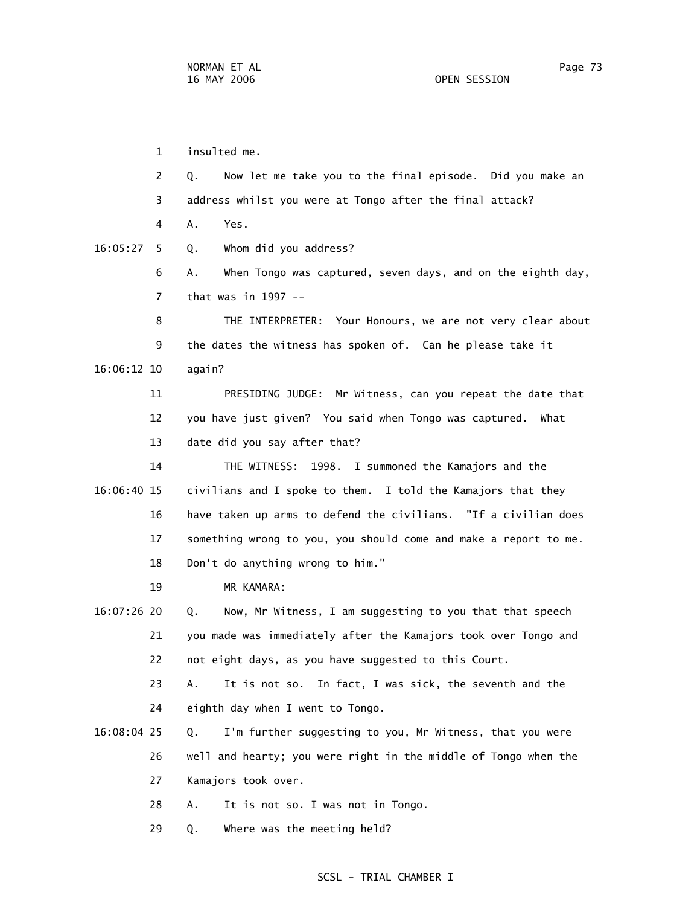1 insulted me. 2 Q. Now let me take you to the final episode. Did you make an 3 address whilst you were at Tongo after the final attack? 4 A. Yes. 16:05:27 5 Q. Whom did you address? 6 A. When Tongo was captured, seven days, and on the eighth day, 7 that was in 1997 -- 8 THE INTERPRETER: Your Honours, we are not very clear about 9 the dates the witness has spoken of. Can he please take it 16:06:12 10 again? 11 PRESIDING JUDGE: Mr Witness, can you repeat the date that 12 you have just given? You said when Tongo was captured. What 13 date did you say after that? 14 THE WITNESS: 1998. I summoned the Kamajors and the 16:06:40 15 civilians and I spoke to them. I told the Kamajors that they 16 have taken up arms to defend the civilians. "If a civilian does 17 something wrong to you, you should come and make a report to me. 18 Don't do anything wrong to him." 19 MR KAMARA: 16:07:26 20 Q. Now, Mr Witness, I am suggesting to you that that speech 21 you made was immediately after the Kamajors took over Tongo and 22 not eight days, as you have suggested to this Court. 23 A. It is not so. In fact, I was sick, the seventh and the 24 eighth day when I went to Tongo. 16:08:04 25 Q. I'm further suggesting to you, Mr Witness, that you were 26 well and hearty; you were right in the middle of Tongo when the 27 Kamajors took over. 28 A. It is not so. I was not in Tongo. 29 Q. Where was the meeting held?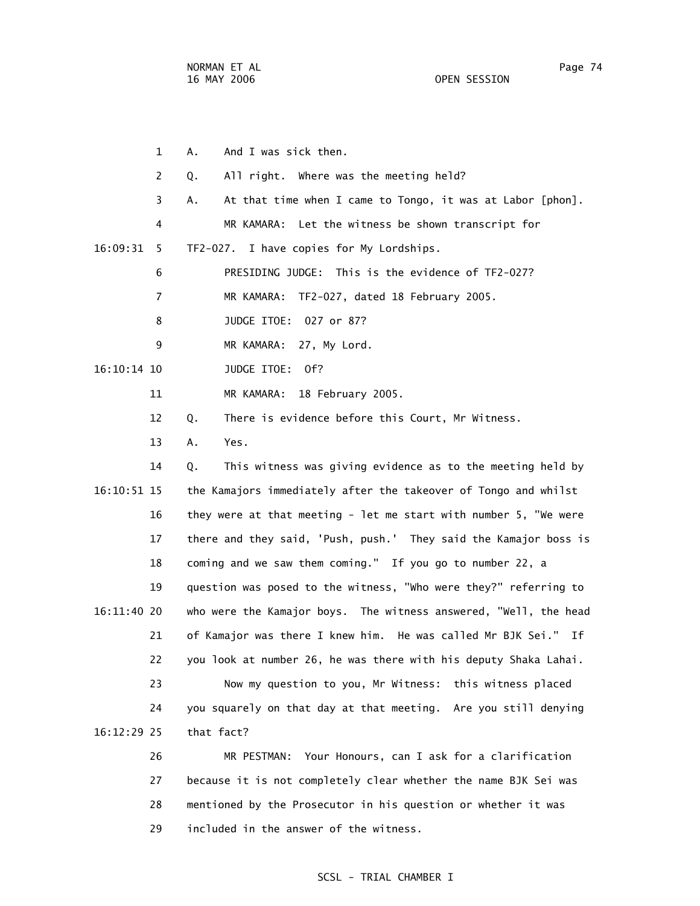1 A. And I was sick then. 2 Q. All right. Where was the meeting held? 3 A. At that time when I came to Tongo, it was at Labor [phon]. 4 MR KAMARA: Let the witness be shown transcript for 16:09:31 5 TF2-027. I have copies for My Lordships. 6 PRESIDING JUDGE: This is the evidence of TF2-027? 7 MR KAMARA: TF2-027, dated 18 February 2005. 8 JUDGE ITOE: 027 or 87? 9 MR KAMARA: 27, My Lord. 16:10:14 10 JUDGE ITOE: Of? 11 MR KAMARA: 18 February 2005. 12 Q. There is evidence before this Court, Mr Witness. 13 A. Yes. 14 Q. This witness was giving evidence as to the meeting held by 16:10:51 15 the Kamajors immediately after the takeover of Tongo and whilst 16 they were at that meeting - let me start with number 5, "We were 17 there and they said, 'Push, push.' They said the Kamajor boss is 18 coming and we saw them coming." If you go to number 22, a 19 question was posed to the witness, "Who were they?" referring to 16:11:40 20 who were the Kamajor boys. The witness answered, "Well, the head 21 of Kamajor was there I knew him. He was called Mr BJK Sei." If 22 you look at number 26, he was there with his deputy Shaka Lahai. 23 Now my question to you, Mr Witness: this witness placed 24 you squarely on that day at that meeting. Are you still denying 16:12:29 25 that fact? 26 MR PESTMAN: Your Honours, can I ask for a clarification 27 because it is not completely clear whether the name BJK Sei was

> 28 mentioned by the Prosecutor in his question or whether it was 29 included in the answer of the witness.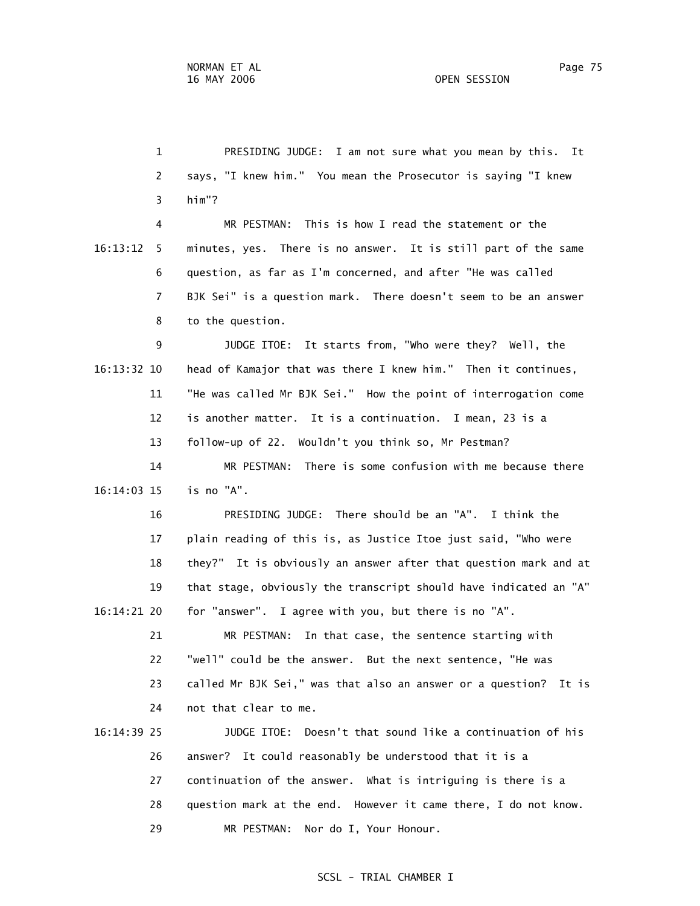1 PRESIDING JUDGE: I am not sure what you mean by this. It 2 says, "I knew him." You mean the Prosecutor is saying "I knew 3 him"? 4 MR PESTMAN: This is how I read the statement or the 16:13:12 5 minutes, yes. There is no answer. It is still part of the same 6 question, as far as I'm concerned, and after "He was called 7 BJK Sei" is a question mark. There doesn't seem to be an answer 8 to the question. 9 JUDGE ITOE: It starts from, "Who were they? Well, the 16:13:32 10 head of Kamajor that was there I knew him." Then it continues, 11 "He was called Mr BJK Sei." How the point of interrogation come 12 is another matter. It is a continuation. I mean, 23 is a 13 follow-up of 22. Wouldn't you think so, Mr Pestman? 14 MR PESTMAN: There is some confusion with me because there 16:14:03 15 is no "A". 16 PRESIDING JUDGE: There should be an "A". I think the 17 plain reading of this is, as Justice Itoe just said, "Who were 18 they?" It is obviously an answer after that question mark and at 19 that stage, obviously the transcript should have indicated an "A" 16:14:21 20 for "answer". I agree with you, but there is no "A". 21 MR PESTMAN: In that case, the sentence starting with 22 "well" could be the answer. But the next sentence, "He was 23 called Mr BJK Sei," was that also an answer or a question? It is 24 not that clear to me. 16:14:39 25 JUDGE ITOE: Doesn't that sound like a continuation of his 26 answer? It could reasonably be understood that it is a

27 continuation of the answer. What is intriguing is there is a

- 28 question mark at the end. However it came there, I do not know.
- 29 MR PESTMAN: Nor do I, Your Honour.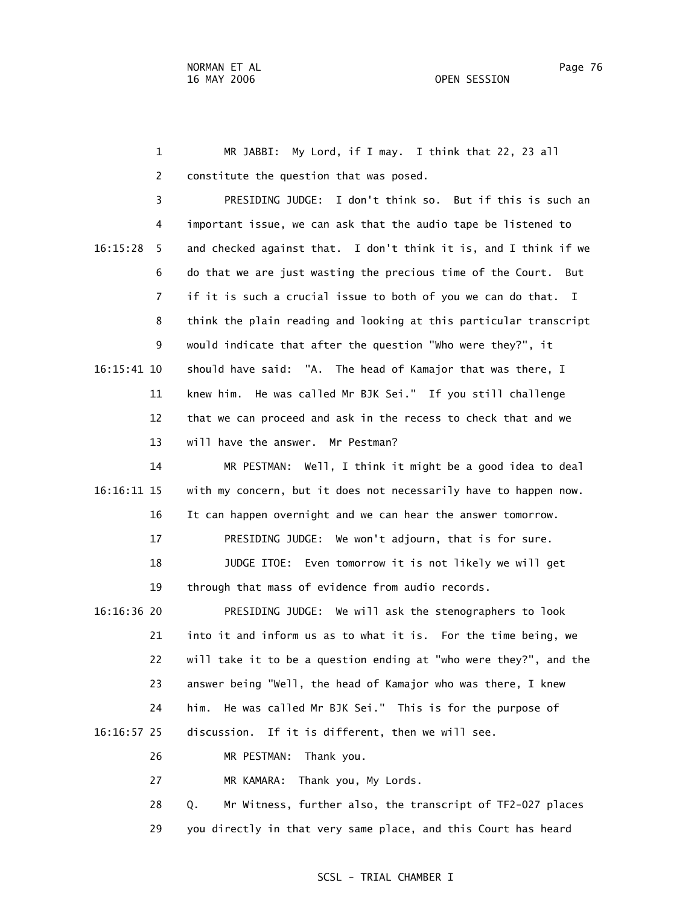1 MR JABBI: My Lord, if I may. I think that 22, 23 all 2 constitute the question that was posed. 3 PRESIDING JUDGE: I don't think so. But if this is such an 4 important issue, we can ask that the audio tape be listened to 16:15:28 5 and checked against that. I don't think it is, and I think if we 6 do that we are just wasting the precious time of the Court. But 7 if it is such a crucial issue to both of you we can do that. I 8 think the plain reading and looking at this particular transcript 9 would indicate that after the question "Who were they?", it 16:15:41 10 should have said: "A. The head of Kamajor that was there, I 11 knew him. He was called Mr BJK Sei." If you still challenge 12 that we can proceed and ask in the recess to check that and we 13 will have the answer. Mr Pestman? 14 MR PESTMAN: Well, I think it might be a good idea to deal 16:16:11 15 with my concern, but it does not necessarily have to happen now. 16 It can happen overnight and we can hear the answer tomorrow. 17 PRESIDING JUDGE: We won't adjourn, that is for sure. 18 JUDGE ITOE: Even tomorrow it is not likely we will get 19 through that mass of evidence from audio records. 16:16:36 20 PRESIDING JUDGE: We will ask the stenographers to look 21 into it and inform us as to what it is. For the time being, we 22 will take it to be a question ending at "who were they?", and the 23 answer being "Well, the head of Kamajor who was there, I knew 24 him. He was called Mr BJK Sei." This is for the purpose of 16:16:57 25 discussion. If it is different, then we will see. 26 MR PESTMAN: Thank you. 27 MR KAMARA: Thank you, My Lords. 28 Q. Mr Witness, further also, the transcript of TF2-027 places

29 you directly in that very same place, and this Court has heard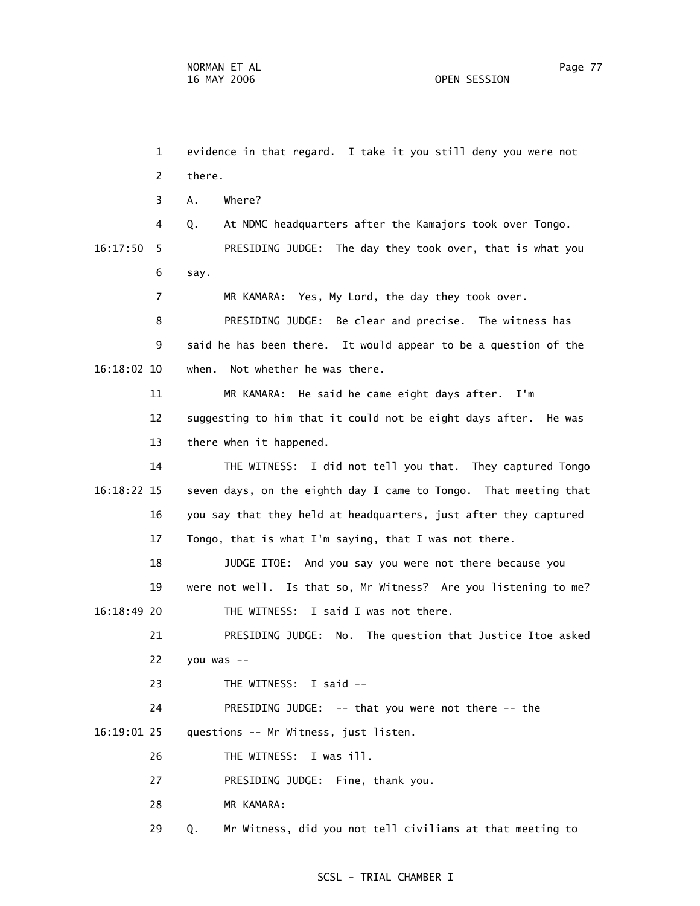1 evidence in that regard. I take it you still deny you were not 2 there. 3 A. Where? 4 Q. At NDMC headquarters after the Kamajors took over Tongo. 16:17:50 5 PRESIDING JUDGE: The day they took over, that is what you 6 say. 7 MR KAMARA: Yes, My Lord, the day they took over. 8 PRESIDING JUDGE: Be clear and precise. The witness has 9 said he has been there. It would appear to be a question of the 16:18:02 10 when. Not whether he was there. 11 MR KAMARA: He said he came eight days after. I'm 12 suggesting to him that it could not be eight days after. He was 13 there when it happened. 14 THE WITNESS: I did not tell you that. They captured Tongo 16:18:22 15 seven days, on the eighth day I came to Tongo. That meeting that 16 you say that they held at headquarters, just after they captured 17 Tongo, that is what I'm saying, that I was not there. 18 JUDGE ITOE: And you say you were not there because you 19 were not well. Is that so, Mr Witness? Are you listening to me? 16:18:49 20 THE WITNESS: I said I was not there. 21 PRESIDING JUDGE: No. The question that Justice Itoe asked 22 you was -- 23 THE WITNESS: I said -- 24 PRESIDING JUDGE: -- that you were not there -- the 16:19:01 25 questions -- Mr Witness, just listen. 26 THE WITNESS: I was ill. 27 PRESIDING JUDGE: Fine, thank you. 28 MR KAMARA: 29 Q. Mr Witness, did you not tell civilians at that meeting to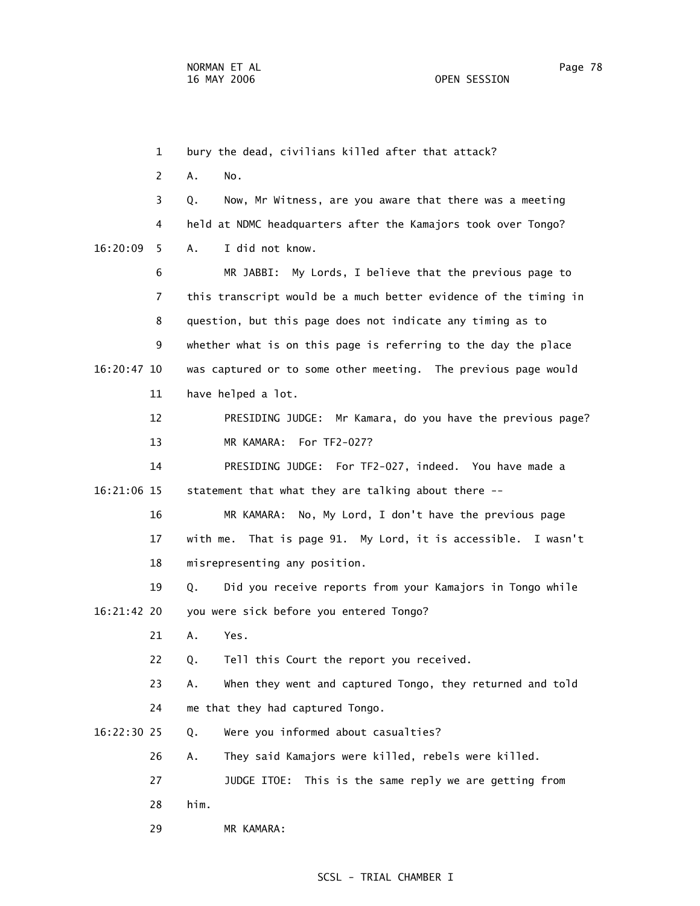1 bury the dead, civilians killed after that attack? 2 A. No. 3 Q. Now, Mr Witness, are you aware that there was a meeting 4 held at NDMC headquarters after the Kamajors took over Tongo? 16:20:09 5 A. I did not know. 6 MR JABBI: My Lords, I believe that the previous page to 7 this transcript would be a much better evidence of the timing in 8 question, but this page does not indicate any timing as to 9 whether what is on this page is referring to the day the place 16:20:47 10 was captured or to some other meeting. The previous page would 11 have helped a lot. 12 PRESIDING JUDGE: Mr Kamara, do you have the previous page? 13 MR KAMARA: For TF2-027? 14 PRESIDING JUDGE: For TF2-027, indeed. You have made a 16:21:06 15 statement that what they are talking about there -- 16 MR KAMARA: No, My Lord, I don't have the previous page 17 with me. That is page 91. My Lord, it is accessible. I wasn't 18 misrepresenting any position. 19 Q. Did you receive reports from your Kamajors in Tongo while 16:21:42 20 you were sick before you entered Tongo? 21 A. Yes. 22 Q. Tell this Court the report you received. 23 A. When they went and captured Tongo, they returned and told 24 me that they had captured Tongo. 16:22:30 25 Q. Were you informed about casualties? 26 A. They said Kamajors were killed, rebels were killed. 27 JUDGE ITOE: This is the same reply we are getting from 28 him. 29 MR KAMARA: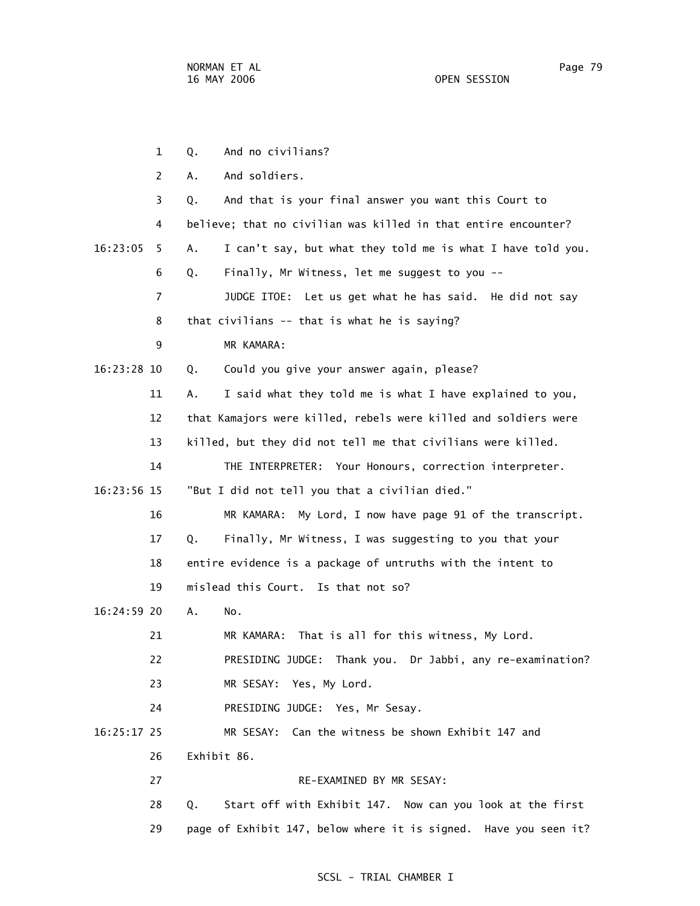1 Q. And no civilians? 2 A. And soldiers. 3 Q. And that is your final answer you want this Court to 4 believe; that no civilian was killed in that entire encounter? 16:23:05 5 A. I can't say, but what they told me is what I have told you. 6 Q. Finally, Mr Witness, let me suggest to you -- 7 JUDGE ITOE: Let us get what he has said. He did not say 8 that civilians -- that is what he is saying? 9 MR KAMARA: 16:23:28 10 Q. Could you give your answer again, please? 11 A. I said what they told me is what I have explained to you, 12 that Kamajors were killed, rebels were killed and soldiers were 13 killed, but they did not tell me that civilians were killed. 14 THE INTERPRETER: Your Honours, correction interpreter. 16:23:56 15 "But I did not tell you that a civilian died." 16 MR KAMARA: My Lord, I now have page 91 of the transcript. 17 Q. Finally, Mr Witness, I was suggesting to you that your 18 entire evidence is a package of untruths with the intent to 19 mislead this Court. Is that not so? 16:24:59 20 A. No. 21 MR KAMARA: That is all for this witness, My Lord. 22 PRESIDING JUDGE: Thank you. Dr Jabbi, any re-examination? 23 MR SESAY: Yes, My Lord. 24 PRESIDING JUDGE: Yes, Mr Sesay. 16:25:17 25 MR SESAY: Can the witness be shown Exhibit 147 and 26 Exhibit 86. 27 RE-EXAMINED BY MR SESAY: 28 Q. Start off with Exhibit 147. Now can you look at the first 29 page of Exhibit 147, below where it is signed. Have you seen it?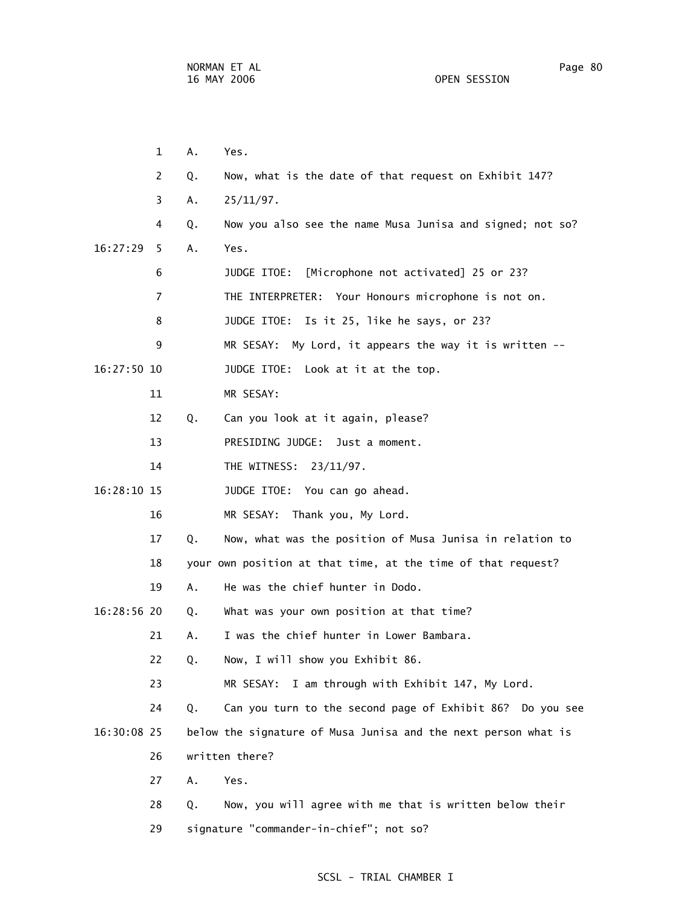1 A. Yes. 2 Q. Now, what is the date of that request on Exhibit 147? 3 A. 25/11/97. 4 Q. Now you also see the name Musa Junisa and signed; not so? 16:27:29 5 A. Yes. 6 JUDGE ITOE: [Microphone not activated] 25 or 23? 7 THE INTERPRETER: Your Honours microphone is not on. 8 JUDGE ITOE: Is it 25, like he says, or 23? 9 MR SESAY: My Lord, it appears the way it is written -- 16:27:50 10 JUDGE ITOE: Look at it at the top. 11 MR SESAY: 12 Q. Can you look at it again, please? 13 PRESIDING JUDGE: Just a moment. 14 THE WITNESS: 23/11/97. 16:28:10 15 JUDGE ITOE: You can go ahead. 16 MR SESAY: Thank you, My Lord. 17 Q. Now, what was the position of Musa Junisa in relation to 18 your own position at that time, at the time of that request? 19 A. He was the chief hunter in Dodo. 16:28:56 20 Q. What was your own position at that time? 21 A. I was the chief hunter in Lower Bambara. 22 Q. Now, I will show you Exhibit 86. 23 MR SESAY: I am through with Exhibit 147, My Lord. 24 Q. Can you turn to the second page of Exhibit 86? Do you see 16:30:08 25 below the signature of Musa Junisa and the next person what is 26 written there? 27 A. Yes. 28 Q. Now, you will agree with me that is written below their 29 signature "commander-in-chief"; not so?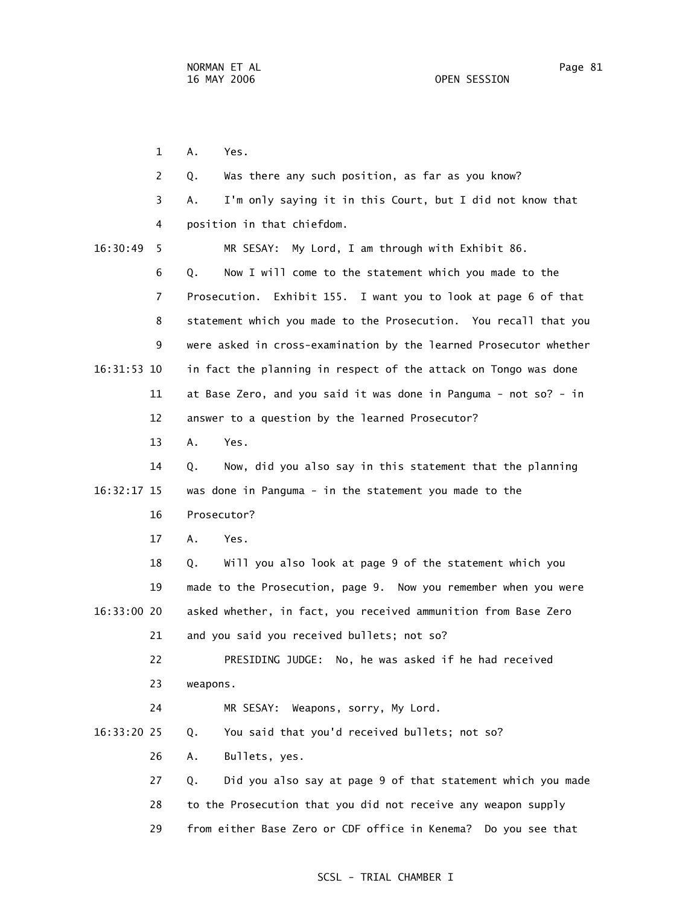1 A. Yes. 2 Q. Was there any such position, as far as you know? 3 A. I'm only saying it in this Court, but I did not know that 4 position in that chiefdom. 16:30:49 5 MR SESAY: My Lord, I am through with Exhibit 86. 6 Q. Now I will come to the statement which you made to the 7 Prosecution. Exhibit 155. I want you to look at page 6 of that 8 statement which you made to the Prosecution. You recall that you 9 were asked in cross-examination by the learned Prosecutor whether 16:31:53 10 in fact the planning in respect of the attack on Tongo was done 11 at Base Zero, and you said it was done in Panguma - not so? - in 12 answer to a question by the learned Prosecutor? 13 A. Yes. 14 Q. Now, did you also say in this statement that the planning 16:32:17 15 was done in Panguma - in the statement you made to the 16 Prosecutor? 17 A. Yes. 18 Q. Will you also look at page 9 of the statement which you 19 made to the Prosecution, page 9. Now you remember when you were 16:33:00 20 asked whether, in fact, you received ammunition from Base Zero 21 and you said you received bullets; not so? 22 PRESIDING JUDGE: No, he was asked if he had received 23 weapons. 24 MR SESAY: Weapons, sorry, My Lord. 16:33:20 25 Q. You said that you'd received bullets; not so? 26 A. Bullets, yes. 27 Q. Did you also say at page 9 of that statement which you made 28 to the Prosecution that you did not receive any weapon supply 29 from either Base Zero or CDF office in Kenema? Do you see that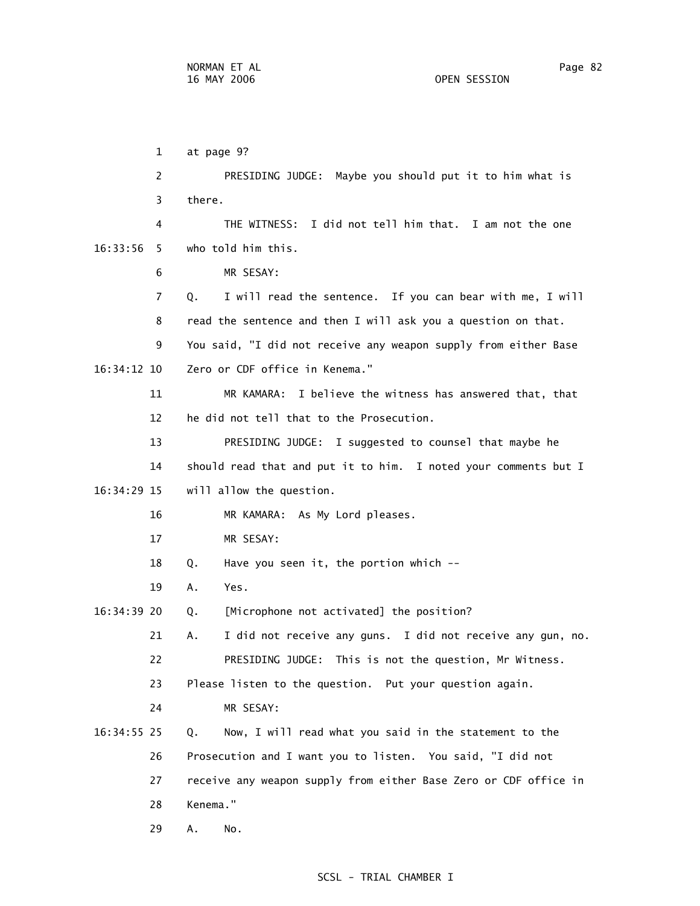1 at page 9? 2 PRESIDING JUDGE: Maybe you should put it to him what is 3 there. 4 THE WITNESS: I did not tell him that. I am not the one 16:33:56 5 who told him this. 6 MR SESAY: 7 Q. I will read the sentence. If you can bear with me, I will 8 read the sentence and then I will ask you a question on that. 9 You said, "I did not receive any weapon supply from either Base 16:34:12 10 Zero or CDF office in Kenema." 11 MR KAMARA: I believe the witness has answered that, that 12 he did not tell that to the Prosecution. 13 PRESIDING JUDGE: I suggested to counsel that maybe he 14 should read that and put it to him. I noted your comments but I 16:34:29 15 will allow the question. 16 MR KAMARA: As My Lord pleases. 17 MR SESAY: 18 Q. Have you seen it, the portion which -- 19 A. Yes. 16:34:39 20 Q. [Microphone not activated] the position? 21 A. I did not receive any guns. I did not receive any gun, no. 22 PRESIDING JUDGE: This is not the question, Mr Witness. 23 Please listen to the question. Put your question again. 24 MR SESAY: 16:34:55 25 Q. Now, I will read what you said in the statement to the 26 Prosecution and I want you to listen. You said, "I did not 27 receive any weapon supply from either Base Zero or CDF office in 28 Kenema." 29 A. No.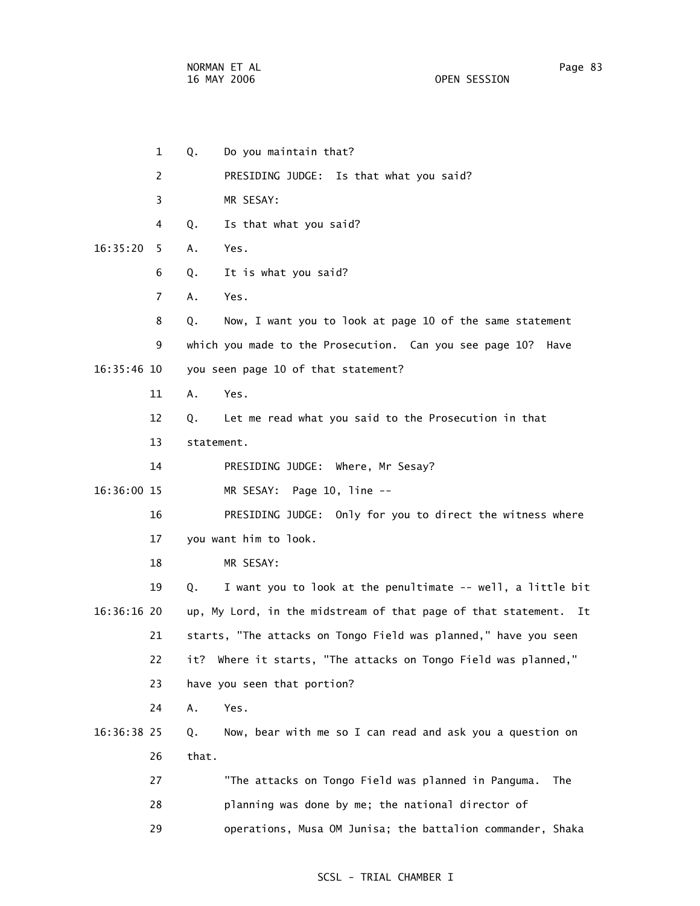1 Q. Do you maintain that? 2 PRESIDING JUDGE: Is that what you said? 3 MR SESAY: 4 Q. Is that what you said? 16:35:20 5 A. Yes. 6 Q. It is what you said? 7 A. Yes. 8 Q. Now, I want you to look at page 10 of the same statement 9 which you made to the Prosecution. Can you see page 10? Have 16:35:46 10 you seen page 10 of that statement? 11 A. Yes. 12 Q. Let me read what you said to the Prosecution in that 13 statement. 14 PRESIDING JUDGE: Where, Mr Sesay? 16:36:00 15 MR SESAY: Page 10, line -- 16 PRESIDING JUDGE: Only for you to direct the witness where 17 you want him to look. 18 MR SESAY: 19 Q. I want you to look at the penultimate -- well, a little bit 16:36:16 20 up, My Lord, in the midstream of that page of that statement. It 21 starts, "The attacks on Tongo Field was planned," have you seen 22 it? Where it starts, "The attacks on Tongo Field was planned," 23 have you seen that portion? 24 A. Yes. 16:36:38 25 Q. Now, bear with me so I can read and ask you a question on 26 that. 27 "The attacks on Tongo Field was planned in Panguma. The 28 planning was done by me; the national director of 29 operations, Musa OM Junisa; the battalion commander, Shaka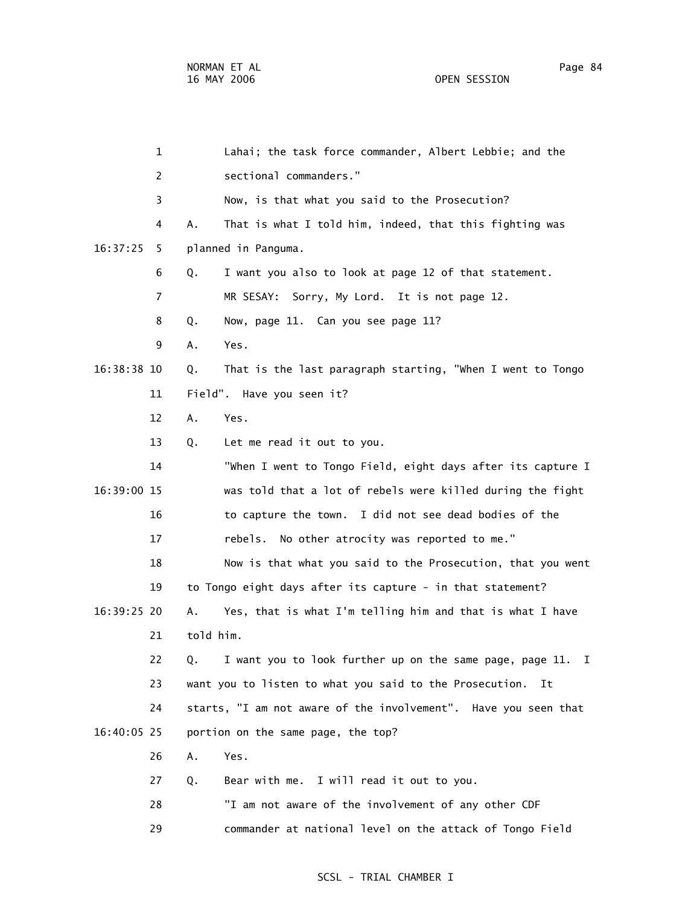| $\mathbf{1}$   | Lahai; the task force commander, Albert Lebbie; and the          |  |  |
|----------------|------------------------------------------------------------------|--|--|
| $\overline{c}$ | sectional commanders."                                           |  |  |
| 3              | Now, is that what you said to the Prosecution?                   |  |  |
| 4              | That is what I told him, indeed, that this fighting was<br>Α.    |  |  |
| 16:37:25<br>5. | planned in Panguma.                                              |  |  |
| 6              | I want you also to look at page 12 of that statement.<br>Q.      |  |  |
| 7              | MR SESAY: Sorry, My Lord. It is not page 12.                     |  |  |
| 8              | Q.<br>Now, page 11. Can you see page 11?                         |  |  |
| 9              | Α.<br>Yes.                                                       |  |  |
| 16:38:38 10    | That is the last paragraph starting, "When I went to Tongo<br>Q. |  |  |
| 11             | Field". Have you seen it?                                        |  |  |
| 12             | Α.<br>Yes.                                                       |  |  |
| 13             | Let me read it out to you.<br>Q.                                 |  |  |
| 14             | "When I went to Tongo Field, eight days after its capture I      |  |  |
| 16:39:00 15    | was told that a lot of rebels were killed during the fight       |  |  |
| 16             | to capture the town. I did not see dead bodies of the            |  |  |
| 17             | rebels. No other atrocity was reported to me."                   |  |  |
| 18             | Now is that what you said to the Prosecution, that you went      |  |  |
| 19             | to Tongo eight days after its capture - in that statement?       |  |  |
| 16:39:25 20    | Yes, that is what I'm telling him and that is what I have<br>Α.  |  |  |
| 21             | told him.                                                        |  |  |
| 22             | I want you to look further up on the same page, page 11. I<br>Q. |  |  |
| 23             | want you to listen to what you said to the Prosecution. It       |  |  |
| 24             | starts, "I am not aware of the involvement". Have you seen that  |  |  |
| 16:40:05 25    | portion on the same page, the top?                               |  |  |
| 26             | Yes.<br>Α.                                                       |  |  |
| 27             | Bear with me. I will read it out to you.<br>Q.                   |  |  |
| 28             | "I am not aware of the involvement of any other CDF              |  |  |
| 29             | commander at national level on the attack of Tongo Field         |  |  |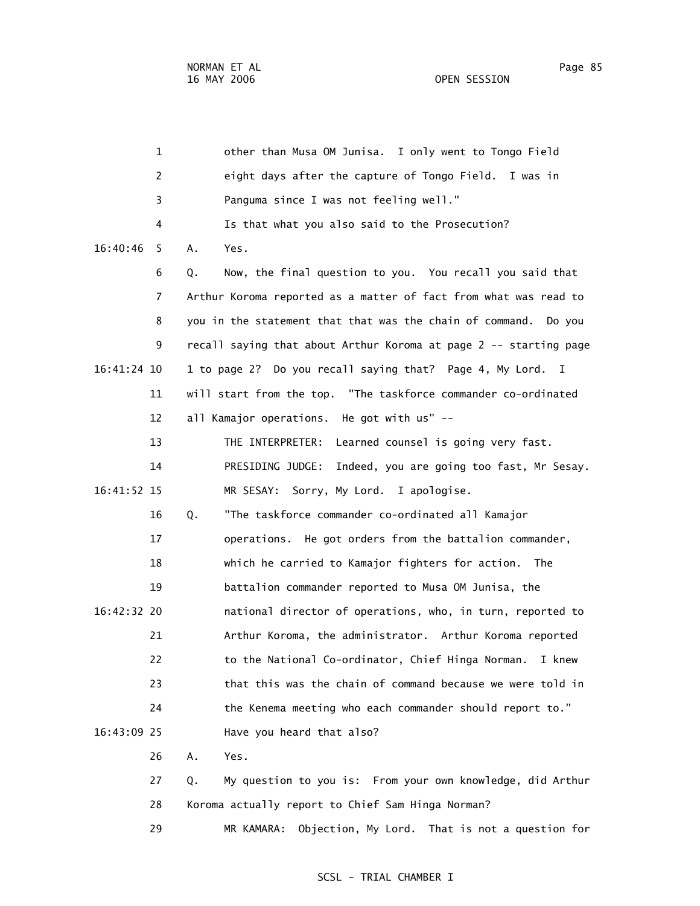1 other than Musa OM Junisa. I only went to Tongo Field 2 eight days after the capture of Tongo Field. I was in 3 Panguma since I was not feeling well." 4 Is that what you also said to the Prosecution? 16:40:46 5 A. Yes. 6 Q. Now, the final question to you. You recall you said that 7 Arthur Koroma reported as a matter of fact from what was read to 8 you in the statement that that was the chain of command. Do you 9 recall saying that about Arthur Koroma at page 2 -- starting page 16:41:24 10 1 to page 2? Do you recall saying that? Page 4, My Lord. I 11 will start from the top. "The taskforce commander co-ordinated 12 all Kamajor operations. He got with us" -- 13 THE INTERPRETER: Learned counsel is going very fast. 14 PRESIDING JUDGE: Indeed, you are going too fast, Mr Sesay. 16:41:52 15 MR SESAY: Sorry, My Lord. I apologise. 16 Q. "The taskforce commander co-ordinated all Kamajor 17 operations. He got orders from the battalion commander, 18 which he carried to Kamajor fighters for action. The 19 battalion commander reported to Musa OM Junisa, the 16:42:32 20 national director of operations, who, in turn, reported to 21 Arthur Koroma, the administrator. Arthur Koroma reported 22 to the National Co-ordinator, Chief Hinga Norman. I knew 23 that this was the chain of command because we were told in 24 the Kenema meeting who each commander should report to." 16:43:09 25 Have you heard that also? 26 A. Yes. 27 Q. My question to you is: From your own knowledge, did Arthur 28 Koroma actually report to Chief Sam Hinga Norman?

29 MR KAMARA: Objection, My Lord. That is not a question for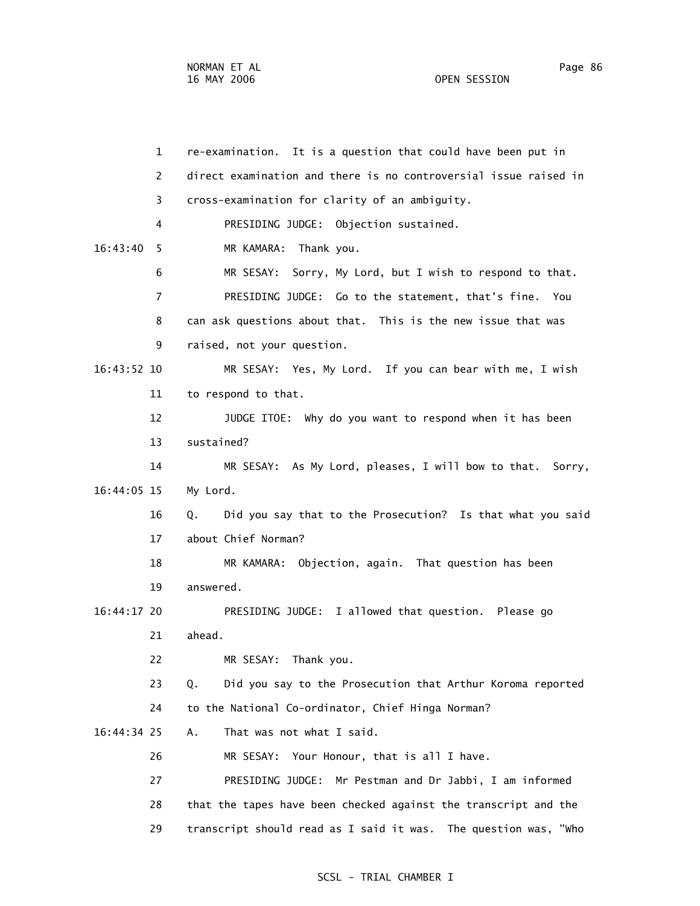1 re-examination. It is a question that could have been put in 2 direct examination and there is no controversial issue raised in 3 cross-examination for clarity of an ambiguity. 4 PRESIDING JUDGE: Objection sustained. 16:43:40 5 MR KAMARA: Thank you. 6 MR SESAY: Sorry, My Lord, but I wish to respond to that. 7 PRESIDING JUDGE: Go to the statement, that's fine. You 8 can ask questions about that. This is the new issue that was 9 raised, not your question. 16:43:52 10 MR SESAY: Yes, My Lord. If you can bear with me, I wish 11 to respond to that. 12 JUDGE ITOE: Why do you want to respond when it has been 13 sustained? 14 MR SESAY: As My Lord, pleases, I will bow to that. Sorry, 16:44:05 15 My Lord. 16 Q. Did you say that to the Prosecution? Is that what you said 17 about Chief Norman? 18 MR KAMARA: Objection, again. That question has been 19 answered. 16:44:17 20 PRESIDING JUDGE: I allowed that question. Please go 21 ahead. 22 MR SESAY: Thank you. 23 Q. Did you say to the Prosecution that Arthur Koroma reported 24 to the National Co-ordinator, Chief Hinga Norman? 16:44:34 25 A. That was not what I said. 26 MR SESAY: Your Honour, that is all I have. 27 PRESIDING JUDGE: Mr Pestman and Dr Jabbi, I am informed 28 that the tapes have been checked against the transcript and the 29 transcript should read as I said it was. The question was, "Who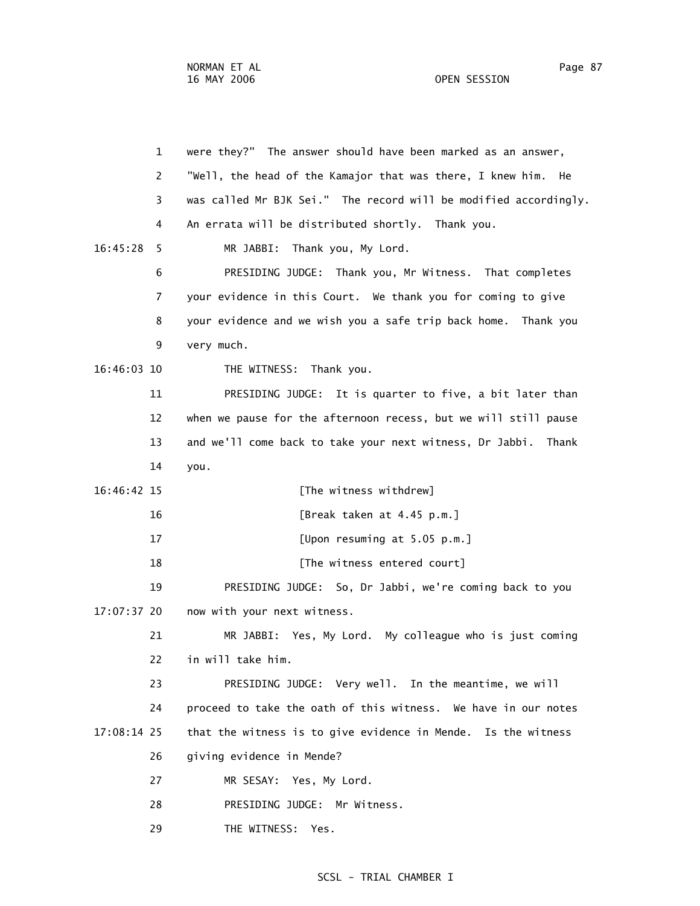1 were they?" The answer should have been marked as an answer, 2 "Well, the head of the Kamajor that was there, I knew him. He 3 was called Mr BJK Sei." The record will be modified accordingly. 4 An errata will be distributed shortly. Thank you. 16:45:28 5 MR JABBI: Thank you, My Lord. 6 PRESIDING JUDGE: Thank you, Mr Witness. That completes 7 your evidence in this Court. We thank you for coming to give 8 your evidence and we wish you a safe trip back home. Thank you 9 very much. 16:46:03 10 THE WITNESS: Thank you. 11 PRESIDING JUDGE: It is quarter to five, a bit later than 12 when we pause for the afternoon recess, but we will still pause 13 and we'll come back to take your next witness, Dr Jabbi. Thank 14 you. 16:46:42 15 [The witness withdrew] 16 [Break taken at 4.45 p.m.] 17 [Upon resuming at 5.05 p.m.] 18 **I** [The witness entered court] 19 PRESIDING JUDGE: So, Dr Jabbi, we're coming back to you 17:07:37 20 now with your next witness. 21 MR JABBI: Yes, My Lord. My colleague who is just coming 22 in will take him. 23 PRESIDING JUDGE: Very well. In the meantime, we will 24 proceed to take the oath of this witness. We have in our notes 17:08:14 25 that the witness is to give evidence in Mende. Is the witness 26 giving evidence in Mende? 27 MR SESAY: Yes, My Lord. 28 PRESIDING JUDGE: Mr Witness. 29 THE WITNESS: Yes.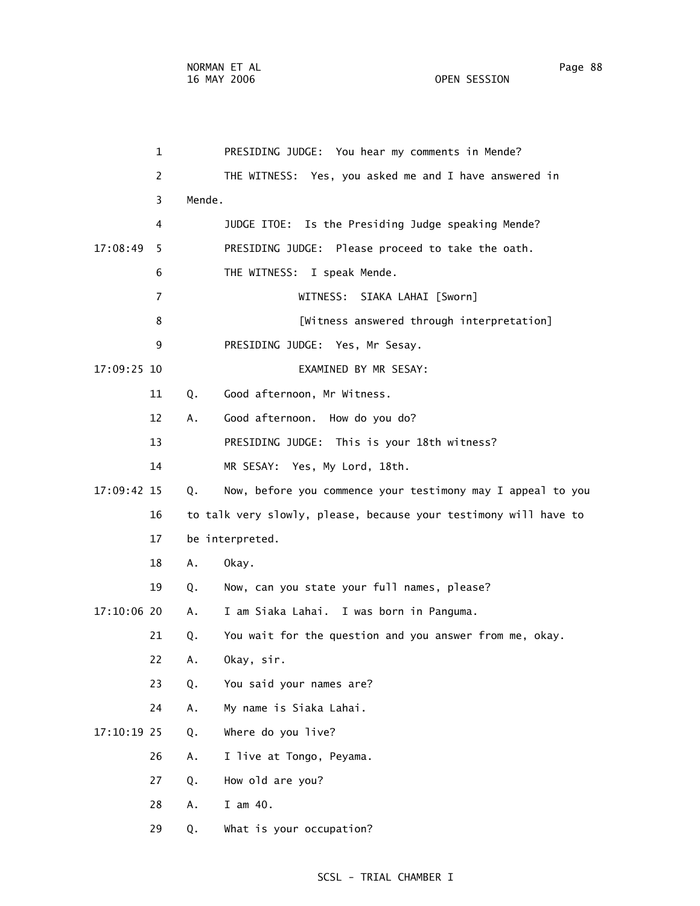1 PRESIDING JUDGE: You hear my comments in Mende? 2 THE WITNESS: Yes, you asked me and I have answered in 3 Mende. 4 JUDGE ITOE: Is the Presiding Judge speaking Mende? 17:08:49 5 PRESIDING JUDGE: Please proceed to take the oath. 6 THE WITNESS: I speak Mende. 7 WITNESS: SIAKA LAHAI [Sworn] 8 [Witness answered through interpretation] 9 PRESIDING JUDGE: Yes, Mr Sesay. 17:09:25 10 EXAMINED BY MR SESAY: 11 Q. Good afternoon, Mr Witness. 12 A. Good afternoon. How do you do? 13 PRESIDING JUDGE: This is your 18th witness? 14 MR SESAY: Yes, My Lord, 18th. 17:09:42 15 Q. Now, before you commence your testimony may I appeal to you 16 to talk very slowly, please, because your testimony will have to 17 be interpreted. 18 A. Okay. 19 Q. Now, can you state your full names, please? 17:10:06 20 A. I am Siaka Lahai. I was born in Panguma. 21 Q. You wait for the question and you answer from me, okay. 22 A. Okay, sir. 23 Q. You said your names are? 24 A. My name is Siaka Lahai. 17:10:19 25 Q. Where do you live? 26 A. I live at Tongo, Peyama. 27 Q. How old are you? 28 A. I am 40. 29 Q. What is your occupation?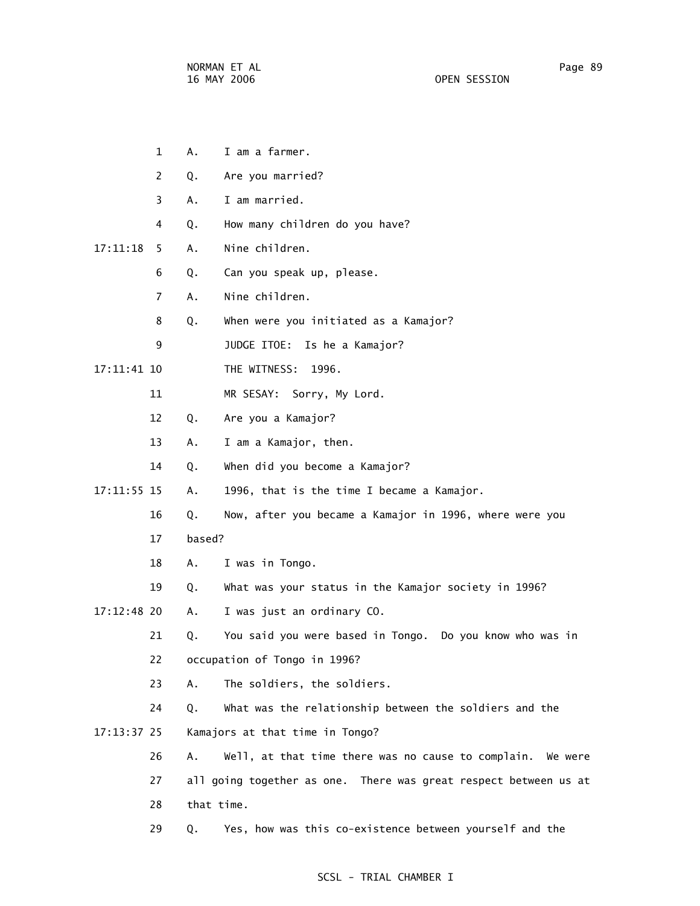|    |               | $\mathbf{1}$   | Α.                           | I am a farmer.                                                   |  |
|----|---------------|----------------|------------------------------|------------------------------------------------------------------|--|
|    |               | 2              | Q.                           | Are you married?                                                 |  |
|    |               | 3              | А.                           | I am married.                                                    |  |
|    |               | 4              | Q.                           | How many children do you have?                                   |  |
|    | 17:11:18      | 5.             | Α.                           | Nine children.                                                   |  |
|    |               | 6              | Q.                           | Can you speak up, please.                                        |  |
|    |               | $\overline{7}$ | A.                           | Nine children.                                                   |  |
|    |               | 8              | Q.                           | When were you initiated as a Kamajor?                            |  |
|    |               | 9              |                              | JUDGE ITOE: Is he a Kamajor?                                     |  |
|    | 17:11:41 10   |                |                              | THE WITNESS:<br>1996.                                            |  |
|    |               | 11             |                              | MR SESAY: Sorry, My Lord.                                        |  |
|    |               | 12             | Q.                           | Are you a Kamajor?                                               |  |
|    |               | 13             | Α.                           | I am a Kamajor, then.                                            |  |
|    |               | 14             | Q.                           | When did you become a Kamajor?                                   |  |
|    | 17:11:55 15   |                | Α.                           | 1996, that is the time I became a Kamajor.                       |  |
|    |               | 16             | Q.                           | Now, after you became a Kamajor in 1996, where were you          |  |
|    |               | 17             | based?                       |                                                                  |  |
|    |               | 18             | Α.                           | I was in Tongo.                                                  |  |
|    |               | 19             | Q.                           | What was your status in the Kamajor society in 1996?             |  |
|    | 17:12:48 20   |                | А.                           | I was just an ordinary CO.                                       |  |
|    |               | 21             | Q.                           | You said you were based in Tongo. Do you know who was in         |  |
|    |               | 22             | occupation of Tongo in 1996? |                                                                  |  |
|    |               | 23             | А.                           | The soldiers, the soldiers.                                      |  |
|    |               | 24             | Q.                           | What was the relationship between the soldiers and the           |  |
|    | $17:13:37$ 25 |                |                              | Kamajors at that time in Tongo?                                  |  |
|    |               | 26             | Α.                           | Well, at that time there was no cause to complain.<br>We were    |  |
|    |               | 27             |                              | all going together as one. There was great respect between us at |  |
| 28 |               |                | that time.                   |                                                                  |  |
|    |               | 29             | Q.                           | Yes, how was this co-existence between yourself and the          |  |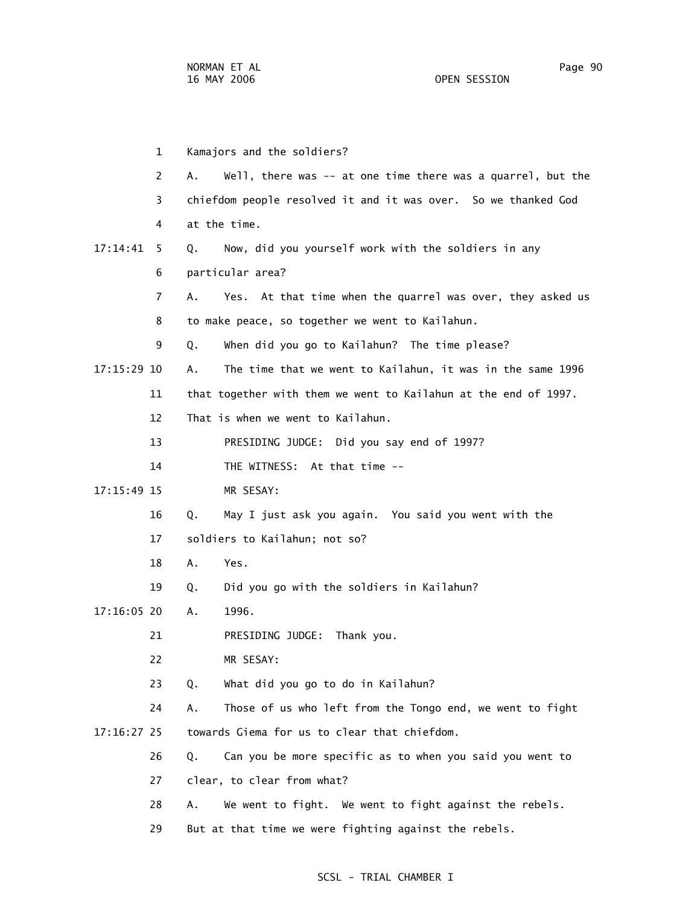|    |               | 1  | Kamajors and the soldiers?                                        |  |  |
|----|---------------|----|-------------------------------------------------------------------|--|--|
|    |               | 2  | Α.<br>Well, there was -- at one time there was a quarrel, but the |  |  |
|    |               | 3  | chiefdom people resolved it and it was over. So we thanked God    |  |  |
| 4  |               |    | at the time.                                                      |  |  |
|    | 17:14:41      | 5  | Now, did you yourself work with the soldiers in any<br>Q.         |  |  |
|    |               | 6  | particular area?                                                  |  |  |
|    |               | 7  | Yes. At that time when the quarrel was over, they asked us<br>Α.  |  |  |
|    |               | 8  | to make peace, so together we went to Kailahun.                   |  |  |
|    |               | 9  | When did you go to Kailahun? The time please?<br>Q.               |  |  |
|    | 17:15:29 10   |    | The time that we went to Kailahun, it was in the same 1996<br>А.  |  |  |
|    |               | 11 | that together with them we went to Kailahun at the end of 1997.   |  |  |
|    |               | 12 | That is when we went to Kailahun.                                 |  |  |
|    |               | 13 | PRESIDING JUDGE: Did you say end of 1997?                         |  |  |
|    |               | 14 | THE WITNESS: At that time --                                      |  |  |
|    | 17:15:49 15   |    | MR SESAY:                                                         |  |  |
|    |               | 16 | May I just ask you again. You said you went with the<br>Q.        |  |  |
|    |               | 17 | soldiers to Kailahun; not so?                                     |  |  |
|    |               | 18 | Α.<br>Yes.                                                        |  |  |
|    |               | 19 | Did you go with the soldiers in Kailahun?<br>Q.                   |  |  |
|    | $17:16:05$ 20 |    | 1996.<br>Α.                                                       |  |  |
|    |               | 21 | PRESIDING JUDGE: Thank you.                                       |  |  |
|    |               | 22 | MR SESAY:                                                         |  |  |
|    |               | 23 | What did you go to do in Kailahun?<br>Q.                          |  |  |
|    |               | 24 | Those of us who left from the Tongo end, we went to fight<br>Α.   |  |  |
|    | $17:16:27$ 25 |    | towards Giema for us to clear that chiefdom.                      |  |  |
|    |               | 26 | Can you be more specific as to when you said you went to<br>Q.    |  |  |
|    |               | 27 | clear, to clear from what?                                        |  |  |
|    |               | 28 | We went to fight. We went to fight against the rebels.<br>Α.      |  |  |
| 29 |               |    | But at that time we were fighting against the rebels.             |  |  |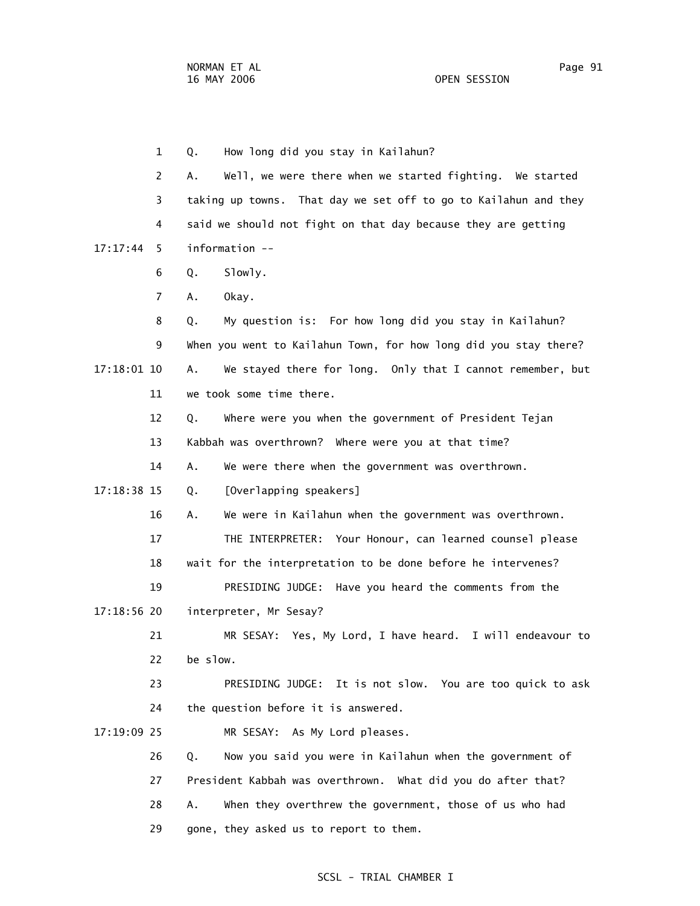1 Q. How long did you stay in Kailahun? 2 A. Well, we were there when we started fighting. We started 3 taking up towns. That day we set off to go to Kailahun and they 4 said we should not fight on that day because they are getting 17:17:44 5 information -- 6 Q. Slowly. 7 A. Okay. 8 Q. My question is: For how long did you stay in Kailahun? 9 When you went to Kailahun Town, for how long did you stay there? 17:18:01 10 A. We stayed there for long. Only that I cannot remember, but 11 we took some time there. 12 Q. Where were you when the government of President Tejan 13 Kabbah was overthrown? Where were you at that time? 14 A. We were there when the government was overthrown. 17:18:38 15 Q. [Overlapping speakers] 16 A. We were in Kailahun when the government was overthrown. 17 THE INTERPRETER: Your Honour, can learned counsel please 18 wait for the interpretation to be done before he intervenes? 19 PRESIDING JUDGE: Have you heard the comments from the 17:18:56 20 interpreter, Mr Sesay? 21 MR SESAY: Yes, My Lord, I have heard. I will endeavour to 22 be slow. 23 PRESIDING JUDGE: It is not slow. You are too quick to ask 24 the question before it is answered. 17:19:09 25 MR SESAY: As My Lord pleases. 26 Q. Now you said you were in Kailahun when the government of 27 President Kabbah was overthrown. What did you do after that? 28 A. When they overthrew the government, those of us who had

29 gone, they asked us to report to them.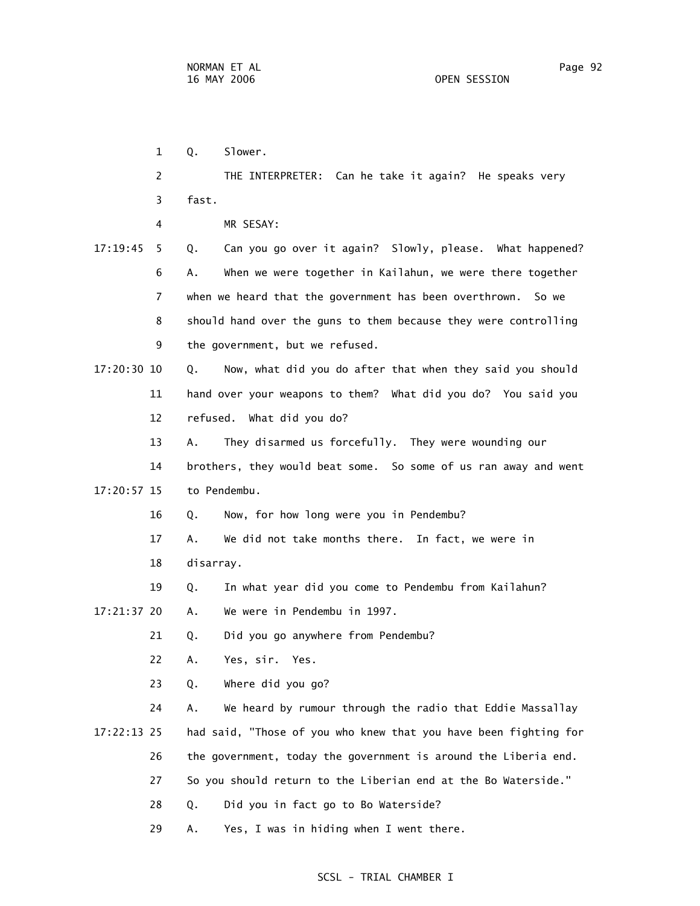1 Q. Slower. 2 THE INTERPRETER: Can he take it again? He speaks very 3 fast. 4 MR SESAY: 17:19:45 5 Q. Can you go over it again? Slowly, please. What happened? 6 A. When we were together in Kailahun, we were there together 7 when we heard that the government has been overthrown. So we 8 should hand over the guns to them because they were controlling 9 the government, but we refused. 17:20:30 10 Q. Now, what did you do after that when they said you should 11 hand over your weapons to them? What did you do? You said you 12 refused. What did you do? 13 A. They disarmed us forcefully. They were wounding our 14 brothers, they would beat some. So some of us ran away and went 17:20:57 15 to Pendembu. 16 Q. Now, for how long were you in Pendembu? 17 A. We did not take months there. In fact, we were in 18 disarray. 19 Q. In what year did you come to Pendembu from Kailahun? 17:21:37 20 A. We were in Pendembu in 1997. 21 Q. Did you go anywhere from Pendembu? 22 A. Yes, sir. Yes. 23 Q. Where did you go? 24 A. We heard by rumour through the radio that Eddie Massallay 17:22:13 25 had said, "Those of you who knew that you have been fighting for 26 the government, today the government is around the Liberia end. 27 So you should return to the Liberian end at the Bo Waterside." 28 Q. Did you in fact go to Bo Waterside? 29 A. Yes, I was in hiding when I went there.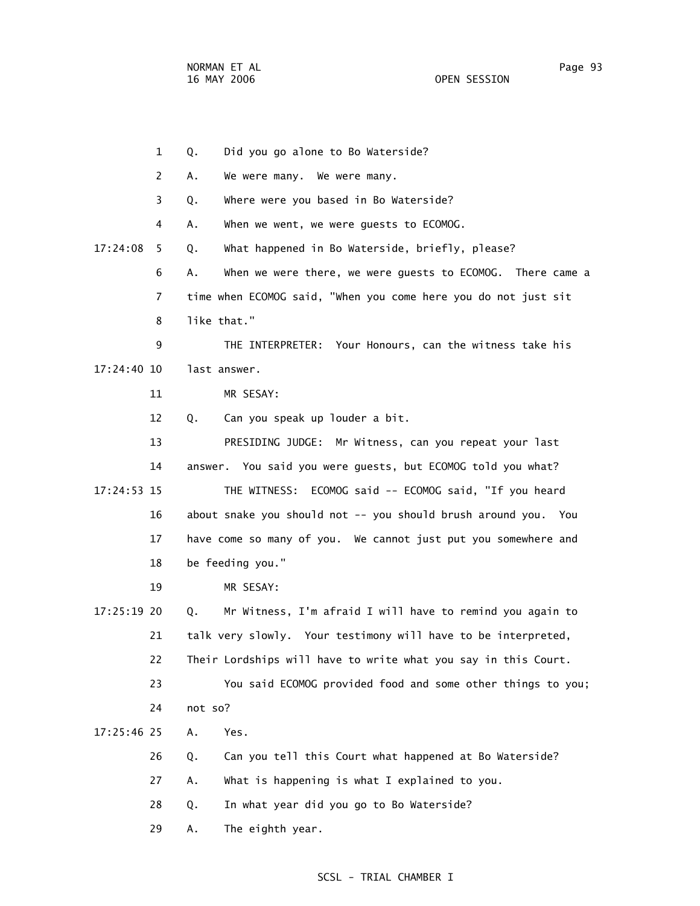1 Q. Did you go alone to Bo Waterside? 2 A. We were many. We were many. 3 Q. Where were you based in Bo Waterside? 4 A. When we went, we were guests to ECOMOG. 17:24:08 5 Q. What happened in Bo Waterside, briefly, please? 6 A. When we were there, we were guests to ECOMOG. There came a 7 time when ECOMOG said, "When you come here you do not just sit 8 like that." 9 THE INTERPRETER: Your Honours, can the witness take his 17:24:40 10 last answer. 11 MR SESAY: 12 Q. Can you speak up louder a bit. 13 PRESIDING JUDGE: Mr Witness, can you repeat your last 14 answer. You said you were guests, but ECOMOG told you what? 17:24:53 15 THE WITNESS: ECOMOG said -- ECOMOG said, "If you heard 16 about snake you should not -- you should brush around you. You 17 have come so many of you. We cannot just put you somewhere and 18 be feeding you." 19 MR SESAY: 17:25:19 20 Q. Mr Witness, I'm afraid I will have to remind you again to 21 talk very slowly. Your testimony will have to be interpreted, 22 Their Lordships will have to write what you say in this Court. 23 You said ECOMOG provided food and some other things to you; 24 not so? 17:25:46 25 A. Yes. 26 Q. Can you tell this Court what happened at Bo Waterside? 27 A. What is happening is what I explained to you. 28 Q. In what year did you go to Bo Waterside? 29 A. The eighth year.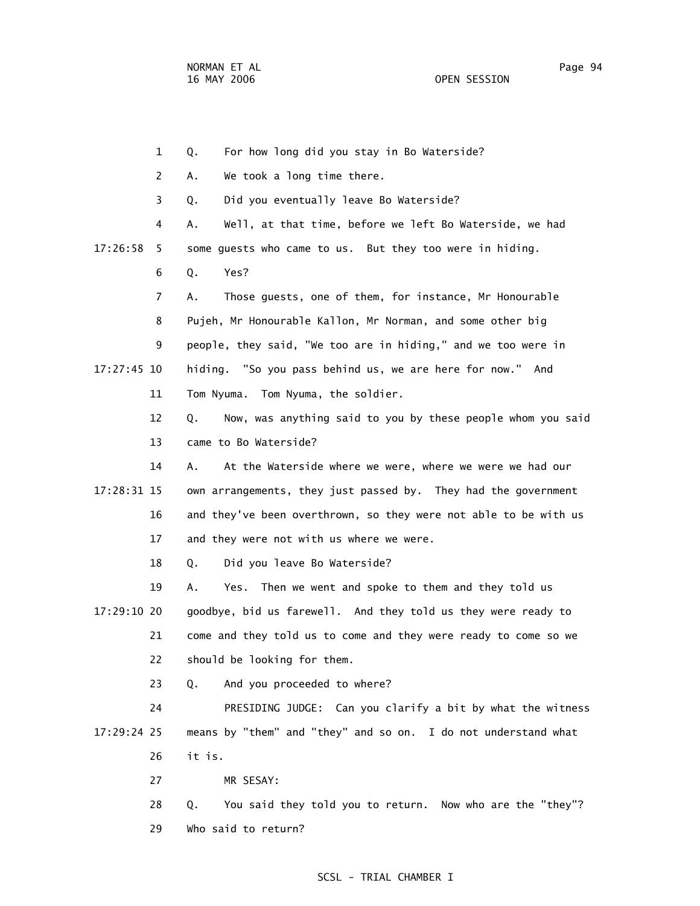1 Q. For how long did you stay in Bo Waterside? 2 A. We took a long time there. 3 Q. Did you eventually leave Bo Waterside? 4 A. Well, at that time, before we left Bo Waterside, we had 17:26:58 5 some guests who came to us. But they too were in hiding. 6 Q. Yes? 7 A. Those guests, one of them, for instance, Mr Honourable 8 Pujeh, Mr Honourable Kallon, Mr Norman, and some other big 9 people, they said, "We too are in hiding," and we too were in 17:27:45 10 hiding. "So you pass behind us, we are here for now." And 11 Tom Nyuma. Tom Nyuma, the soldier. 12 Q. Now, was anything said to you by these people whom you said 13 came to Bo Waterside? 14 A. At the Waterside where we were, where we were we had our 17:28:31 15 own arrangements, they just passed by. They had the government 16 and they've been overthrown, so they were not able to be with us 17 and they were not with us where we were. 18 Q. Did you leave Bo Waterside? 19 A. Yes. Then we went and spoke to them and they told us 17:29:10 20 goodbye, bid us farewell. And they told us they were ready to 21 come and they told us to come and they were ready to come so we 22 should be looking for them. 23 Q. And you proceeded to where? 24 PRESIDING JUDGE: Can you clarify a bit by what the witness 17:29:24 25 means by "them" and "they" and so on. I do not understand what 26 it is. 27 MR SESAY: 28 Q. You said they told you to return. Now who are the "they"? 29 Who said to return?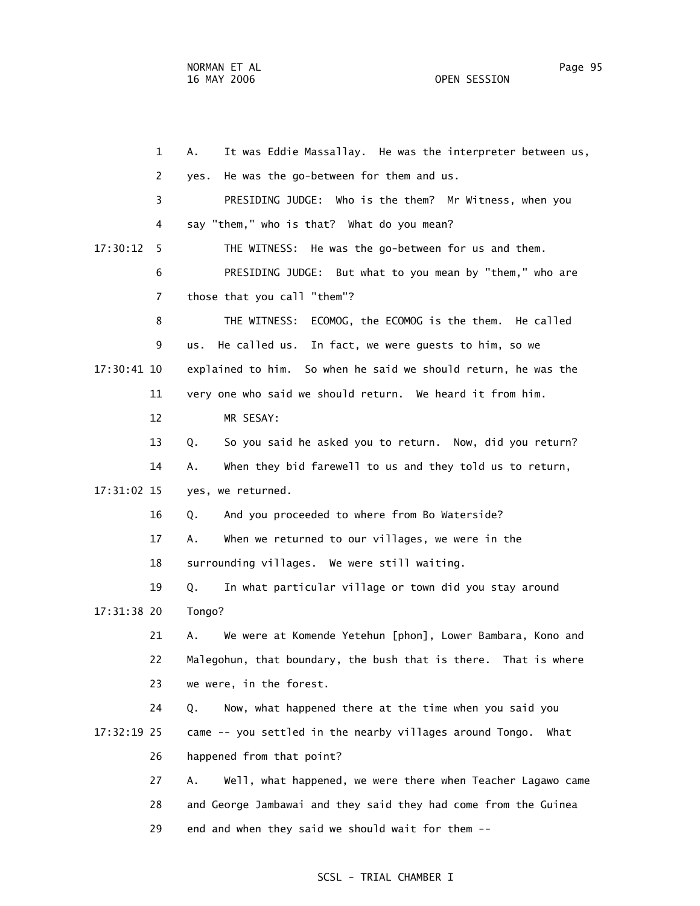| $\mathbf{1}$   | It was Eddie Massallay. He was the interpreter between us,<br>Α.  |
|----------------|-------------------------------------------------------------------|
| 2              | He was the go-between for them and us.<br>yes.                    |
| 3              | PRESIDING JUDGE: Who is the them? Mr Witness, when you            |
| 4              | say "them," who is that? What do you mean?                        |
| 17:30:12<br>5. | THE WITNESS: He was the go-between for us and them.               |
| 6              | PRESIDING JUDGE: But what to you mean by "them," who are          |
| 7              | those that you call "them"?                                       |
| 8              | THE WITNESS: ECOMOG, the ECOMOG is the them. He called            |
| 9              | He called us. In fact, we were guests to him, so we<br>us.        |
| 17:30:41 10    | explained to him. So when he said we should return, he was the    |
| 11             | very one who said we should return. We heard it from him.         |
| 12             | MR SESAY:                                                         |
| 13             | So you said he asked you to return. Now, did you return?<br>Q.    |
| 14             | When they bid farewell to us and they told us to return,<br>А.    |
| 17:31:02 15    | yes, we returned.                                                 |
| 16             | And you proceeded to where from Bo Waterside?<br>Q.               |
| 17             | When we returned to our villages, we were in the<br>Α.            |
| 18             | surrounding villages. We were still waiting.                      |
| 19             | In what particular village or town did you stay around<br>Q.      |
| 17:31:38 20    | Tongo?                                                            |
| 21             | We were at Komende Yetehun [phon], Lower Bambara, Kono and<br>А.  |
| 22             | Malegohun, that boundary, the bush that is there. That is where   |
| 23             | we were, in the forest.                                           |
| 24             | Now, what happened there at the time when you said you<br>Q.      |
| $17:32:19$ 25  | came -- you settled in the nearby villages around Tongo.<br>What  |
| 26             | happened from that point?                                         |
| 27             | Well, what happened, we were there when Teacher Lagawo came<br>Α. |
| 28             | and George Jambawai and they said they had come from the Guinea   |
| 29             | end and when they said we should wait for them --                 |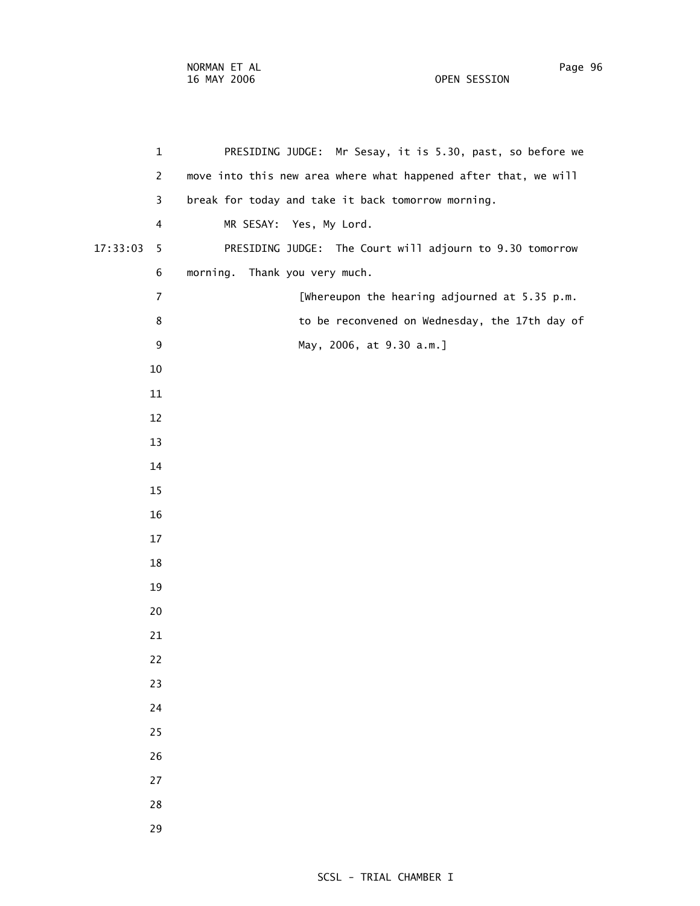1 PRESIDING JUDGE: Mr Sesay, it is 5.30, past, so before we 2 move into this new area where what happened after that, we will 3 break for today and take it back tomorrow morning. 4 MR SESAY: Yes, My Lord. 17:33:03 5 PRESIDING JUDGE: The Court will adjourn to 9.30 tomorrow 6 morning. Thank you very much. 7 [Whereupon the hearing adjourned at 5.35 p.m. 8 to be reconvened on Wednesday, the 17th day of 9 May, 2006, at 9.30 a.m.]